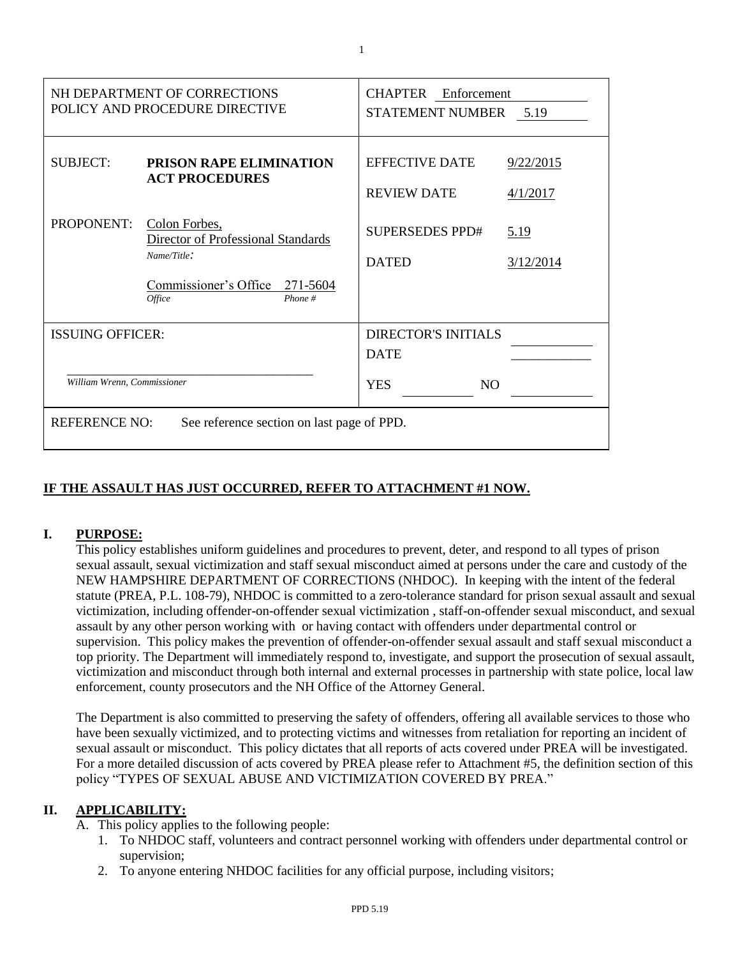|                                                                    | NH DEPARTMENT OF CORRECTIONS<br>POLICY AND PROCEDURE DIRECTIVE                                                               | <b>CHAPTER</b> Enforcement<br><b>STATEMENT NUMBER</b>                     | 5.19                  |
|--------------------------------------------------------------------|------------------------------------------------------------------------------------------------------------------------------|---------------------------------------------------------------------------|-----------------------|
| <b>SUBJECT:</b>                                                    | PRISON RAPE ELIMINATION<br><b>ACT PROCEDURES</b>                                                                             | <b>EFFECTIVE DATE</b><br><b>REVIEW DATE</b>                               | 9/22/2015<br>4/1/2017 |
| PROPONENT:                                                         | Colon Forbes,<br>Director of Professional Standards<br>Name/Title:<br>Commissioner's Office<br>271-5604<br>Office<br>Phone # | <b>SUPERSEDES PPD#</b><br><b>DATED</b>                                    | 5.19<br>3/12/2014     |
| <b>ISSUING OFFICER:</b><br>William Wrenn, Commissioner             |                                                                                                                              | <b>DIRECTOR'S INITIALS</b><br><b>DATE</b><br><b>YES</b><br>N <sub>O</sub> |                       |
| <b>REFERENCE NO:</b><br>See reference section on last page of PPD. |                                                                                                                              |                                                                           |                       |

### **IF THE ASSAULT HAS JUST OCCURRED, REFER TO ATTACHMENT #1 NOW.**

#### **I. PURPOSE:**

This policy establishes uniform guidelines and procedures to prevent, deter, and respond to all types of prison sexual assault, sexual victimization and staff sexual misconduct aimed at persons under the care and custody of the NEW HAMPSHIRE DEPARTMENT OF CORRECTIONS (NHDOC). In keeping with the intent of the federal statute (PREA, P.L. 108-79), NHDOC is committed to a zero-tolerance standard for prison sexual assault and sexual victimization, including offender-on-offender sexual victimization , staff-on-offender sexual misconduct, and sexual assault by any other person working with or having contact with offenders under departmental control or supervision. This policy makes the prevention of offender-on-offender sexual assault and staff sexual misconduct a top priority. The Department will immediately respond to, investigate, and support the prosecution of sexual assault, victimization and misconduct through both internal and external processes in partnership with state police, local law enforcement, county prosecutors and the NH Office of the Attorney General.

The Department is also committed to preserving the safety of offenders, offering all available services to those who have been sexually victimized, and to protecting victims and witnesses from retaliation for reporting an incident of sexual assault or misconduct. This policy dictates that all reports of acts covered under PREA will be investigated. For a more detailed discussion of acts covered by PREA please refer to Attachment #5, the definition section of this policy "TYPES OF SEXUAL ABUSE AND VICTIMIZATION COVERED BY PREA."

#### **II. APPLICABILITY:**

A. This policy applies to the following people:

- 1. To NHDOC staff, volunteers and contract personnel working with offenders under departmental control or supervision;
- 2. To anyone entering NHDOC facilities for any official purpose, including visitors;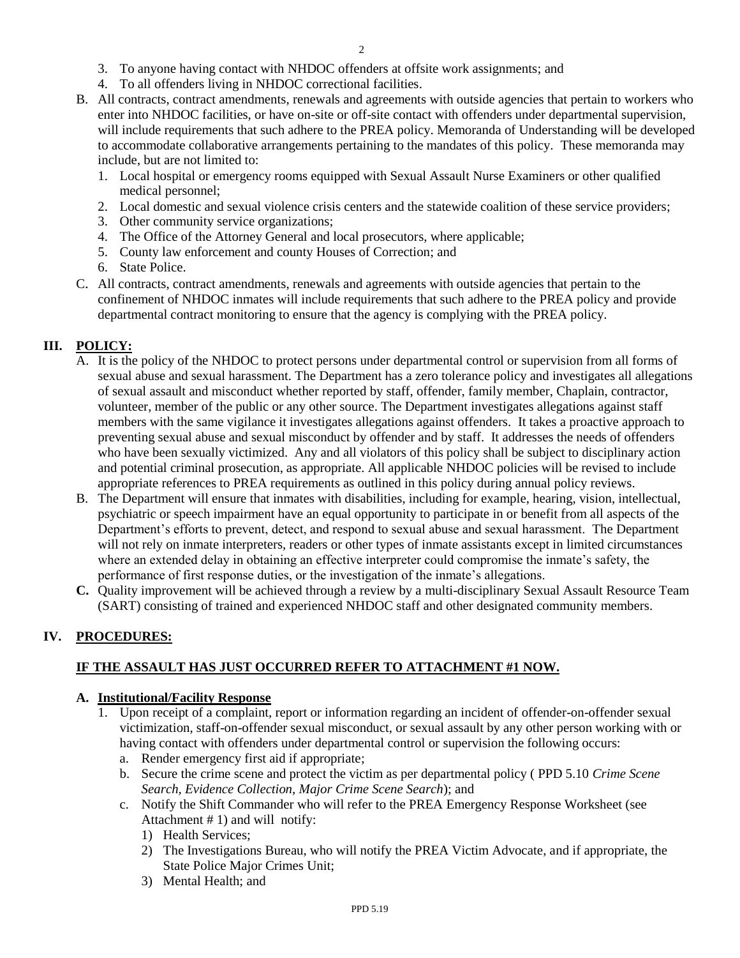- 3. To anyone having contact with NHDOC offenders at offsite work assignments; and
- 4. To all offenders living in NHDOC correctional facilities.
- B. All contracts, contract amendments, renewals and agreements with outside agencies that pertain to workers who enter into NHDOC facilities, or have on-site or off-site contact with offenders under departmental supervision, will include requirements that such adhere to the PREA policy. Memoranda of Understanding will be developed to accommodate collaborative arrangements pertaining to the mandates of this policy. These memoranda may include, but are not limited to:
	- 1. Local hospital or emergency rooms equipped with Sexual Assault Nurse Examiners or other qualified medical personnel;
	- 2. Local domestic and sexual violence crisis centers and the statewide coalition of these service providers;
	- 3. Other community service organizations;
	- 4. The Office of the Attorney General and local prosecutors, where applicable;
	- 5. County law enforcement and county Houses of Correction; and
	- 6. State Police.
- C. All contracts, contract amendments, renewals and agreements with outside agencies that pertain to the confinement of NHDOC inmates will include requirements that such adhere to the PREA policy and provide departmental contract monitoring to ensure that the agency is complying with the PREA policy.

#### **III. POLICY:**

- A. It is the policy of the NHDOC to protect persons under departmental control or supervision from all forms of sexual abuse and sexual harassment. The Department has a zero tolerance policy and investigates all allegations of sexual assault and misconduct whether reported by staff, offender, family member, Chaplain, contractor, volunteer, member of the public or any other source. The Department investigates allegations against staff members with the same vigilance it investigates allegations against offenders. It takes a proactive approach to preventing sexual abuse and sexual misconduct by offender and by staff. It addresses the needs of offenders who have been sexually victimized. Any and all violators of this policy shall be subject to disciplinary action and potential criminal prosecution, as appropriate. All applicable NHDOC policies will be revised to include appropriate references to PREA requirements as outlined in this policy during annual policy reviews.
- B. The Department will ensure that inmates with disabilities, including for example, hearing, vision, intellectual, psychiatric or speech impairment have an equal opportunity to participate in or benefit from all aspects of the Department's efforts to prevent, detect, and respond to sexual abuse and sexual harassment. The Department will not rely on inmate interpreters, readers or other types of inmate assistants except in limited circumstances where an extended delay in obtaining an effective interpreter could compromise the inmate's safety, the performance of first response duties, or the investigation of the inmate's allegations.
- **C.** Quality improvement will be achieved through a review by a multi-disciplinary Sexual Assault Resource Team (SART) consisting of trained and experienced NHDOC staff and other designated community members.

#### **IV. PROCEDURES:**

#### **IF THE ASSAULT HAS JUST OCCURRED REFER TO ATTACHMENT #1 NOW.**

#### **A. Institutional/Facility Response**

- Upon receipt of a complaint, report or information regarding an incident of offender-on-offender sexual victimization, staff-on-offender sexual misconduct, or sexual assault by any other person working with or having contact with offenders under departmental control or supervision the following occurs:
	- a. Render emergency first aid if appropriate;
	- b. Secure the crime scene and protect the victim as per departmental policy ( PPD 5.10 *Crime Scene Search, Evidence Collection, Major Crime Scene Search*); and
	- c. Notify the Shift Commander who will refer to the PREA Emergency Response Worksheet (see Attachment # 1) and will notify:
		- 1) Health Services;
		- 2) The Investigations Bureau, who will notify the PREA Victim Advocate, and if appropriate, the State Police Major Crimes Unit;
		- 3) Mental Health; and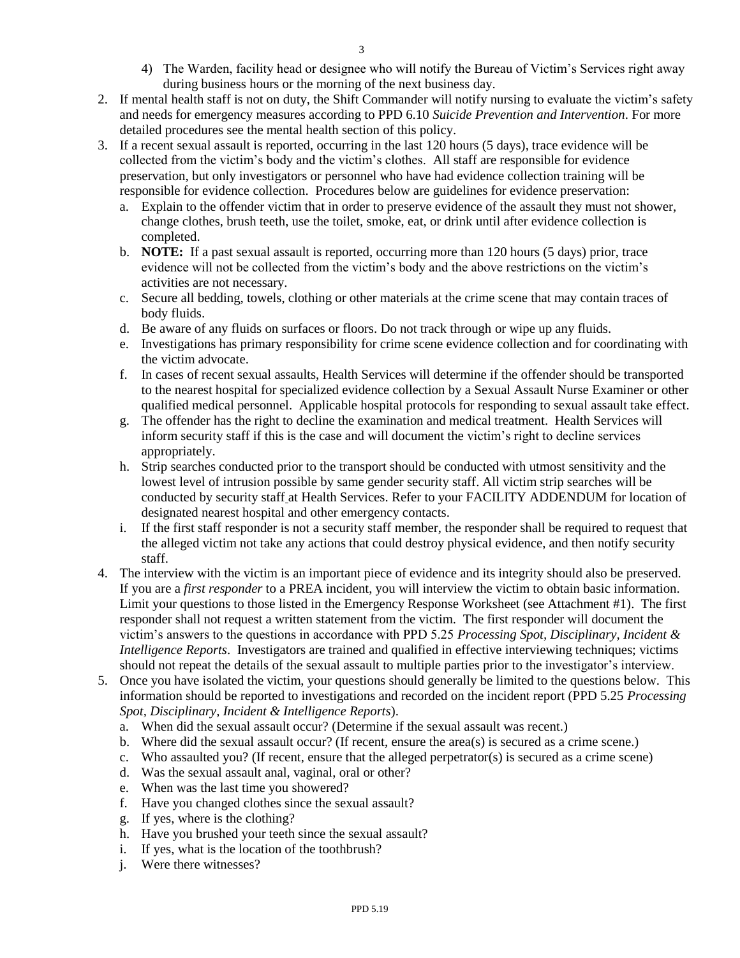- 4) The Warden, facility head or designee who will notify the Bureau of Victim's Services right away during business hours or the morning of the next business day.
- 2. If mental health staff is not on duty, the Shift Commander will notify nursing to evaluate the victim's safety and needs for emergency measures according to PPD 6.10 *Suicide Prevention and Intervention*. For more detailed procedures see the mental health section of this policy.
- 3. If a recent sexual assault is reported, occurring in the last 120 hours (5 days), trace evidence will be collected from the victim's body and the victim's clothes. All staff are responsible for evidence preservation, but only investigators or personnel who have had evidence collection training will be responsible for evidence collection. Procedures below are guidelines for evidence preservation:
	- a. Explain to the offender victim that in order to preserve evidence of the assault they must not shower, change clothes, brush teeth, use the toilet, smoke, eat, or drink until after evidence collection is completed.
	- b. **NOTE:** If a past sexual assault is reported, occurring more than 120 hours (5 days) prior, trace evidence will not be collected from the victim's body and the above restrictions on the victim's activities are not necessary.
	- c. Secure all bedding, towels, clothing or other materials at the crime scene that may contain traces of body fluids.
	- d. Be aware of any fluids on surfaces or floors. Do not track through or wipe up any fluids.
	- e. Investigations has primary responsibility for crime scene evidence collection and for coordinating with the victim advocate.
	- f. In cases of recent sexual assaults, Health Services will determine if the offender should be transported to the nearest hospital for specialized evidence collection by a Sexual Assault Nurse Examiner or other qualified medical personnel. Applicable hospital protocols for responding to sexual assault take effect.
	- g. The offender has the right to decline the examination and medical treatment. Health Services will inform security staff if this is the case and will document the victim's right to decline services appropriately.
	- h. Strip searches conducted prior to the transport should be conducted with utmost sensitivity and the lowest level of intrusion possible by same gender security staff. All victim strip searches will be conducted by security staff at Health Services. Refer to your FACILITY ADDENDUM for location of designated nearest hospital and other emergency contacts.
	- i. If the first staff responder is not a security staff member, the responder shall be required to request that the alleged victim not take any actions that could destroy physical evidence, and then notify security staff.
- 4. The interview with the victim is an important piece of evidence and its integrity should also be preserved. If you are a *first responder* to a PREA incident, you will interview the victim to obtain basic information. Limit your questions to those listed in the Emergency Response Worksheet (see Attachment #1). The first responder shall not request a written statement from the victim. The first responder will document the victim's answers to the questions in accordance with PPD 5.25 *Processing Spot, Disciplinary, Incident & Intelligence Reports*. Investigators are trained and qualified in effective interviewing techniques; victims should not repeat the details of the sexual assault to multiple parties prior to the investigator's interview.
- 5. Once you have isolated the victim, your questions should generally be limited to the questions below. This information should be reported to investigations and recorded on the incident report (PPD 5.25 *Processing Spot, Disciplinary, Incident & Intelligence Reports*).
	- a. When did the sexual assault occur? (Determine if the sexual assault was recent.)
	- b. Where did the sexual assault occur? (If recent, ensure the area(s) is secured as a crime scene.)
	- c. Who assaulted you? (If recent, ensure that the alleged perpetrator(s) is secured as a crime scene)
	- d. Was the sexual assault anal, vaginal, oral or other?
	- e. When was the last time you showered?
	- f. Have you changed clothes since the sexual assault?
	- g. If yes, where is the clothing?
	- h. Have you brushed your teeth since the sexual assault?
	- i. If yes, what is the location of the toothbrush?
	- j. Were there witnesses?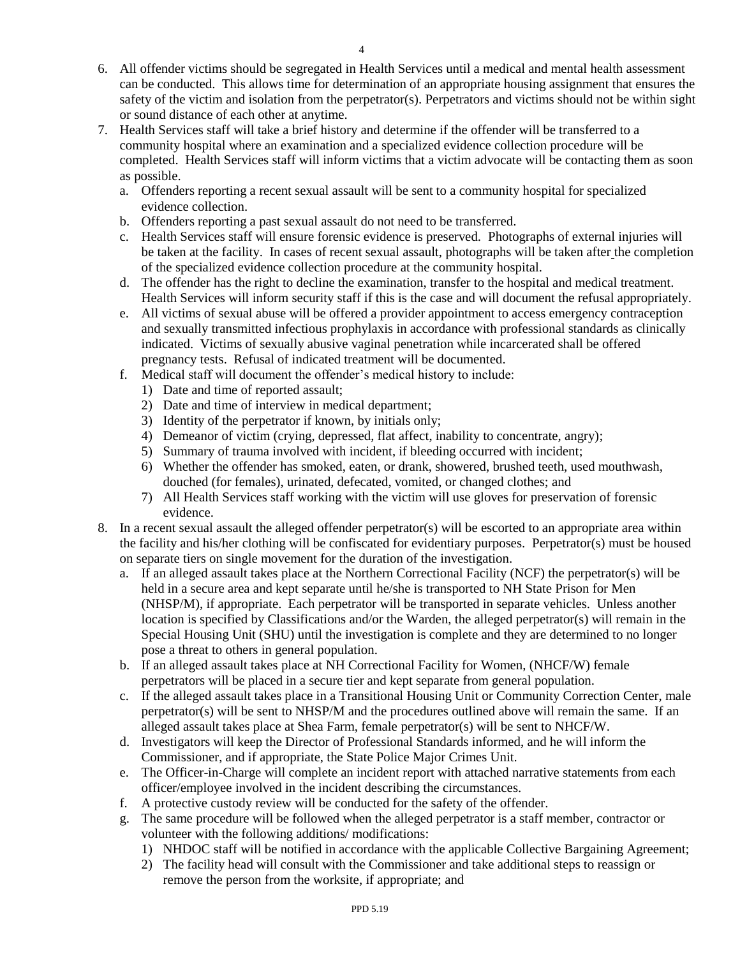- 6. All offender victims should be segregated in Health Services until a medical and mental health assessment can be conducted. This allows time for determination of an appropriate housing assignment that ensures the safety of the victim and isolation from the perpetrator(s). Perpetrators and victims should not be within sight or sound distance of each other at anytime.
- 7. Health Services staff will take a brief history and determine if the offender will be transferred to a community hospital where an examination and a specialized evidence collection procedure will be completed. Health Services staff will inform victims that a victim advocate will be contacting them as soon as possible.
	- a. Offenders reporting a recent sexual assault will be sent to a community hospital for specialized evidence collection.
	- b. Offenders reporting a past sexual assault do not need to be transferred.
	- c. Health Services staff will ensure forensic evidence is preserved. Photographs of external injuries will be taken at the facility. In cases of recent sexual assault, photographs will be taken after the completion of the specialized evidence collection procedure at the community hospital.
	- d. The offender has the right to decline the examination, transfer to the hospital and medical treatment. Health Services will inform security staff if this is the case and will document the refusal appropriately.
	- e. All victims of sexual abuse will be offered a provider appointment to access emergency contraception and sexually transmitted infectious prophylaxis in accordance with professional standards as clinically indicated. Victims of sexually abusive vaginal penetration while incarcerated shall be offered pregnancy tests. Refusal of indicated treatment will be documented.
	- f. Medical staff will document the offender's medical history to include:
		- 1) Date and time of reported assault;
		- 2) Date and time of interview in medical department;
		- 3) Identity of the perpetrator if known, by initials only;
		- 4) Demeanor of victim (crying, depressed, flat affect, inability to concentrate, angry);
		- 5) Summary of trauma involved with incident, if bleeding occurred with incident;
		- 6) Whether the offender has smoked, eaten, or drank, showered, brushed teeth, used mouthwash, douched (for females), urinated, defecated, vomited, or changed clothes; and
		- 7) All Health Services staff working with the victim will use gloves for preservation of forensic evidence.
- 8. In a recent sexual assault the alleged offender perpetrator(s) will be escorted to an appropriate area within the facility and his/her clothing will be confiscated for evidentiary purposes. Perpetrator(s) must be housed on separate tiers on single movement for the duration of the investigation.
	- a. If an alleged assault takes place at the Northern Correctional Facility (NCF) the perpetrator(s) will be held in a secure area and kept separate until he/she is transported to NH State Prison for Men (NHSP/M), if appropriate. Each perpetrator will be transported in separate vehicles. Unless another location is specified by Classifications and/or the Warden, the alleged perpetrator(s) will remain in the Special Housing Unit (SHU) until the investigation is complete and they are determined to no longer pose a threat to others in general population.
	- b. If an alleged assault takes place at NH Correctional Facility for Women, (NHCF/W) female perpetrators will be placed in a secure tier and kept separate from general population.
	- c. If the alleged assault takes place in a Transitional Housing Unit or Community Correction Center, male perpetrator(s) will be sent to NHSP/M and the procedures outlined above will remain the same. If an alleged assault takes place at Shea Farm, female perpetrator(s) will be sent to NHCF/W.
	- d. Investigators will keep the Director of Professional Standards informed, and he will inform the Commissioner, and if appropriate, the State Police Major Crimes Unit.
	- e. The Officer-in-Charge will complete an incident report with attached narrative statements from each officer/employee involved in the incident describing the circumstances.
	- f. A protective custody review will be conducted for the safety of the offender.
	- g. The same procedure will be followed when the alleged perpetrator is a staff member, contractor or volunteer with the following additions/ modifications:
		- 1) NHDOC staff will be notified in accordance with the applicable Collective Bargaining Agreement;
		- 2) The facility head will consult with the Commissioner and take additional steps to reassign or remove the person from the worksite, if appropriate; and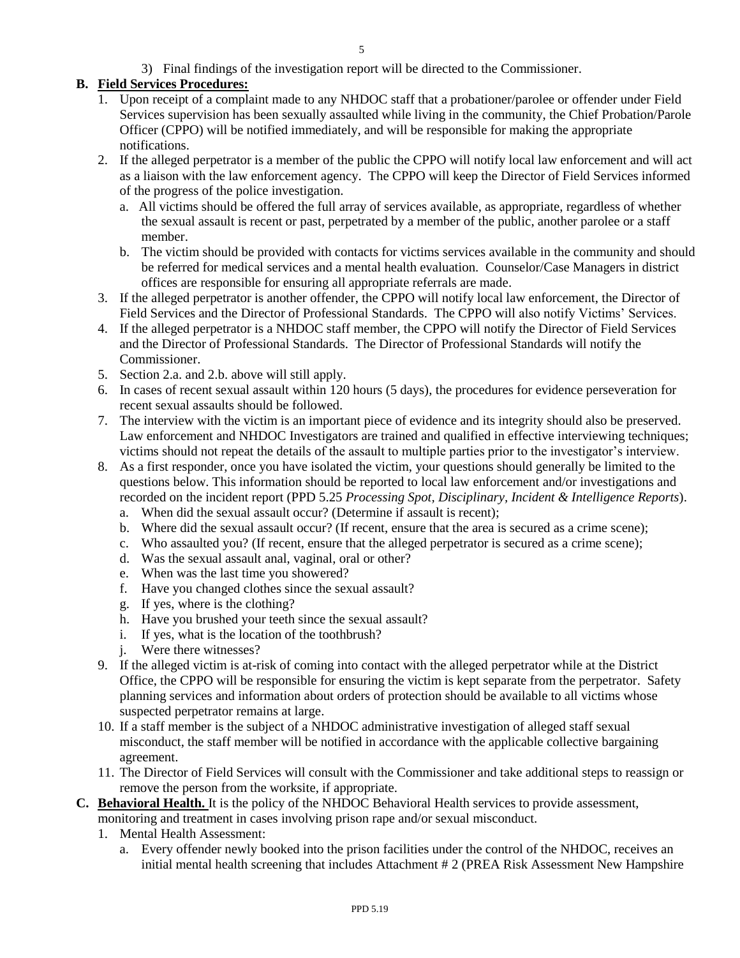3) Final findings of the investigation report will be directed to the Commissioner.

#### **B. Field Services Procedures:**

- 1. Upon receipt of a complaint made to any NHDOC staff that a probationer/parolee or offender under Field Services supervision has been sexually assaulted while living in the community, the Chief Probation/Parole Officer (CPPO) will be notified immediately, and will be responsible for making the appropriate notifications.
- 2. If the alleged perpetrator is a member of the public the CPPO will notify local law enforcement and will act as a liaison with the law enforcement agency. The CPPO will keep the Director of Field Services informed of the progress of the police investigation.
	- a. All victims should be offered the full array of services available, as appropriate, regardless of whether the sexual assault is recent or past, perpetrated by a member of the public, another parolee or a staff member.
	- b. The victim should be provided with contacts for victims services available in the community and should be referred for medical services and a mental health evaluation. Counselor/Case Managers in district offices are responsible for ensuring all appropriate referrals are made.
- 3. If the alleged perpetrator is another offender, the CPPO will notify local law enforcement, the Director of Field Services and the Director of Professional Standards. The CPPO will also notify Victims' Services.
- 4. If the alleged perpetrator is a NHDOC staff member, the CPPO will notify the Director of Field Services and the Director of Professional Standards. The Director of Professional Standards will notify the Commissioner.
- 5. Section 2.a. and 2.b. above will still apply.
- 6. In cases of recent sexual assault within 120 hours (5 days), the procedures for evidence perseveration for recent sexual assaults should be followed.
- 7. The interview with the victim is an important piece of evidence and its integrity should also be preserved. Law enforcement and NHDOC Investigators are trained and qualified in effective interviewing techniques; victims should not repeat the details of the assault to multiple parties prior to the investigator's interview.
- 8. As a first responder, once you have isolated the victim, your questions should generally be limited to the questions below. This information should be reported to local law enforcement and/or investigations and recorded on the incident report (PPD 5.25 *Processing Spot, Disciplinary, Incident & Intelligence Reports*).
	- a. When did the sexual assault occur? (Determine if assault is recent);
	- b. Where did the sexual assault occur? (If recent, ensure that the area is secured as a crime scene);
	- c. Who assaulted you? (If recent, ensure that the alleged perpetrator is secured as a crime scene);
	- d. Was the sexual assault anal, vaginal, oral or other?
	- e. When was the last time you showered?
	- f. Have you changed clothes since the sexual assault?
	- g. If yes, where is the clothing?
	- h. Have you brushed your teeth since the sexual assault?
	- i. If yes, what is the location of the toothbrush?
	- j. Were there witnesses?
- 9. If the alleged victim is at-risk of coming into contact with the alleged perpetrator while at the District Office, the CPPO will be responsible for ensuring the victim is kept separate from the perpetrator. Safety planning services and information about orders of protection should be available to all victims whose suspected perpetrator remains at large.
- 10. If a staff member is the subject of a NHDOC administrative investigation of alleged staff sexual misconduct, the staff member will be notified in accordance with the applicable collective bargaining agreement.
- 11. The Director of Field Services will consult with the Commissioner and take additional steps to reassign or remove the person from the worksite, if appropriate.

#### **C. Behavioral Health.** It is the policy of the NHDOC Behavioral Health services to provide assessment,

- monitoring and treatment in cases involving prison rape and/or sexual misconduct.
- 1. Mental Health Assessment:
	- a. Every offender newly booked into the prison facilities under the control of the NHDOC, receives an initial mental health screening that includes Attachment # 2 (PREA Risk Assessment New Hampshire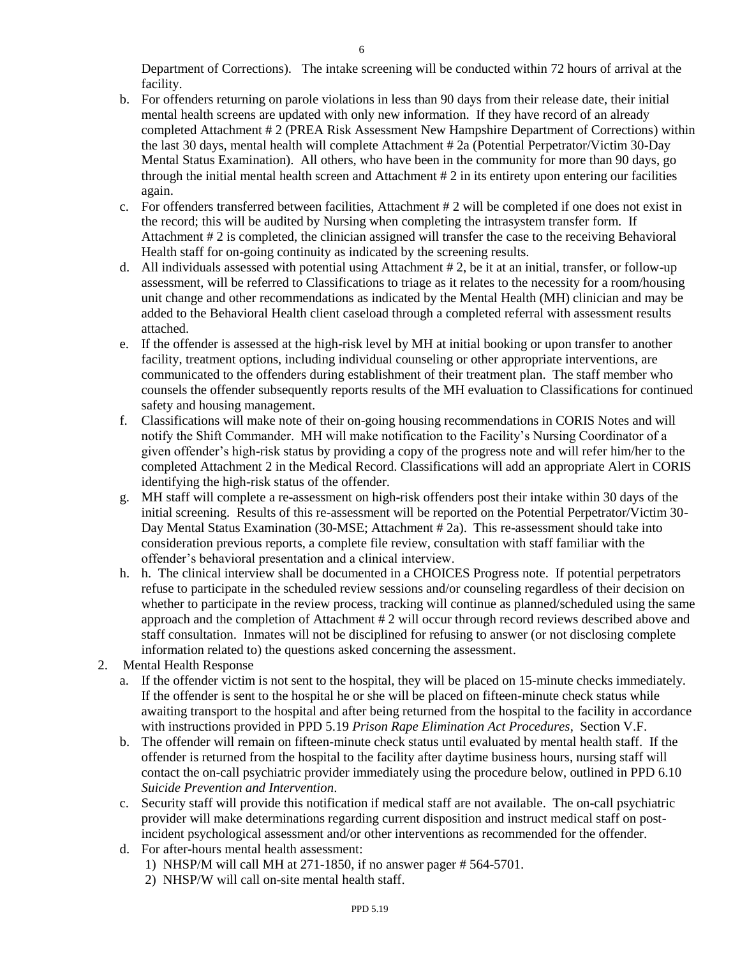Department of Corrections). The intake screening will be conducted within 72 hours of arrival at the facility.

- b. For offenders returning on parole violations in less than 90 days from their release date, their initial mental health screens are updated with only new information. If they have record of an already completed Attachment # 2 (PREA Risk Assessment New Hampshire Department of Corrections) within the last 30 days, mental health will complete Attachment # 2a (Potential Perpetrator/Victim 30-Day Mental Status Examination). All others, who have been in the community for more than 90 days, go through the initial mental health screen and Attachment # 2 in its entirety upon entering our facilities again.
- c. For offenders transferred between facilities, Attachment # 2 will be completed if one does not exist in the record; this will be audited by Nursing when completing the intrasystem transfer form. If Attachment # 2 is completed, the clinician assigned will transfer the case to the receiving Behavioral Health staff for on-going continuity as indicated by the screening results.
- d. All individuals assessed with potential using Attachment # 2, be it at an initial, transfer, or follow-up assessment, will be referred to Classifications to triage as it relates to the necessity for a room/housing unit change and other recommendations as indicated by the Mental Health (MH) clinician and may be added to the Behavioral Health client caseload through a completed referral with assessment results attached.
- e. If the offender is assessed at the high-risk level by MH at initial booking or upon transfer to another facility, treatment options, including individual counseling or other appropriate interventions, are communicated to the offenders during establishment of their treatment plan. The staff member who counsels the offender subsequently reports results of the MH evaluation to Classifications for continued safety and housing management.
- f. Classifications will make note of their on-going housing recommendations in CORIS Notes and will notify the Shift Commander. MH will make notification to the Facility's Nursing Coordinator of a given offender's high-risk status by providing a copy of the progress note and will refer him/her to the completed Attachment 2 in the Medical Record. Classifications will add an appropriate Alert in CORIS identifying the high-risk status of the offender.
- g. MH staff will complete a re-assessment on high-risk offenders post their intake within 30 days of the initial screening. Results of this re-assessment will be reported on the Potential Perpetrator/Victim 30- Day Mental Status Examination (30-MSE; Attachment # 2a). This re-assessment should take into consideration previous reports, a complete file review, consultation with staff familiar with the offender's behavioral presentation and a clinical interview.
- h. h. The clinical interview shall be documented in a CHOICES Progress note. If potential perpetrators refuse to participate in the scheduled review sessions and/or counseling regardless of their decision on whether to participate in the review process, tracking will continue as planned/scheduled using the same approach and the completion of Attachment # 2 will occur through record reviews described above and staff consultation. Inmates will not be disciplined for refusing to answer (or not disclosing complete information related to) the questions asked concerning the assessment.
- 2. Mental Health Response
	- a. If the offender victim is not sent to the hospital, they will be placed on 15-minute checks immediately. If the offender is sent to the hospital he or she will be placed on fifteen-minute check status while awaiting transport to the hospital and after being returned from the hospital to the facility in accordance with instructions provided in PPD 5.19 *Prison Rape Elimination Act Procedures*, Section V.F.
	- b. The offender will remain on fifteen-minute check status until evaluated by mental health staff. If the offender is returned from the hospital to the facility after daytime business hours, nursing staff will contact the on-call psychiatric provider immediately using the procedure below, outlined in PPD 6.10 *Suicide Prevention and Intervention*.
	- c. Security staff will provide this notification if medical staff are not available. The on-call psychiatric provider will make determinations regarding current disposition and instruct medical staff on postincident psychological assessment and/or other interventions as recommended for the offender.
	- d. For after-hours mental health assessment:
		- 1) NHSP/M will call MH at 271-1850, if no answer pager # 564-5701.
		- 2) NHSP/W will call on-site mental health staff.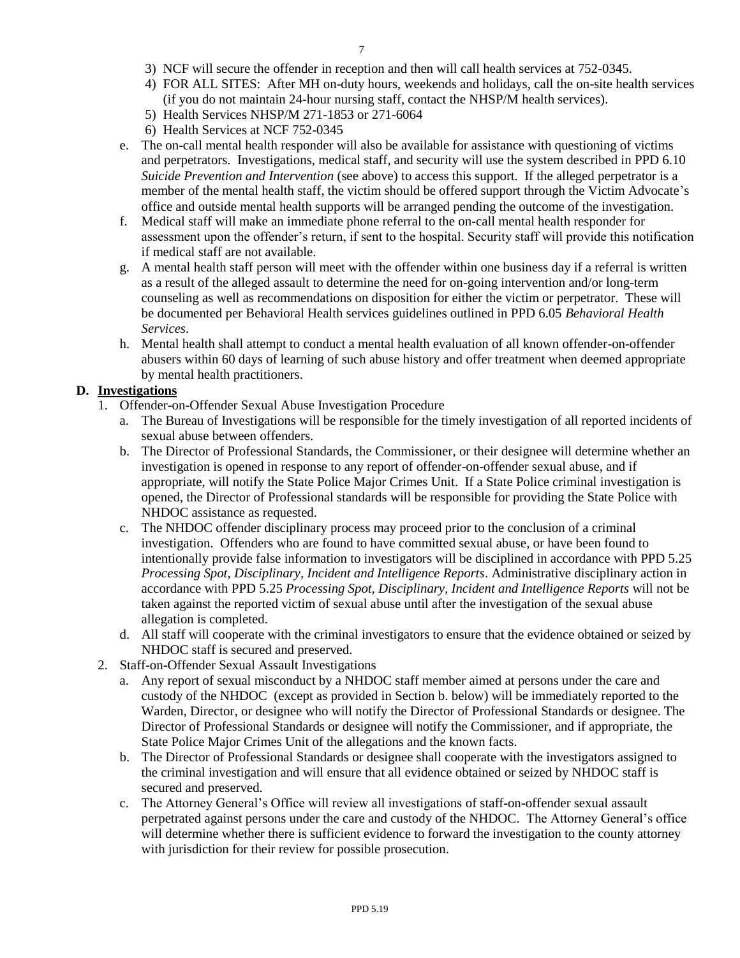- 3) NCF will secure the offender in reception and then will call health services at 752-0345.
- 4) FOR ALL SITES: After MH on-duty hours, weekends and holidays, call the on-site health services (if you do not maintain 24-hour nursing staff, contact the NHSP/M health services).
- 5) Health Services NHSP/M 271-1853 or 271-6064
- 6) Health Services at NCF 752-0345
- e. The on-call mental health responder will also be available for assistance with questioning of victims and perpetrators. Investigations, medical staff, and security will use the system described in PPD 6.10 *Suicide Prevention and Intervention* (see above) to access this support. If the alleged perpetrator is a member of the mental health staff, the victim should be offered support through the Victim Advocate's office and outside mental health supports will be arranged pending the outcome of the investigation.
- f. Medical staff will make an immediate phone referral to the on-call mental health responder for assessment upon the offender's return, if sent to the hospital. Security staff will provide this notification if medical staff are not available.
- g. A mental health staff person will meet with the offender within one business day if a referral is written as a result of the alleged assault to determine the need for on-going intervention and/or long-term counseling as well as recommendations on disposition for either the victim or perpetrator. These will be documented per Behavioral Health services guidelines outlined in PPD 6.05 *Behavioral Health Services*.
- h. Mental health shall attempt to conduct a mental health evaluation of all known offender-on-offender abusers within 60 days of learning of such abuse history and offer treatment when deemed appropriate by mental health practitioners.

#### **D. Investigations**

- 1. Offender-on-Offender Sexual Abuse Investigation Procedure
	- a. The Bureau of Investigations will be responsible for the timely investigation of all reported incidents of sexual abuse between offenders.
	- b. The Director of Professional Standards, the Commissioner, or their designee will determine whether an investigation is opened in response to any report of offender-on-offender sexual abuse, and if appropriate, will notify the State Police Major Crimes Unit. If a State Police criminal investigation is opened, the Director of Professional standards will be responsible for providing the State Police with NHDOC assistance as requested.
	- c. The NHDOC offender disciplinary process may proceed prior to the conclusion of a criminal investigation. Offenders who are found to have committed sexual abuse, or have been found to intentionally provide false information to investigators will be disciplined in accordance with PPD 5.25 *Processing Spot, Disciplinary, Incident and Intelligence Reports*. Administrative disciplinary action in accordance with PPD 5.25 *Processing Spot, Disciplinary, Incident and Intelligence Reports* will not be taken against the reported victim of sexual abuse until after the investigation of the sexual abuse allegation is completed.
	- d. All staff will cooperate with the criminal investigators to ensure that the evidence obtained or seized by NHDOC staff is secured and preserved.
- 2. Staff-on-Offender Sexual Assault Investigations
	- a. Any report of sexual misconduct by a NHDOC staff member aimed at persons under the care and custody of the NHDOC (except as provided in Section b. below) will be immediately reported to the Warden, Director, or designee who will notify the Director of Professional Standards or designee. The Director of Professional Standards or designee will notify the Commissioner, and if appropriate, the State Police Major Crimes Unit of the allegations and the known facts.
	- b. The Director of Professional Standards or designee shall cooperate with the investigators assigned to the criminal investigation and will ensure that all evidence obtained or seized by NHDOC staff is secured and preserved.
	- c. The Attorney General's Office will review all investigations of staff-on-offender sexual assault perpetrated against persons under the care and custody of the NHDOC. The Attorney General's office will determine whether there is sufficient evidence to forward the investigation to the county attorney with jurisdiction for their review for possible prosecution.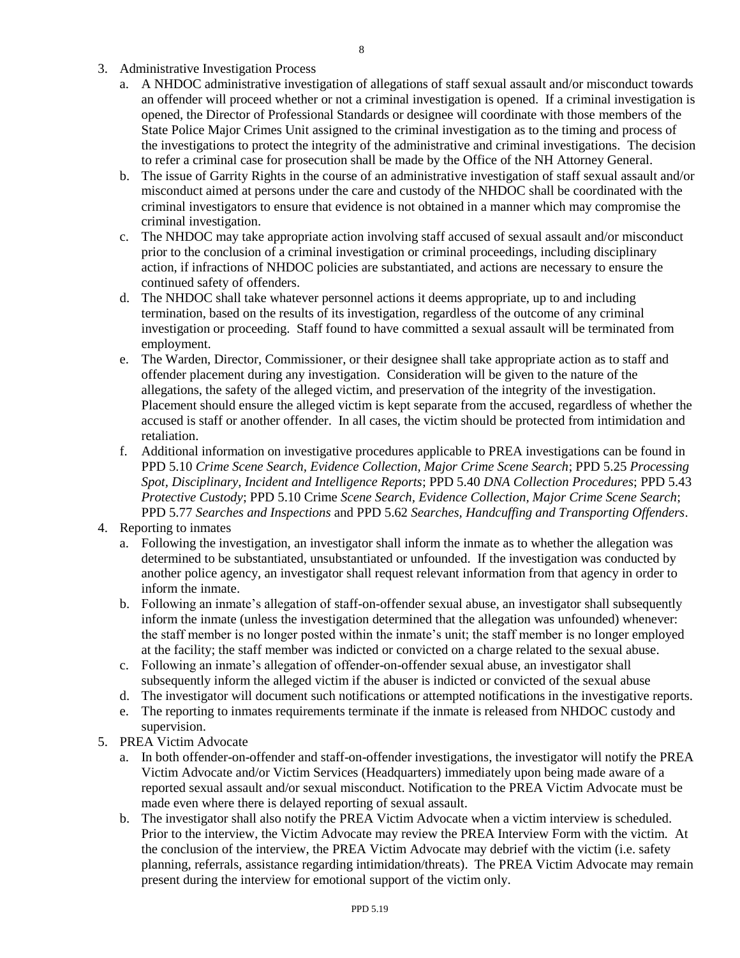- 3. Administrative Investigation Process
	- a. A NHDOC administrative investigation of allegations of staff sexual assault and/or misconduct towards an offender will proceed whether or not a criminal investigation is opened. If a criminal investigation is opened, the Director of Professional Standards or designee will coordinate with those members of the State Police Major Crimes Unit assigned to the criminal investigation as to the timing and process of the investigations to protect the integrity of the administrative and criminal investigations. The decision to refer a criminal case for prosecution shall be made by the Office of the NH Attorney General.
	- b. The issue of Garrity Rights in the course of an administrative investigation of staff sexual assault and/or misconduct aimed at persons under the care and custody of the NHDOC shall be coordinated with the criminal investigators to ensure that evidence is not obtained in a manner which may compromise the criminal investigation.
	- c. The NHDOC may take appropriate action involving staff accused of sexual assault and/or misconduct prior to the conclusion of a criminal investigation or criminal proceedings, including disciplinary action, if infractions of NHDOC policies are substantiated, and actions are necessary to ensure the continued safety of offenders.
	- d. The NHDOC shall take whatever personnel actions it deems appropriate, up to and including termination, based on the results of its investigation, regardless of the outcome of any criminal investigation or proceeding. Staff found to have committed a sexual assault will be terminated from employment.
	- e. The Warden, Director, Commissioner, or their designee shall take appropriate action as to staff and offender placement during any investigation. Consideration will be given to the nature of the allegations, the safety of the alleged victim, and preservation of the integrity of the investigation. Placement should ensure the alleged victim is kept separate from the accused, regardless of whether the accused is staff or another offender. In all cases, the victim should be protected from intimidation and retaliation.
	- f. Additional information on investigative procedures applicable to PREA investigations can be found in PPD 5.10 *Crime Scene Search, Evidence Collection, Major Crime Scene Search*; PPD 5.25 *Processing Spot, Disciplinary, Incident and Intelligence Reports*; PPD 5.40 *DNA Collection Procedures*; PPD 5.43 *Protective Custody*; PPD 5.10 Crime *Scene Search, Evidence Collection, Major Crime Scene Search*; PPD 5.77 *Searches and Inspections* and PPD 5.62 *Searches, Handcuffing and Transporting Offenders*.
- 4. Reporting to inmates
	- a. Following the investigation, an investigator shall inform the inmate as to whether the allegation was determined to be substantiated, unsubstantiated or unfounded. If the investigation was conducted by another police agency, an investigator shall request relevant information from that agency in order to inform the inmate.
	- b. Following an inmate's allegation of staff-on-offender sexual abuse, an investigator shall subsequently inform the inmate (unless the investigation determined that the allegation was unfounded) whenever: the staff member is no longer posted within the inmate's unit; the staff member is no longer employed at the facility; the staff member was indicted or convicted on a charge related to the sexual abuse.
	- c. Following an inmate's allegation of offender-on-offender sexual abuse, an investigator shall subsequently inform the alleged victim if the abuser is indicted or convicted of the sexual abuse
	- d. The investigator will document such notifications or attempted notifications in the investigative reports.
	- e. The reporting to inmates requirements terminate if the inmate is released from NHDOC custody and supervision.
- 5. PREA Victim Advocate
	- a. In both offender-on-offender and staff-on-offender investigations, the investigator will notify the PREA Victim Advocate and/or Victim Services (Headquarters) immediately upon being made aware of a reported sexual assault and/or sexual misconduct. Notification to the PREA Victim Advocate must be made even where there is delayed reporting of sexual assault.
	- b. The investigator shall also notify the PREA Victim Advocate when a victim interview is scheduled. Prior to the interview, the Victim Advocate may review the PREA Interview Form with the victim. At the conclusion of the interview, the PREA Victim Advocate may debrief with the victim (i.e. safety planning, referrals, assistance regarding intimidation/threats). The PREA Victim Advocate may remain present during the interview for emotional support of the victim only.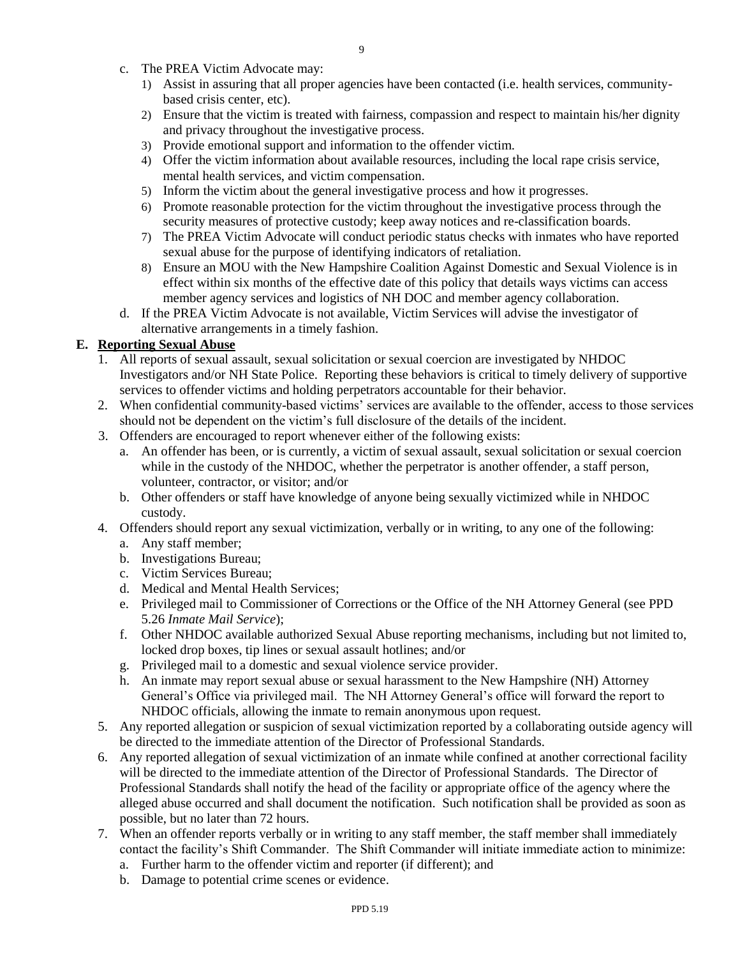- c. The PREA Victim Advocate may:
	- 1) Assist in assuring that all proper agencies have been contacted (i.e. health services, communitybased crisis center, etc).
	- 2) Ensure that the victim is treated with fairness, compassion and respect to maintain his/her dignity and privacy throughout the investigative process.
	- 3) Provide emotional support and information to the offender victim.
	- 4) Offer the victim information about available resources, including the local rape crisis service, mental health services, and victim compensation.
	- 5) Inform the victim about the general investigative process and how it progresses.
	- 6) Promote reasonable protection for the victim throughout the investigative process through the security measures of protective custody; keep away notices and re-classification boards.
	- 7) The PREA Victim Advocate will conduct periodic status checks with inmates who have reported sexual abuse for the purpose of identifying indicators of retaliation.
	- 8) Ensure an MOU with the New Hampshire Coalition Against Domestic and Sexual Violence is in effect within six months of the effective date of this policy that details ways victims can access member agency services and logistics of NH DOC and member agency collaboration.
- d. If the PREA Victim Advocate is not available, Victim Services will advise the investigator of alternative arrangements in a timely fashion.

#### **E. Reporting Sexual Abuse**

- 1. All reports of sexual assault, sexual solicitation or sexual coercion are investigated by NHDOC Investigators and/or NH State Police. Reporting these behaviors is critical to timely delivery of supportive services to offender victims and holding perpetrators accountable for their behavior.
- 2. When confidential community-based victims' services are available to the offender, access to those services should not be dependent on the victim's full disclosure of the details of the incident.
- 3. Offenders are encouraged to report whenever either of the following exists:
	- a. An offender has been, or is currently, a victim of sexual assault, sexual solicitation or sexual coercion while in the custody of the NHDOC, whether the perpetrator is another offender, a staff person, volunteer, contractor, or visitor; and/or
	- b. Other offenders or staff have knowledge of anyone being sexually victimized while in NHDOC custody.
- 4. Offenders should report any sexual victimization, verbally or in writing, to any one of the following:
	- a. Any staff member;
	- b. Investigations Bureau;
	- c. Victim Services Bureau;
	- d. Medical and Mental Health Services;
	- e. Privileged mail to Commissioner of Corrections or the Office of the NH Attorney General (see PPD 5.26 *Inmate Mail Service*);
	- f. Other NHDOC available authorized Sexual Abuse reporting mechanisms, including but not limited to, locked drop boxes, tip lines or sexual assault hotlines; and/or
	- g. Privileged mail to a domestic and sexual violence service provider.
	- h. An inmate may report sexual abuse or sexual harassment to the New Hampshire (NH) Attorney General's Office via privileged mail. The NH Attorney General's office will forward the report to NHDOC officials, allowing the inmate to remain anonymous upon request.
- 5. Any reported allegation or suspicion of sexual victimization reported by a collaborating outside agency will be directed to the immediate attention of the Director of Professional Standards.
- 6. Any reported allegation of sexual victimization of an inmate while confined at another correctional facility will be directed to the immediate attention of the Director of Professional Standards. The Director of Professional Standards shall notify the head of the facility or appropriate office of the agency where the alleged abuse occurred and shall document the notification. Such notification shall be provided as soon as possible, but no later than 72 hours.
- 7. When an offender reports verbally or in writing to any staff member, the staff member shall immediately contact the facility's Shift Commander. The Shift Commander will initiate immediate action to minimize:
	- a. Further harm to the offender victim and reporter (if different); and
	- b. Damage to potential crime scenes or evidence.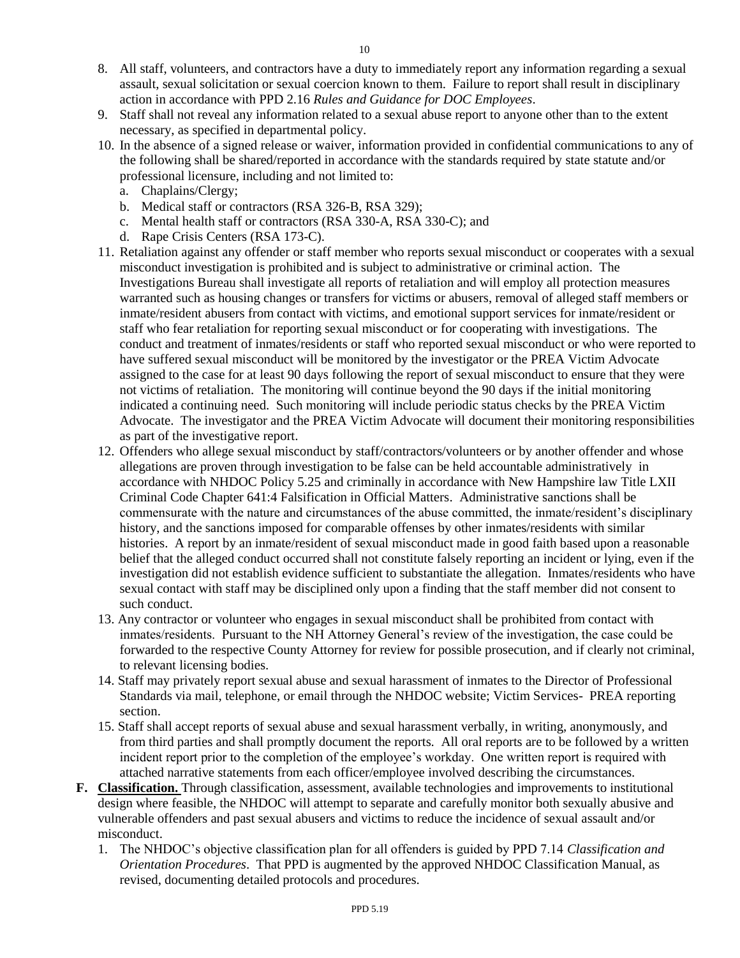- 8. All staff, volunteers, and contractors have a duty to immediately report any information regarding a sexual assault, sexual solicitation or sexual coercion known to them. Failure to report shall result in disciplinary action in accordance with PPD 2.16 *Rules and Guidance for DOC Employees*.
- 9. Staff shall not reveal any information related to a sexual abuse report to anyone other than to the extent necessary, as specified in departmental policy.
- 10. In the absence of a signed release or waiver, information provided in confidential communications to any of the following shall be shared/reported in accordance with the standards required by state statute and/or professional licensure, including and not limited to:
	- a. Chaplains/Clergy;
	- b. Medical staff or contractors (RSA 326-B, RSA 329);
	- c. Mental health staff or contractors (RSA 330-A, RSA 330-C); and
	- d. Rape Crisis Centers (RSA 173-C).
- 11. Retaliation against any offender or staff member who reports sexual misconduct or cooperates with a sexual misconduct investigation is prohibited and is subject to administrative or criminal action. The Investigations Bureau shall investigate all reports of retaliation and will employ all protection measures warranted such as housing changes or transfers for victims or abusers, removal of alleged staff members or inmate/resident abusers from contact with victims, and emotional support services for inmate/resident or staff who fear retaliation for reporting sexual misconduct or for cooperating with investigations. The conduct and treatment of inmates/residents or staff who reported sexual misconduct or who were reported to have suffered sexual misconduct will be monitored by the investigator or the PREA Victim Advocate assigned to the case for at least 90 days following the report of sexual misconduct to ensure that they were not victims of retaliation. The monitoring will continue beyond the 90 days if the initial monitoring indicated a continuing need. Such monitoring will include periodic status checks by the PREA Victim Advocate. The investigator and the PREA Victim Advocate will document their monitoring responsibilities as part of the investigative report.
- 12. Offenders who allege sexual misconduct by staff/contractors/volunteers or by another offender and whose allegations are proven through investigation to be false can be held accountable administratively in accordance with NHDOC Policy 5.25 and criminally in accordance with New Hampshire law Title LXII Criminal Code Chapter 641:4 Falsification in Official Matters. Administrative sanctions shall be commensurate with the nature and circumstances of the abuse committed, the inmate/resident's disciplinary history, and the sanctions imposed for comparable offenses by other inmates/residents with similar histories. A report by an inmate/resident of sexual misconduct made in good faith based upon a reasonable belief that the alleged conduct occurred shall not constitute falsely reporting an incident or lying, even if the investigation did not establish evidence sufficient to substantiate the allegation. Inmates/residents who have sexual contact with staff may be disciplined only upon a finding that the staff member did not consent to such conduct.
- 13. Any contractor or volunteer who engages in sexual misconduct shall be prohibited from contact with inmates/residents. Pursuant to the NH Attorney General's review of the investigation, the case could be forwarded to the respective County Attorney for review for possible prosecution, and if clearly not criminal, to relevant licensing bodies.
- 14. Staff may privately report sexual abuse and sexual harassment of inmates to the Director of Professional Standards via mail, telephone, or email through the NHDOC website; Victim Services- PREA reporting section.
- 15. Staff shall accept reports of sexual abuse and sexual harassment verbally, in writing, anonymously, and from third parties and shall promptly document the reports. All oral reports are to be followed by a written incident report prior to the completion of the employee's workday. One written report is required with attached narrative statements from each officer/employee involved describing the circumstances.
- **F. Classification.** Through classification, assessment, available technologies and improvements to institutional design where feasible, the NHDOC will attempt to separate and carefully monitor both sexually abusive and vulnerable offenders and past sexual abusers and victims to reduce the incidence of sexual assault and/or misconduct.
	- 1. The NHDOC's objective classification plan for all offenders is guided by PPD 7.14 *Classification and Orientation Procedures*. That PPD is augmented by the approved NHDOC Classification Manual, as revised, documenting detailed protocols and procedures.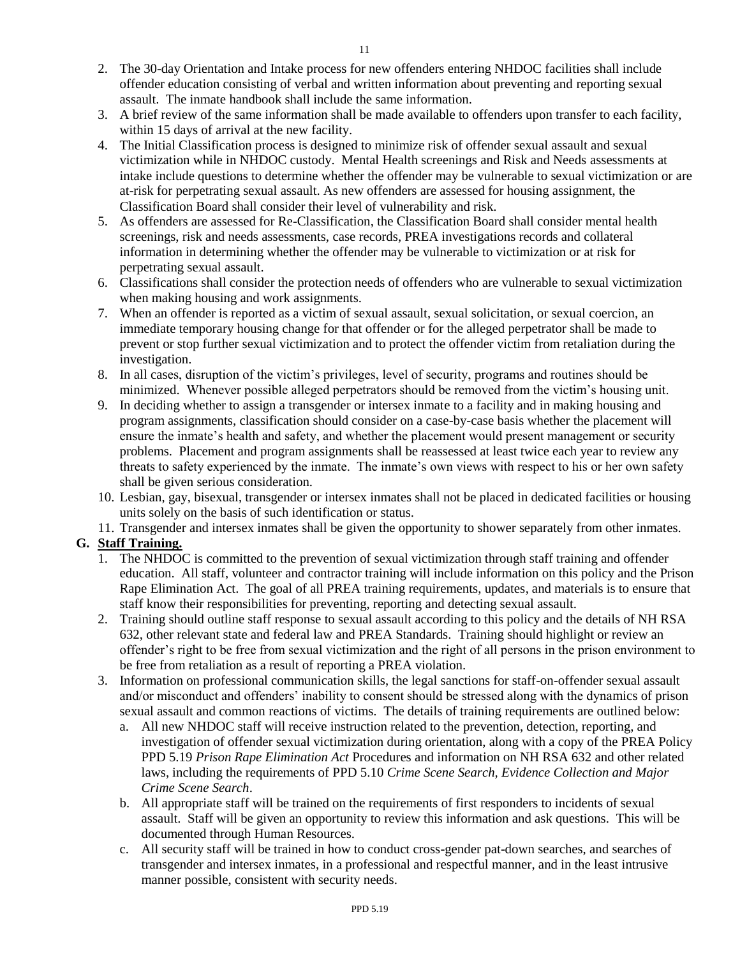- 2. The 30-day Orientation and Intake process for new offenders entering NHDOC facilities shall include offender education consisting of verbal and written information about preventing and reporting sexual assault. The inmate handbook shall include the same information.
- 3. A brief review of the same information shall be made available to offenders upon transfer to each facility, within 15 days of arrival at the new facility.
- 4. The Initial Classification process is designed to minimize risk of offender sexual assault and sexual victimization while in NHDOC custody. Mental Health screenings and Risk and Needs assessments at intake include questions to determine whether the offender may be vulnerable to sexual victimization or are at-risk for perpetrating sexual assault. As new offenders are assessed for housing assignment, the Classification Board shall consider their level of vulnerability and risk.
- 5. As offenders are assessed for Re-Classification, the Classification Board shall consider mental health screenings, risk and needs assessments, case records, PREA investigations records and collateral information in determining whether the offender may be vulnerable to victimization or at risk for perpetrating sexual assault.
- 6. Classifications shall consider the protection needs of offenders who are vulnerable to sexual victimization when making housing and work assignments.
- 7. When an offender is reported as a victim of sexual assault, sexual solicitation, or sexual coercion, an immediate temporary housing change for that offender or for the alleged perpetrator shall be made to prevent or stop further sexual victimization and to protect the offender victim from retaliation during the investigation.
- 8. In all cases, disruption of the victim's privileges, level of security, programs and routines should be minimized. Whenever possible alleged perpetrators should be removed from the victim's housing unit.
- 9. In deciding whether to assign a transgender or intersex inmate to a facility and in making housing and program assignments, classification should consider on a case-by-case basis whether the placement will ensure the inmate's health and safety, and whether the placement would present management or security problems. Placement and program assignments shall be reassessed at least twice each year to review any threats to safety experienced by the inmate. The inmate's own views with respect to his or her own safety shall be given serious consideration.
- 10. Lesbian, gay, bisexual, transgender or intersex inmates shall not be placed in dedicated facilities or housing units solely on the basis of such identification or status.
- 11. Transgender and intersex inmates shall be given the opportunity to shower separately from other inmates.

### **G. Staff Training.**

- 1. The NHDOC is committed to the prevention of sexual victimization through staff training and offender education. All staff, volunteer and contractor training will include information on this policy and the Prison Rape Elimination Act. The goal of all PREA training requirements, updates, and materials is to ensure that staff know their responsibilities for preventing, reporting and detecting sexual assault.
- 2. Training should outline staff response to sexual assault according to this policy and the details of NH RSA 632, other relevant state and federal law and PREA Standards. Training should highlight or review an offender's right to be free from sexual victimization and the right of all persons in the prison environment to be free from retaliation as a result of reporting a PREA violation.
- 3. Information on professional communication skills, the legal sanctions for staff-on-offender sexual assault and/or misconduct and offenders' inability to consent should be stressed along with the dynamics of prison sexual assault and common reactions of victims. The details of training requirements are outlined below:
	- a. All new NHDOC staff will receive instruction related to the prevention, detection, reporting, and investigation of offender sexual victimization during orientation, along with a copy of the PREA Policy PPD 5.19 *Prison Rape Elimination Act* Procedures and information on NH RSA 632 and other related laws, including the requirements of PPD 5.10 *Crime Scene Search, Evidence Collection and Major Crime Scene Search*.
	- b. All appropriate staff will be trained on the requirements of first responders to incidents of sexual assault. Staff will be given an opportunity to review this information and ask questions. This will be documented through Human Resources.
	- c. All security staff will be trained in how to conduct cross-gender pat-down searches, and searches of transgender and intersex inmates, in a professional and respectful manner, and in the least intrusive manner possible, consistent with security needs.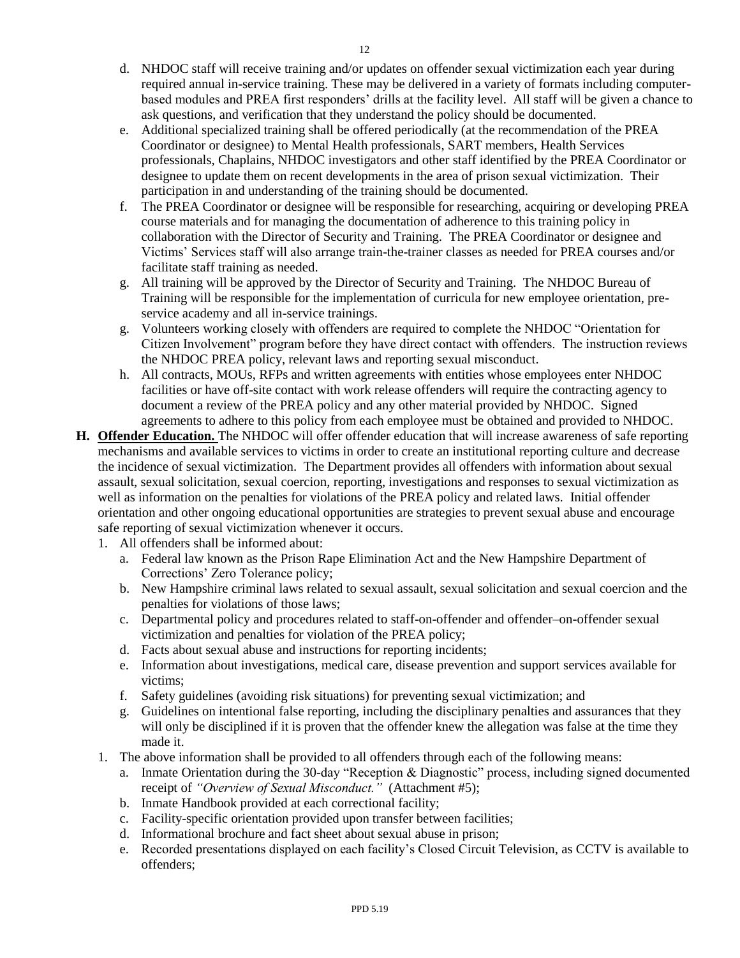- d. NHDOC staff will receive training and/or updates on offender sexual victimization each year during required annual in-service training. These may be delivered in a variety of formats including computerbased modules and PREA first responders' drills at the facility level. All staff will be given a chance to ask questions, and verification that they understand the policy should be documented.
- e. Additional specialized training shall be offered periodically (at the recommendation of the PREA Coordinator or designee) to Mental Health professionals, SART members, Health Services professionals, Chaplains, NHDOC investigators and other staff identified by the PREA Coordinator or designee to update them on recent developments in the area of prison sexual victimization. Their participation in and understanding of the training should be documented.
- f. The PREA Coordinator or designee will be responsible for researching, acquiring or developing PREA course materials and for managing the documentation of adherence to this training policy in collaboration with the Director of Security and Training. The PREA Coordinator or designee and Victims' Services staff will also arrange train-the-trainer classes as needed for PREA courses and/or facilitate staff training as needed.
- g. All training will be approved by the Director of Security and Training. The NHDOC Bureau of Training will be responsible for the implementation of curricula for new employee orientation, preservice academy and all in-service trainings.
- g. Volunteers working closely with offenders are required to complete the NHDOC "Orientation for Citizen Involvement" program before they have direct contact with offenders. The instruction reviews the NHDOC PREA policy, relevant laws and reporting sexual misconduct.
- h. All contracts, MOUs, RFPs and written agreements with entities whose employees enter NHDOC facilities or have off-site contact with work release offenders will require the contracting agency to document a review of the PREA policy and any other material provided by NHDOC. Signed agreements to adhere to this policy from each employee must be obtained and provided to NHDOC.
- **H. Offender Education.** The NHDOC will offer offender education that will increase awareness of safe reporting mechanisms and available services to victims in order to create an institutional reporting culture and decrease the incidence of sexual victimization. The Department provides all offenders with information about sexual assault, sexual solicitation, sexual coercion, reporting, investigations and responses to sexual victimization as well as information on the penalties for violations of the PREA policy and related laws. Initial offender orientation and other ongoing educational opportunities are strategies to prevent sexual abuse and encourage safe reporting of sexual victimization whenever it occurs.
	- 1. All offenders shall be informed about:
		- a. Federal law known as the Prison Rape Elimination Act and the New Hampshire Department of Corrections' Zero Tolerance policy;
		- b. New Hampshire criminal laws related to sexual assault, sexual solicitation and sexual coercion and the penalties for violations of those laws;
		- c. Departmental policy and procedures related to staff-on-offender and offender–on-offender sexual victimization and penalties for violation of the PREA policy;
		- d. Facts about sexual abuse and instructions for reporting incidents;
		- e. Information about investigations, medical care, disease prevention and support services available for victims;
		- f. Safety guidelines (avoiding risk situations) for preventing sexual victimization; and
		- g. Guidelines on intentional false reporting, including the disciplinary penalties and assurances that they will only be disciplined if it is proven that the offender knew the allegation was false at the time they made it.
	- 1. The above information shall be provided to all offenders through each of the following means:
		- a. Inmate Orientation during the 30-day "Reception & Diagnostic" process, including signed documented receipt of *"Overview of Sexual Misconduct."* (Attachment #5);
		- b. Inmate Handbook provided at each correctional facility;
		- c. Facility-specific orientation provided upon transfer between facilities;
		- d. Informational brochure and fact sheet about sexual abuse in prison;
		- e. Recorded presentations displayed on each facility's Closed Circuit Television, as CCTV is available to offenders;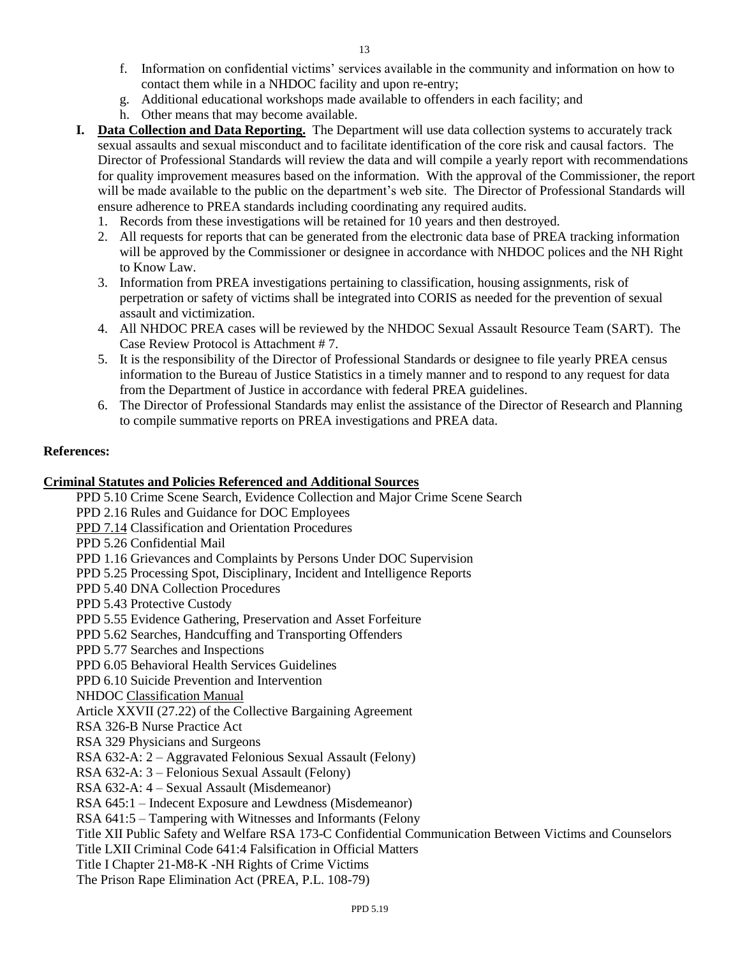- f. Information on confidential victims' services available in the community and information on how to contact them while in a NHDOC facility and upon re-entry;
- g. Additional educational workshops made available to offenders in each facility; and
- h. Other means that may become available.
- **I. Data Collection and Data Reporting.** The Department will use data collection systems to accurately track sexual assaults and sexual misconduct and to facilitate identification of the core risk and causal factors. The Director of Professional Standards will review the data and will compile a yearly report with recommendations for quality improvement measures based on the information. With the approval of the Commissioner, the report will be made available to the public on the department's web site. The Director of Professional Standards will ensure adherence to PREA standards including coordinating any required audits.
	- 1. Records from these investigations will be retained for 10 years and then destroyed.
	- 2. All requests for reports that can be generated from the electronic data base of PREA tracking information will be approved by the Commissioner or designee in accordance with NHDOC polices and the NH Right to Know Law.
	- 3. Information from PREA investigations pertaining to classification, housing assignments, risk of perpetration or safety of victims shall be integrated into CORIS as needed for the prevention of sexual assault and victimization.
	- 4. All NHDOC PREA cases will be reviewed by the NHDOC Sexual Assault Resource Team (SART). The Case Review Protocol is Attachment # 7.
	- 5. It is the responsibility of the Director of Professional Standards or designee to file yearly PREA census information to the Bureau of Justice Statistics in a timely manner and to respond to any request for data from the Department of Justice in accordance with federal PREA guidelines.
	- 6. The Director of Professional Standards may enlist the assistance of the Director of Research and Planning to compile summative reports on PREA investigations and PREA data.

#### **References:**

#### **Criminal Statutes and Policies Referenced and Additional Sources**

PPD 5.10 Crime Scene Search, Evidence Collection and Major Crime Scene Search PPD 2.16 Rules and Guidance for DOC Employees PPD 7.14 Classification and Orientation Procedures PPD 5.26 Confidential Mail PPD 1.16 Grievances and Complaints by Persons Under DOC Supervision PPD 5.25 Processing Spot, Disciplinary, Incident and Intelligence Reports PPD 5.40 DNA Collection Procedures PPD 5.43 Protective Custody PPD 5.55 Evidence Gathering, Preservation and Asset Forfeiture PPD 5.62 Searches, Handcuffing and Transporting Offenders PPD 5.77 Searches and Inspections PPD 6.05 Behavioral Health Services Guidelines PPD 6.10 Suicide Prevention and Intervention NHDOC Classification Manual Article XXVII (27.22) of the Collective Bargaining Agreement RSA 326-B Nurse Practice Act RSA 329 Physicians and Surgeons RSA 632-A: 2 – Aggravated Felonious Sexual Assault (Felony) RSA 632-A: 3 – Felonious Sexual Assault (Felony) RSA 632-A: 4 – Sexual Assault (Misdemeanor) RSA 645:1 – Indecent Exposure and Lewdness (Misdemeanor) RSA 641:5 – Tampering with Witnesses and Informants (Felony Title XII Public Safety and Welfare RSA 173-C Confidential Communication Between Victims and Counselors Title LXII Criminal Code 641:4 Falsification in Official Matters Title I Chapter 21-M8-K -NH Rights of Crime Victims The Prison Rape Elimination Act (PREA, P.L. 108-79)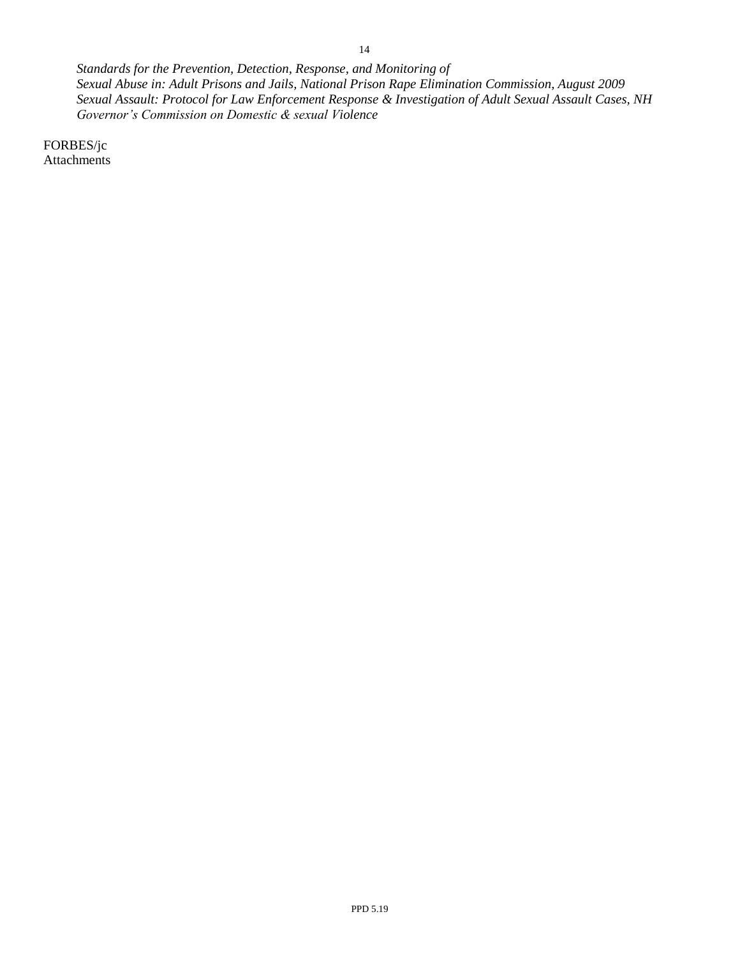*Standards for the Prevention, Detection, Response, and Monitoring of Sexual Abuse in: Adult Prisons and Jails, National Prison Rape Elimination Commission, August 2009 Sexual Assault: Protocol for Law Enforcement Response & Investigation of Adult Sexual Assault Cases, NH Governor's Commission on Domestic & sexual Violence*

FORBES/jc Attachments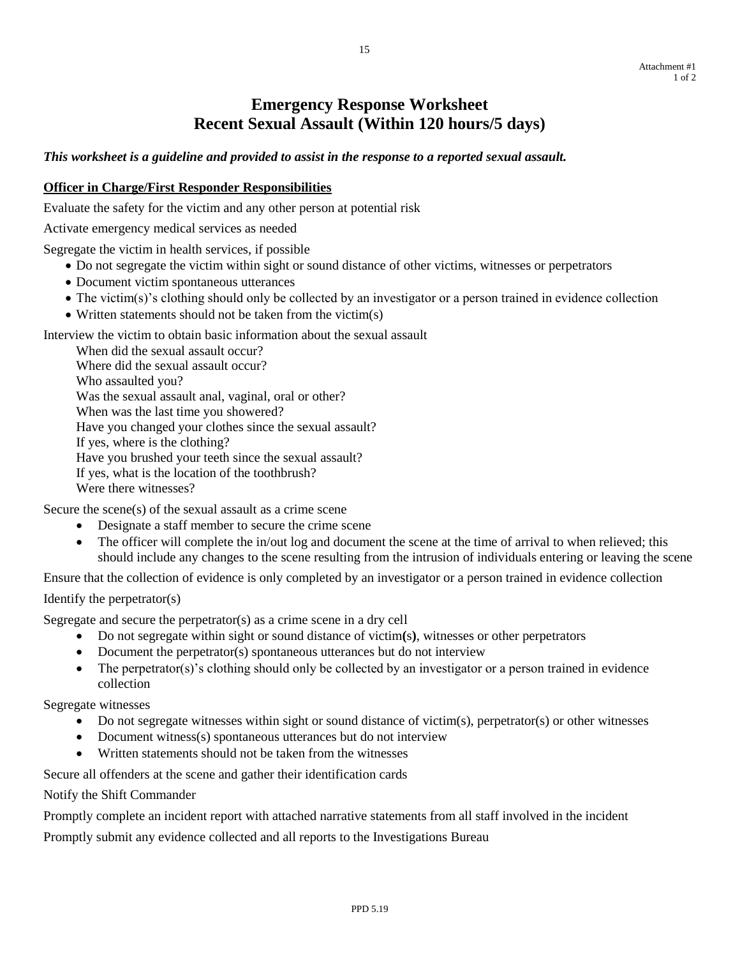## **Emergency Response Worksheet Recent Sexual Assault (Within 120 hours/5 days)**

*This worksheet is a guideline and provided to assist in the response to a reported sexual assault.*

#### **Officer in Charge/First Responder Responsibilities**

Evaluate the safety for the victim and any other person at potential risk

Activate emergency medical services as needed

Segregate the victim in health services, if possible

- Do not segregate the victim within sight or sound distance of other victims, witnesses or perpetrators
- Document victim spontaneous utterances
- The victim(s)'s clothing should only be collected by an investigator or a person trained in evidence collection
- Written statements should not be taken from the victim(s)

Interview the victim to obtain basic information about the sexual assault

When did the sexual assault occur? Where did the sexual assault occur? Who assaulted you? Was the sexual assault anal, vaginal, oral or other? When was the last time you showered? Have you changed your clothes since the sexual assault? If yes, where is the clothing? Have you brushed your teeth since the sexual assault? If yes, what is the location of the toothbrush? Were there witnesses?

Secure the scene(s) of the sexual assault as a crime scene

- Designate a staff member to secure the crime scene
- The officer will complete the in/out log and document the scene at the time of arrival to when relieved; this should include any changes to the scene resulting from the intrusion of individuals entering or leaving the scene

Ensure that the collection of evidence is only completed by an investigator or a person trained in evidence collection

Identify the perpetrator(s)

Segregate and secure the perpetrator(s) as a crime scene in a dry cell

- Do not segregate within sight or sound distance of victim**(**s**)**, witnesses or other perpetrators
- Document the perpetrator(s) spontaneous utterances but do not interview
- The perpetrator(s)'s clothing should only be collected by an investigator or a person trained in evidence collection

Segregate witnesses

- Do not segregate witnesses within sight or sound distance of victim(s), perpetrator(s) or other witnesses
- Document witness(s) spontaneous utterances but do not interview
- Written statements should not be taken from the witnesses

Secure all offenders at the scene and gather their identification cards

Notify the Shift Commander

Promptly complete an incident report with attached narrative statements from all staff involved in the incident

Promptly submit any evidence collected and all reports to the Investigations Bureau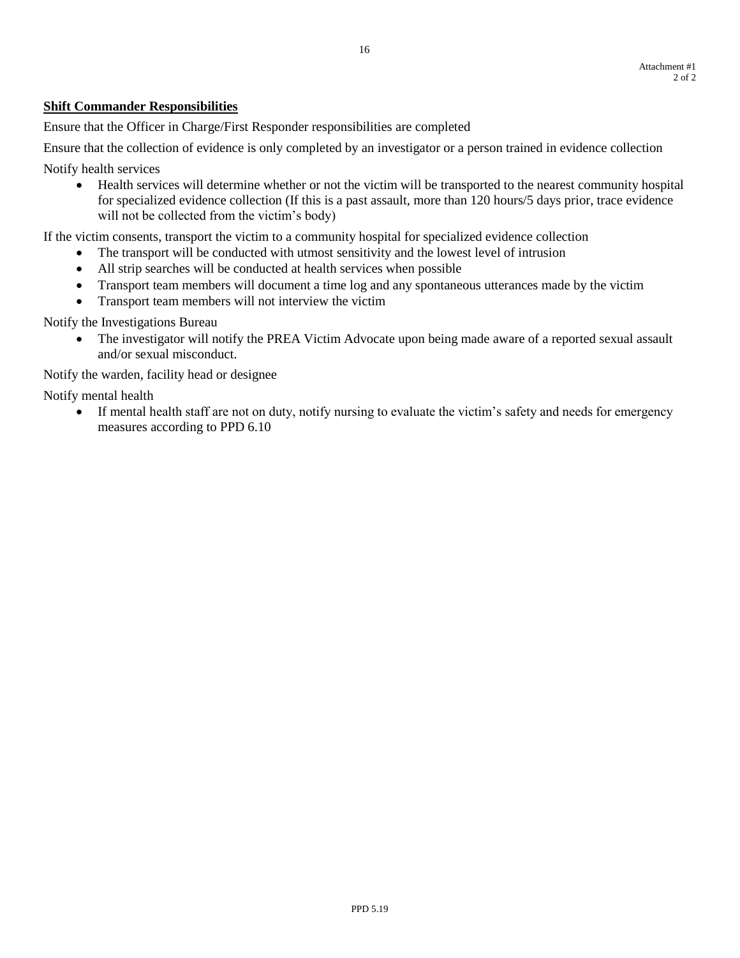#### **Shift Commander Responsibilities**

Ensure that the Officer in Charge/First Responder responsibilities are completed

Ensure that the collection of evidence is only completed by an investigator or a person trained in evidence collection

Notify health services

 Health services will determine whether or not the victim will be transported to the nearest community hospital for specialized evidence collection (If this is a past assault, more than 120 hours/5 days prior, trace evidence will not be collected from the victim's body)

If the victim consents, transport the victim to a community hospital for specialized evidence collection

- The transport will be conducted with utmost sensitivity and the lowest level of intrusion
- All strip searches will be conducted at health services when possible
- Transport team members will document a time log and any spontaneous utterances made by the victim
- Transport team members will not interview the victim

Notify the Investigations Bureau

• The investigator will notify the PREA Victim Advocate upon being made aware of a reported sexual assault and/or sexual misconduct.

Notify the warden, facility head or designee

Notify mental health

 If mental health staff are not on duty, notify nursing to evaluate the victim's safety and needs for emergency measures according to PPD 6.10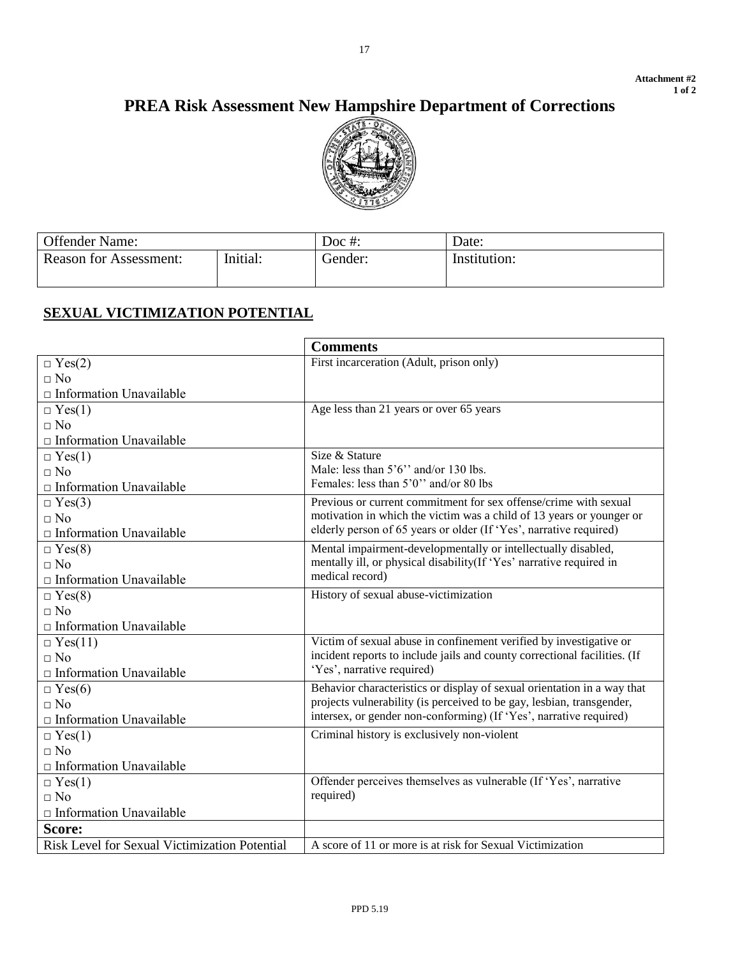## **PREA Risk Assessment New Hampshire Department of Corrections**



| <b>Offender Name:</b>         |          | Doc #:  | Date:        |
|-------------------------------|----------|---------|--------------|
| <b>Reason for Assessment:</b> | Initial: | .ender: | Institution: |

## **SEXUAL VICTIMIZATION POTENTIAL**

|                                               | <b>Comments</b>                                                           |
|-----------------------------------------------|---------------------------------------------------------------------------|
| $\Box$ Yes(2)                                 | First incarceration (Adult, prison only)                                  |
| $\Box$ No                                     |                                                                           |
| $\Box$ Information Unavailable                |                                                                           |
| $\Box$ Yes(1)                                 | Age less than 21 years or over 65 years                                   |
| $\Box$ No                                     |                                                                           |
| $\Box$ Information Unavailable                |                                                                           |
| $\Box$ Yes(1)                                 | Size & Stature                                                            |
| $\Box$ No                                     | Male: less than 5'6" and/or 130 lbs.                                      |
| $\Box$ Information Unavailable                | Females: less than 5'0" and/or 80 lbs                                     |
| $\Box$ Yes(3)                                 | Previous or current commitment for sex offense/crime with sexual          |
| $\Box$ No                                     | motivation in which the victim was a child of 13 years or younger or      |
| $\Box$ Information Unavailable                | elderly person of 65 years or older (If 'Yes', narrative required)        |
| $\Box$ Yes(8)                                 | Mental impairment-developmentally or intellectually disabled,             |
| $\Box$ No                                     | mentally ill, or physical disability (If 'Yes' narrative required in      |
| $\Box$ Information Unavailable                | medical record)                                                           |
| $\Box$ Yes(8)                                 | History of sexual abuse-victimization                                     |
| $\Box$ No                                     |                                                                           |
| $\Box$ Information Unavailable                |                                                                           |
| $\Box$ Yes(11)                                | Victim of sexual abuse in confinement verified by investigative or        |
| $\Box$ No                                     | incident reports to include jails and county correctional facilities. (If |
| $\Box$ Information Unavailable                | 'Yes', narrative required)                                                |
| $\Box$ Yes(6)                                 | Behavior characteristics or display of sexual orientation in a way that   |
| $\Box$ No                                     | projects vulnerability (is perceived to be gay, lesbian, transgender,     |
| $\Box$ Information Unavailable                | intersex, or gender non-conforming) (If 'Yes', narrative required)        |
| $\Box$ Yes(1)                                 | Criminal history is exclusively non-violent                               |
| $\Box$ No                                     |                                                                           |
| $\Box$ Information Unavailable                |                                                                           |
| $\Box$ Yes(1)                                 | Offender perceives themselves as vulnerable (If 'Yes', narrative          |
| $\Box$ No                                     | required)                                                                 |
| $\Box$ Information Unavailable                |                                                                           |
| Score:                                        |                                                                           |
| Risk Level for Sexual Victimization Potential | A score of 11 or more is at risk for Sexual Victimization                 |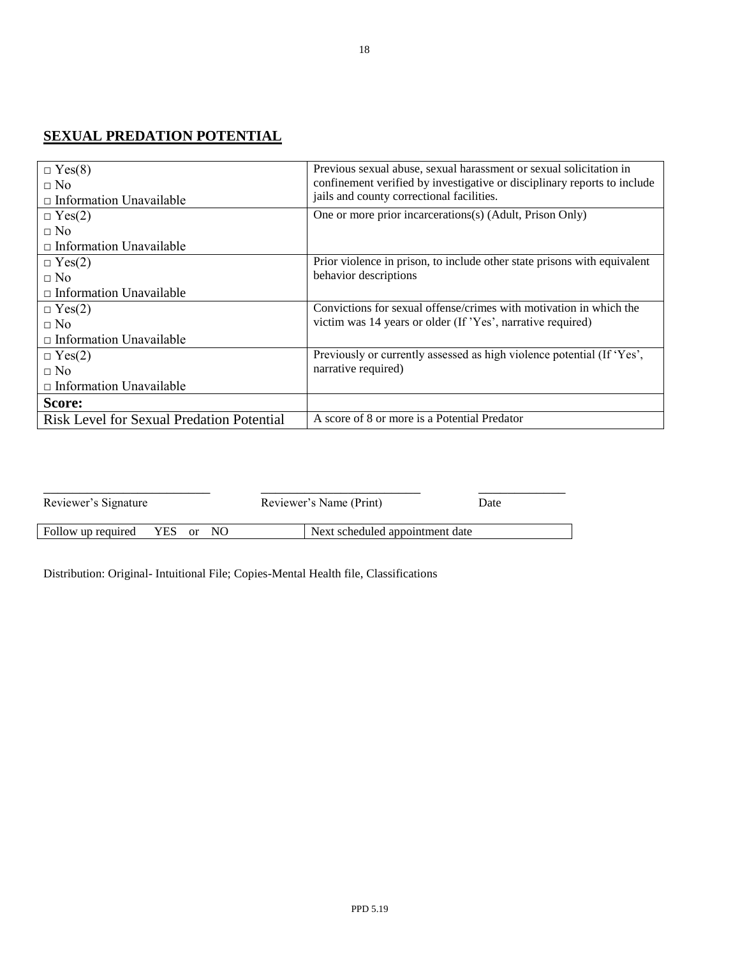## **SEXUAL PREDATION POTENTIAL**

| $\Box$ Yes(8)<br>$\Box$ No<br>$\Box$ Information Unavailable | Previous sexual abuse, sexual harassment or sexual solicitation in<br>confinement verified by investigative or disciplinary reports to include<br>jails and county correctional facilities. |
|--------------------------------------------------------------|---------------------------------------------------------------------------------------------------------------------------------------------------------------------------------------------|
| $\Box$ Yes(2)                                                | One or more prior incarcerations(s) (Adult, Prison Only)                                                                                                                                    |
| $\Box$ No                                                    |                                                                                                                                                                                             |
| $\Box$ Information Unavailable                               |                                                                                                                                                                                             |
| $\Box$ Yes(2)                                                | Prior violence in prison, to include other state prisons with equivalent                                                                                                                    |
| $\Box$ No                                                    | behavior descriptions                                                                                                                                                                       |
| $\Box$ Information Unavailable                               |                                                                                                                                                                                             |
| $\Box$ Yes(2)                                                | Convictions for sexual offense/crimes with motivation in which the                                                                                                                          |
| $\Box$ No                                                    | victim was 14 years or older (If 'Yes', narrative required)                                                                                                                                 |
| $\Box$ Information Unavailable                               |                                                                                                                                                                                             |
| $\Box$ Yes(2)                                                | Previously or currently assessed as high violence potential (If 'Yes',                                                                                                                      |
| $\Box$ No                                                    | narrative required)                                                                                                                                                                         |
| $\Box$ Information Unavailable                               |                                                                                                                                                                                             |
| Score:                                                       |                                                                                                                                                                                             |
| <b>Risk Level for Sexual Predation Potential</b>             | A score of 8 or more is a Potential Predator                                                                                                                                                |

| Reviewer's Signature                               | Reviewer's Name (Print)         | Date |
|----------------------------------------------------|---------------------------------|------|
| Follow up required<br>YES<br>- NO<br><sub>or</sub> | Next scheduled appointment date |      |

Distribution: Original- Intuitional File; Copies-Mental Health file, Classifications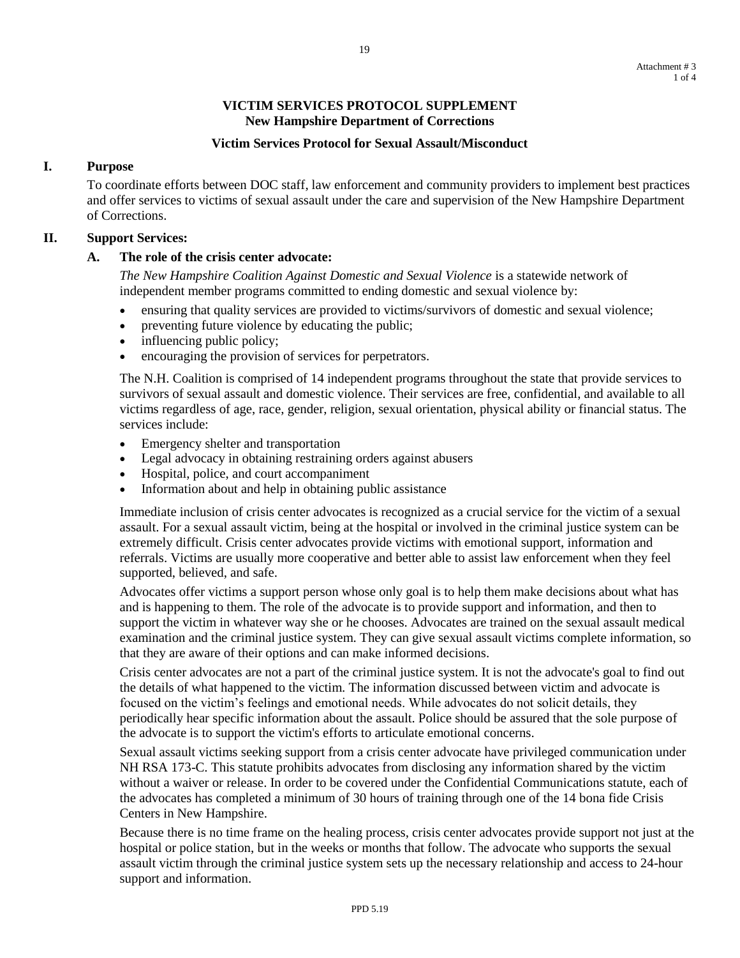#### **VICTIM SERVICES PROTOCOL SUPPLEMENT New Hampshire Department of Corrections**

#### **Victim Services Protocol for Sexual Assault/Misconduct**

#### **I. Purpose**

To coordinate efforts between DOC staff, law enforcement and community providers to implement best practices and offer services to victims of sexual assault under the care and supervision of the New Hampshire Department of Corrections.

#### **II. Support Services:**

#### **A. The role of the crisis center advocate:**

*The New Hampshire Coalition Against Domestic and Sexual Violence* is a statewide network of independent member programs committed to ending domestic and sexual violence by:

- ensuring that quality services are provided to victims/survivors of domestic and sexual violence;
- preventing future violence by educating the public;
- influencing public policy;
- encouraging the provision of services for perpetrators.

The N.H. Coalition is comprised of 14 independent programs throughout the state that provide services to survivors of sexual assault and domestic violence. Their services are free, confidential, and available to all victims regardless of age, race, gender, religion, sexual orientation, physical ability or financial status. The services include:

- Emergency shelter and transportation
- Legal advocacy in obtaining restraining orders against abusers
- Hospital, police, and court accompaniment
- Information about and help in obtaining public assistance

Immediate inclusion of crisis center advocates is recognized as a crucial service for the victim of a sexual assault. For a sexual assault victim, being at the hospital or involved in the criminal justice system can be extremely difficult. Crisis center advocates provide victims with emotional support, information and referrals. Victims are usually more cooperative and better able to assist law enforcement when they feel supported, believed, and safe.

Advocates offer victims a support person whose only goal is to help them make decisions about what has and is happening to them. The role of the advocate is to provide support and information, and then to support the victim in whatever way she or he chooses. Advocates are trained on the sexual assault medical examination and the criminal justice system. They can give sexual assault victims complete information, so that they are aware of their options and can make informed decisions.

Crisis center advocates are not a part of the criminal justice system. It is not the advocate's goal to find out the details of what happened to the victim. The information discussed between victim and advocate is focused on the victim's feelings and emotional needs. While advocates do not solicit details, they periodically hear specific information about the assault. Police should be assured that the sole purpose of the advocate is to support the victim's efforts to articulate emotional concerns.

Sexual assault victims seeking support from a crisis center advocate have privileged communication under NH RSA 173-C. This statute prohibits advocates from disclosing any information shared by the victim without a waiver or release. In order to be covered under the Confidential Communications statute, each of the advocates has completed a minimum of 30 hours of training through one of the 14 bona fide Crisis Centers in New Hampshire.

Because there is no time frame on the healing process, crisis center advocates provide support not just at the hospital or police station, but in the weeks or months that follow. The advocate who supports the sexual assault victim through the criminal justice system sets up the necessary relationship and access to 24-hour support and information.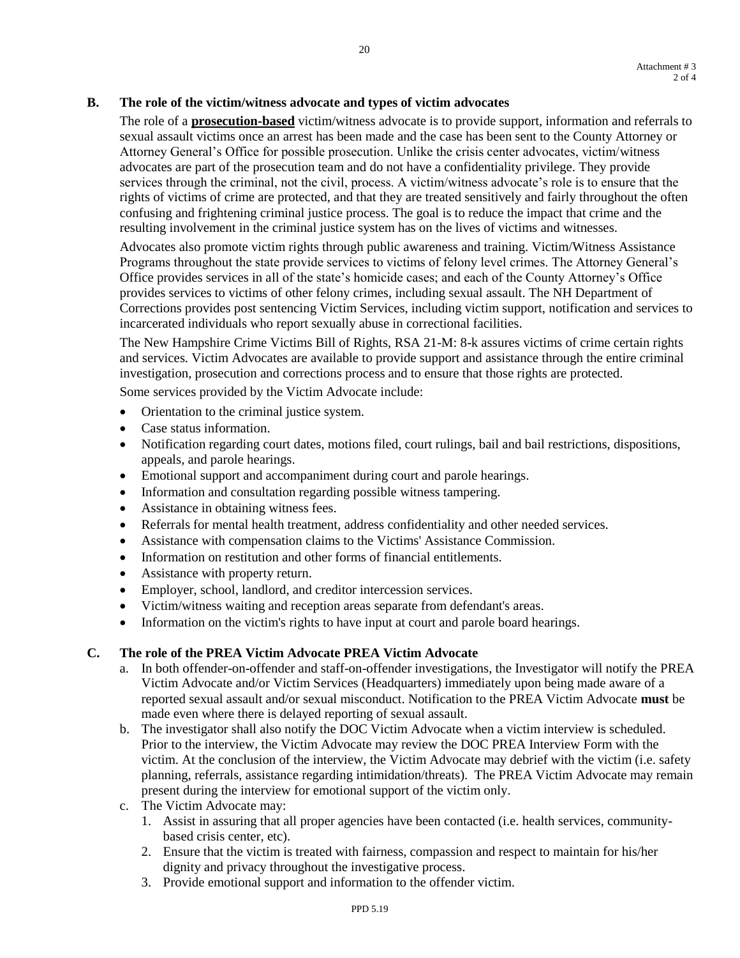#### **B. The role of the victim/witness advocate and types of victim advocates**

The role of a **prosecution-based** victim/witness advocate is to provide support, information and referrals to sexual assault victims once an arrest has been made and the case has been sent to the County Attorney or Attorney General's Office for possible prosecution. Unlike the crisis center advocates, victim/witness advocates are part of the prosecution team and do not have a confidentiality privilege. They provide services through the criminal, not the civil, process. A victim/witness advocate's role is to ensure that the rights of victims of crime are protected, and that they are treated sensitively and fairly throughout the often confusing and frightening criminal justice process. The goal is to reduce the impact that crime and the resulting involvement in the criminal justice system has on the lives of victims and witnesses.

20

Advocates also promote victim rights through public awareness and training. Victim/Witness Assistance Programs throughout the state provide services to victims of felony level crimes. The Attorney General's Office provides services in all of the state's homicide cases; and each of the County Attorney's Office provides services to victims of other felony crimes, including sexual assault. The NH Department of Corrections provides post sentencing Victim Services, including victim support, notification and services to incarcerated individuals who report sexually abuse in correctional facilities.

The New Hampshire Crime Victims Bill of Rights, RSA 21-M: 8-k assures victims of crime certain rights and services. Victim Advocates are available to provide support and assistance through the entire criminal investigation, prosecution and corrections process and to ensure that those rights are protected.

Some services provided by the Victim Advocate include:

- Orientation to the criminal justice system.
- Case status information.
- Notification regarding court dates, motions filed, court rulings, bail and bail restrictions, dispositions, appeals, and parole hearings.
- Emotional support and accompaniment during court and parole hearings.
- Information and consultation regarding possible witness tampering.
- Assistance in obtaining witness fees.
- Referrals for mental health treatment, address confidentiality and other needed services.
- Assistance with compensation claims to the Victims' Assistance Commission.
- Information on restitution and other forms of financial entitlements.
- Assistance with property return.
- Employer, school, landlord, and creditor intercession services.
- Victim/witness waiting and reception areas separate from defendant's areas.
- Information on the victim's rights to have input at court and parole board hearings.

#### **C. The role of the PREA Victim Advocate PREA Victim Advocate**

- a. In both offender-on-offender and staff-on-offender investigations, the Investigator will notify the PREA Victim Advocate and/or Victim Services (Headquarters) immediately upon being made aware of a reported sexual assault and/or sexual misconduct. Notification to the PREA Victim Advocate **must** be made even where there is delayed reporting of sexual assault.
- b. The investigator shall also notify the DOC Victim Advocate when a victim interview is scheduled. Prior to the interview, the Victim Advocate may review the DOC PREA Interview Form with the victim. At the conclusion of the interview, the Victim Advocate may debrief with the victim (i.e. safety planning, referrals, assistance regarding intimidation/threats). The PREA Victim Advocate may remain present during the interview for emotional support of the victim only.
- c. The Victim Advocate may:
	- 1. Assist in assuring that all proper agencies have been contacted (i.e. health services, communitybased crisis center, etc).
	- 2. Ensure that the victim is treated with fairness, compassion and respect to maintain for his/her dignity and privacy throughout the investigative process.
	- 3. Provide emotional support and information to the offender victim.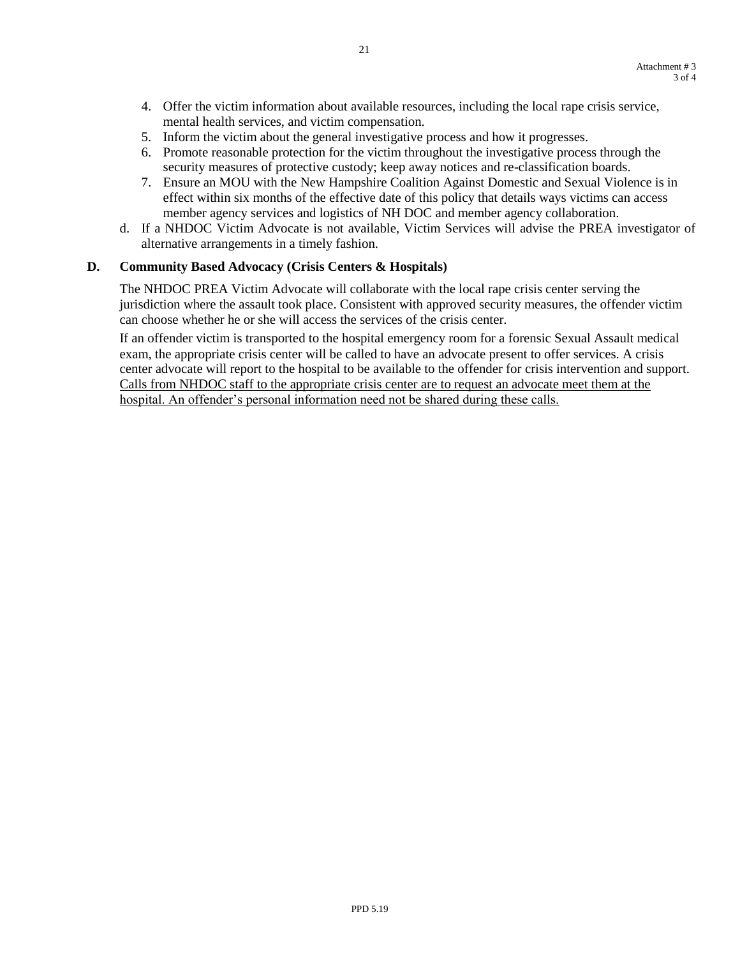- 4. Offer the victim information about available resources, including the local rape crisis service, mental health services, and victim compensation.
- 5. Inform the victim about the general investigative process and how it progresses.
- 6. Promote reasonable protection for the victim throughout the investigative process through the security measures of protective custody; keep away notices and re-classification boards.
- 7. Ensure an MOU with the New Hampshire Coalition Against Domestic and Sexual Violence is in effect within six months of the effective date of this policy that details ways victims can access member agency services and logistics of NH DOC and member agency collaboration.
- d. If a NHDOC Victim Advocate is not available, Victim Services will advise the PREA investigator of alternative arrangements in a timely fashion.

#### **D. Community Based Advocacy (Crisis Centers & Hospitals)**

The NHDOC PREA Victim Advocate will collaborate with the local rape crisis center serving the jurisdiction where the assault took place. Consistent with approved security measures, the offender victim can choose whether he or she will access the services of the crisis center.

If an offender victim is transported to the hospital emergency room for a forensic Sexual Assault medical exam, the appropriate crisis center will be called to have an advocate present to offer services. A crisis center advocate will report to the hospital to be available to the offender for crisis intervention and support. Calls from NHDOC staff to the appropriate crisis center are to request an advocate meet them at the hospital. An offender's personal information need not be shared during these calls.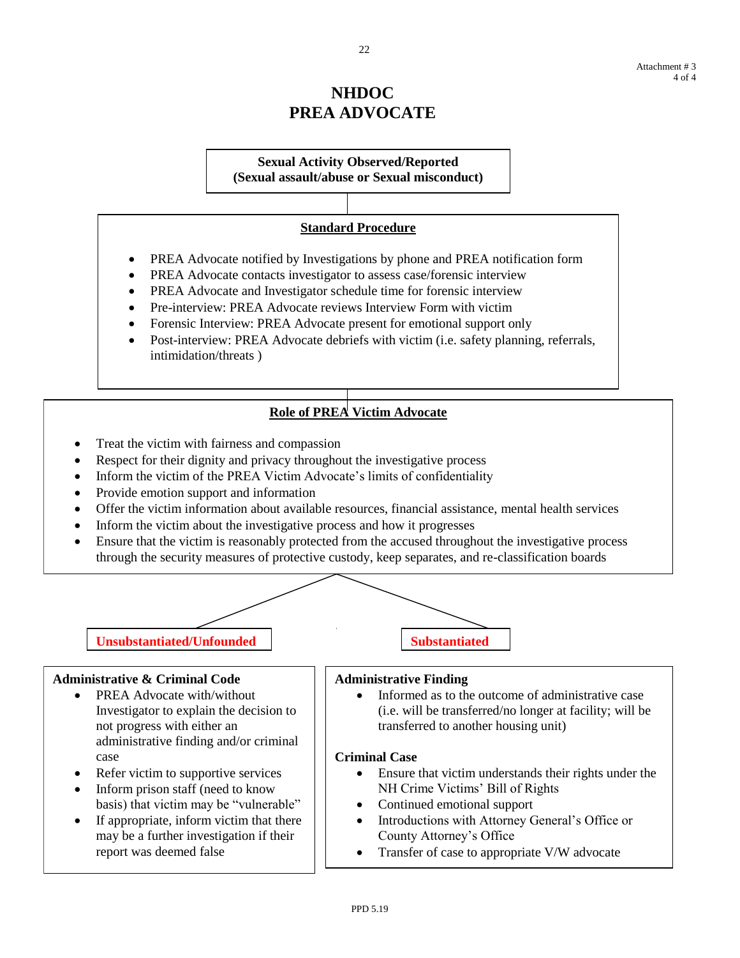## **NHDOC PREA ADVOCATE**

#### **Sexual Activity Observed/Reported (Sexual assault/abuse or Sexual misconduct)**

#### **Standard Procedure**

- PREA Advocate notified by Investigations by phone and PREA notification form
- PREA Advocate contacts investigator to assess case/forensic interview
- PREA Advocate and Investigator schedule time for forensic interview
- Pre-interview: PREA Advocate reviews Interview Form with victim
- Forensic Interview: PREA Advocate present for emotional support only
- Post-interview: PREA Advocate debriefs with victim (i.e. safety planning, referrals, intimidation/threats )

## **Role of PREA Victim Advocate**

- Treat the victim with fairness and compassion
- Respect for their dignity and privacy throughout the investigative process
- Inform the victim of the PREA Victim Advocate's limits of confidentiality
- Provide emotion support and information
- Offer the victim information about available resources, financial assistance, mental health services
- Inform the victim about the investigative process and how it progresses
- Ensure that the victim is reasonably protected from the accused throughout the investigative process through the security measures of protective custody, keep separates, and re-classification boards





- PREA Advocate with/without Investigator to explain the decision to not progress with either an administrative finding and/or criminal case
- Refer victim to supportive services
- Inform prison staff (need to know basis) that victim may be "vulnerable"
- If appropriate, inform victim that there may be a further investigation if their report was deemed false



#### **Administrative Finding**

• Informed as to the outcome of administrative case (i.e. will be transferred/no longer at facility; will be transferred to another housing unit)

#### **Criminal Case**

- Ensure that victim understands their rights under the NH Crime Victims' Bill of Rights
- Continued emotional support
- Introductions with Attorney General's Office or County Attorney's Office
- Transfer of case to appropriate V/W advocate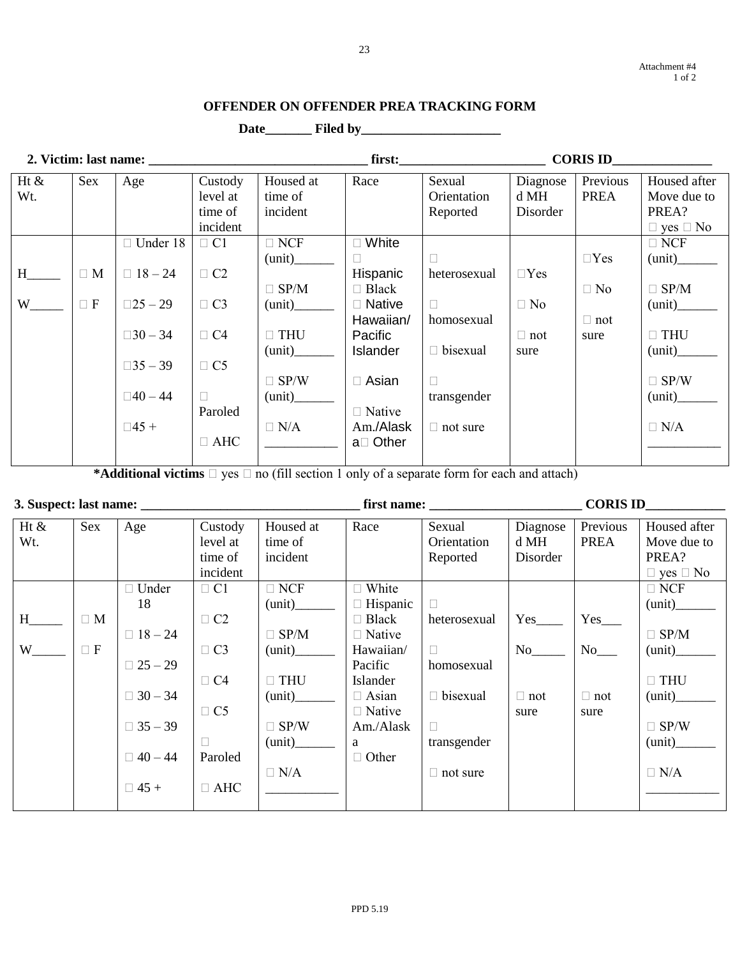#### **OFFENDER ON OFFENDER PREA TRACKING FORM**

#### **Date\_\_\_\_\_\_\_ Filed by\_\_\_\_\_\_\_\_\_\_\_\_\_\_\_\_\_\_\_\_\_**

|         |          | 2. Victim: last name: |                       |                  | first:        |                 |            | <b>CORIS ID</b> |                      |
|---------|----------|-----------------------|-----------------------|------------------|---------------|-----------------|------------|-----------------|----------------------|
| Ht $\&$ | Sex      | Age                   | Custody               | Housed at        | Race          | Sexual          | Diagnose   | Previous        | Housed after         |
| Wt.     |          |                       | level at              | time of          |               | Orientation     | d MH       | <b>PREA</b>     | Move due to          |
|         |          |                       | time of               | incident         |               | Reported        | Disorder   |                 | PREA?                |
|         |          |                       | incident              |                  |               |                 |            |                 | $\Box$ yes $\Box$ No |
|         |          | $\Box$ Under 18       | $\Box$ C1             | $\square$<br>NCF | $\Box$ White  |                 |            |                 | $\Box$ NCF           |
|         |          |                       |                       | (unit)           | $\Box$        | П               |            | $\Box$ Yes      | (unit)               |
| H       | $\Box$ M | $\Box$ 18 - 24        | $\Box$ C <sub>2</sub> |                  | Hispanic      | heterosexual    | $\Box$ Yes |                 |                      |
|         |          |                       |                       | $\Box$ SP/M      | $\Box$ Black  |                 |            | $\Box$ No       | $\Box$ SP/M          |
| W       | $\Box$ F | $\Box 25 - 29$        | $\Box$ C3             | (unit)           | $\Box$ Native | $\Box$          | $\Box$ No  |                 | (unit)               |
|         |          |                       |                       |                  | Hawaiian/     | homosexual      |            | $\Box$ not      |                      |
|         |          | $\Box 30 - 34$        | $\Box$ C4             | $\Box$ THU       | Pacific       |                 | $\Box$ not | sure            | $\Box$ THU           |
|         |          |                       |                       | (unit)           | Islander      | $\Box$ bisexual | sure       |                 | (unit)               |
|         |          | $\Box 35 - 39$        | $\Box$ C5             |                  |               |                 |            |                 |                      |
|         |          |                       |                       | $\Box$ SP/W      | $\Box$ Asian  | $\Box$          |            |                 | $\Box$ SP/W          |
|         |          | $\Box 40 - 44$        | $\Box$                | (unit)           |               | transgender     |            |                 | (unit)               |
|         |          |                       | Paroled               |                  | $\Box$ Native |                 |            |                 |                      |
|         |          | $\Box$ 45 +           |                       | $\Box$ N/A       | Am./Alask     | $\Box$ not sure |            |                 | $\Box$ N/A           |
|         |          |                       | $\Box$ AHC            |                  | a□ Other      |                 |            |                 |                      |
|         |          |                       |                       |                  |               |                 |            |                 |                      |

\***Additional victims**  $\Box$  yes  $\Box$  no (fill section 1 only of a separate form for each and attach)

## **3. Suspect: last name: \_\_\_\_\_\_\_\_\_\_\_\_\_\_\_\_\_\_\_\_\_\_\_\_\_\_\_\_\_\_\_\_\_ first name: \_\_\_\_\_\_\_\_\_\_\_\_\_\_\_\_\_\_\_\_\_\_\_ CORIS ID\_\_\_\_\_\_\_\_\_\_\_\_**

| Ht $\&$ | Sex      | Age            | Custody               | Housed at   | Race            | Sexual          | Diagnose   | Previous             | Housed after         |
|---------|----------|----------------|-----------------------|-------------|-----------------|-----------------|------------|----------------------|----------------------|
| Wt.     |          |                | level at              | time of     |                 | Orientation     | d MH       | <b>PREA</b>          | Move due to          |
|         |          |                | time of               | incident    |                 | Reported        | Disorder   |                      | PREA?                |
|         |          |                | incident              |             |                 |                 |            |                      | $\Box$ yes $\Box$ No |
|         |          | $\Box$ Under   | $\Box$ C1             | $\Box$ NCF  | $\Box$ White    |                 |            |                      | $\Box$ NCF           |
|         |          | 18             |                       | (unit)      | $\Box$ Hispanic | П               |            |                      |                      |
| H       | $\Box$ M |                | $\Box$ C <sub>2</sub> |             | $\Box$ Black    | heterosexual    | Yes        | $Yes$ <sub>___</sub> |                      |
|         |          | $18 - 24$      |                       | $\Box$ SP/M | $\Box$ Native   |                 |            |                      | $\Box$ SP/M          |
| W       | $\Box$ F |                | $\Box$ C3             | (unit)      | Hawaiian/       | $\Box$          | No         | $No$ <sub>___</sub>  | (unit)               |
|         |          | $\Box$ 25 – 29 |                       |             | Pacific         | homosexual      |            |                      |                      |
|         |          |                | $\Box$ C4             | $\Box$ THU  | Islander        |                 |            |                      | $\Box$ THU           |
|         |          | $\Box$ 30 – 34 |                       | (unit)      | $\Box$ Asian    | $\Box$ bisexual | $\Box$ not | $\Box$ not           | (unit)               |
|         |          |                | $\Box$ C5             |             | $\Box$ Native   |                 | sure       | sure                 |                      |
|         |          | $\Box$ 35 – 39 |                       | $\Box$ SP/W | Am./Alask       | П               |            |                      | $\Box$ SP/W          |
|         |          |                |                       | (unit)      | a               | transgender     |            |                      | (unit)               |
|         |          | $\Box$ 40 – 44 | Paroled               |             | $\Box$ Other    |                 |            |                      |                      |
|         |          |                |                       | $\Box$ N/A  |                 | $\Box$ not sure |            |                      | $\Box$ N/A           |
|         |          | $\Box$ 45 +    | $\Box$ AHC            |             |                 |                 |            |                      |                      |
|         |          |                |                       |             |                 |                 |            |                      |                      |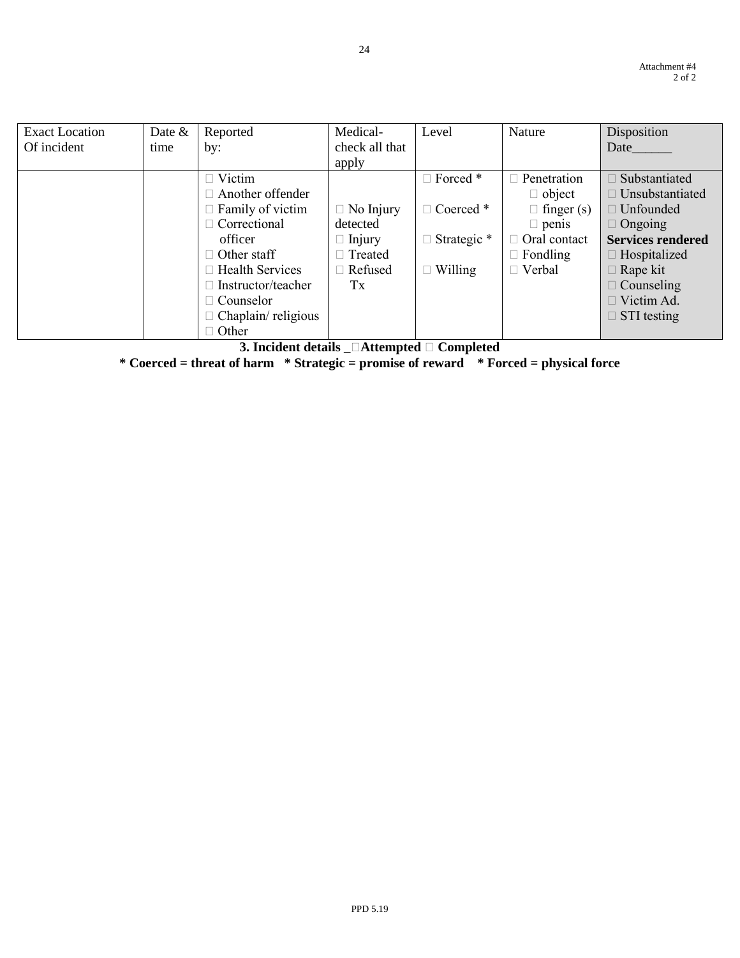| <b>Exact Location</b> | Date & | Reported                  | Medical-         | Level              | Nature            | Disposition              |
|-----------------------|--------|---------------------------|------------------|--------------------|-------------------|--------------------------|
| Of incident           | time   | by:                       | check all that   |                    |                   | Date                     |
|                       |        |                           | apply            |                    |                   |                          |
|                       |        | $\Box$ Victim             |                  | $\Box$ Forced *    | Penetration       | $\Box$ Substantiated     |
|                       |        | $\Box$ Another offender   |                  |                    | $\Box$ object     | $\Box$ Unsubstantiated   |
|                       |        | $\Box$ Family of victim   | $\Box$ No Injury | $\Box$ Coerced *   | $\Box$ finger (s) | $\Box$ Unfounded         |
|                       |        | $\Box$ Correctional       | detected         |                    | $\Box$ penis      | $\Box$ Ongoing           |
|                       |        | officer                   | $\Box$ Injury    | $\Box$ Strategic * | Oral contact      | <b>Services rendered</b> |
|                       |        | $\Box$ Other staff        | □ Treated        |                    | $\Box$ Fondling   | $\Box$ Hospitalized      |
|                       |        | $\Box$ Health Services    | $\Box$ Refused   | $\Box$ Willing     | □ Verbal          | $\Box$ Rape kit          |
|                       |        | $\Box$ Instructor/teacher | Tx               |                    |                   | $\Box$ Counseling        |
|                       |        | $\Box$ Counselor          |                  |                    |                   | $\Box$ Victim Ad.        |
|                       |        | $\Box$ Chaplain/religious |                  |                    |                   | $\Box$ STI testing       |
|                       |        | $\Box$ Other              |                  |                    |                   |                          |

24

**3. Incident details \_Attempted Completed**

**\* Coerced = threat of harm \* Strategic = promise of reward \* Forced = physical force**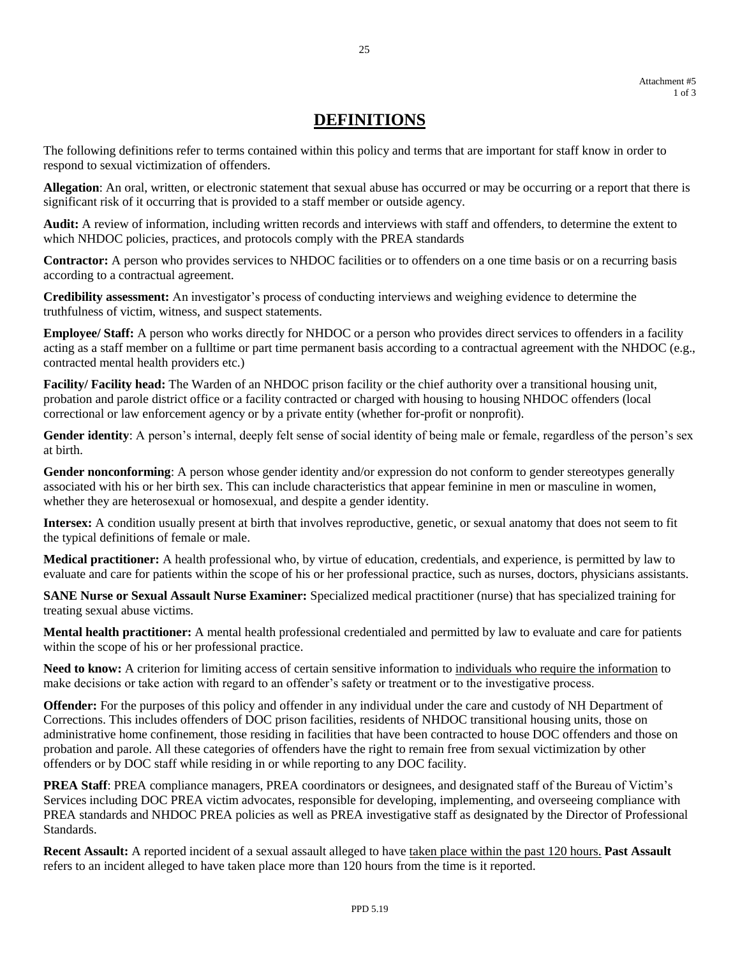## **DEFINITIONS**

The following definitions refer to terms contained within this policy and terms that are important for staff know in order to respond to sexual victimization of offenders.

**Allegation**: An oral, written, or electronic statement that sexual abuse has occurred or may be occurring or a report that there is significant risk of it occurring that is provided to a staff member or outside agency.

**Audit:** A review of information, including written records and interviews with staff and offenders, to determine the extent to which NHDOC policies, practices, and protocols comply with the PREA standards

**Contractor:** A person who provides services to NHDOC facilities or to offenders on a one time basis or on a recurring basis according to a contractual agreement.

**Credibility assessment:** An investigator's process of conducting interviews and weighing evidence to determine the truthfulness of victim, witness, and suspect statements.

**Employee/ Staff:** A person who works directly for NHDOC or a person who provides direct services to offenders in a facility acting as a staff member on a fulltime or part time permanent basis according to a contractual agreement with the NHDOC (e.g., contracted mental health providers etc.)

**Facility/ Facility head:** The Warden of an NHDOC prison facility or the chief authority over a transitional housing unit, probation and parole district office or a facility contracted or charged with housing to housing NHDOC offenders (local correctional or law enforcement agency or by a private entity (whether for-profit or nonprofit).

Gender identity: A person's internal, deeply felt sense of social identity of being male or female, regardless of the person's sex at birth.

**Gender nonconforming**: A person whose gender identity and/or expression do not conform to gender stereotypes generally associated with his or her birth sex. This can include characteristics that appear feminine in men or masculine in women, whether they are heterosexual or homosexual, and despite a gender identity.

**Intersex:** A condition usually present at birth that involves reproductive, genetic, or sexual anatomy that does not seem to fit the typical definitions of female or male.

**Medical practitioner:** A health professional who, by virtue of education, credentials, and experience, is permitted by law to evaluate and care for patients within the scope of his or her professional practice, such as nurses, doctors, physicians assistants.

**SANE Nurse or Sexual Assault Nurse Examiner:** Specialized medical practitioner (nurse) that has specialized training for treating sexual abuse victims.

**Mental health practitioner:** A mental health professional credentialed and permitted by law to evaluate and care for patients within the scope of his or her professional practice.

**Need to know:** A criterion for limiting access of certain sensitive information to individuals who require the information to make decisions or take action with regard to an offender's safety or treatment or to the investigative process.

**Offender:** For the purposes of this policy and offender in any individual under the care and custody of NH Department of Corrections. This includes offenders of DOC prison facilities, residents of NHDOC transitional housing units, those on administrative home confinement, those residing in facilities that have been contracted to house DOC offenders and those on probation and parole. All these categories of offenders have the right to remain free from sexual victimization by other offenders or by DOC staff while residing in or while reporting to any DOC facility.

**PREA Staff**: PREA compliance managers, PREA coordinators or designees, and designated staff of the Bureau of Victim's Services including DOC PREA victim advocates, responsible for developing, implementing, and overseeing compliance with PREA standards and NHDOC PREA policies as well as PREA investigative staff as designated by the Director of Professional Standards.

**Recent Assault:** A reported incident of a sexual assault alleged to have taken place within the past 120 hours. **Past Assault**  refers to an incident alleged to have taken place more than 120 hours from the time is it reported.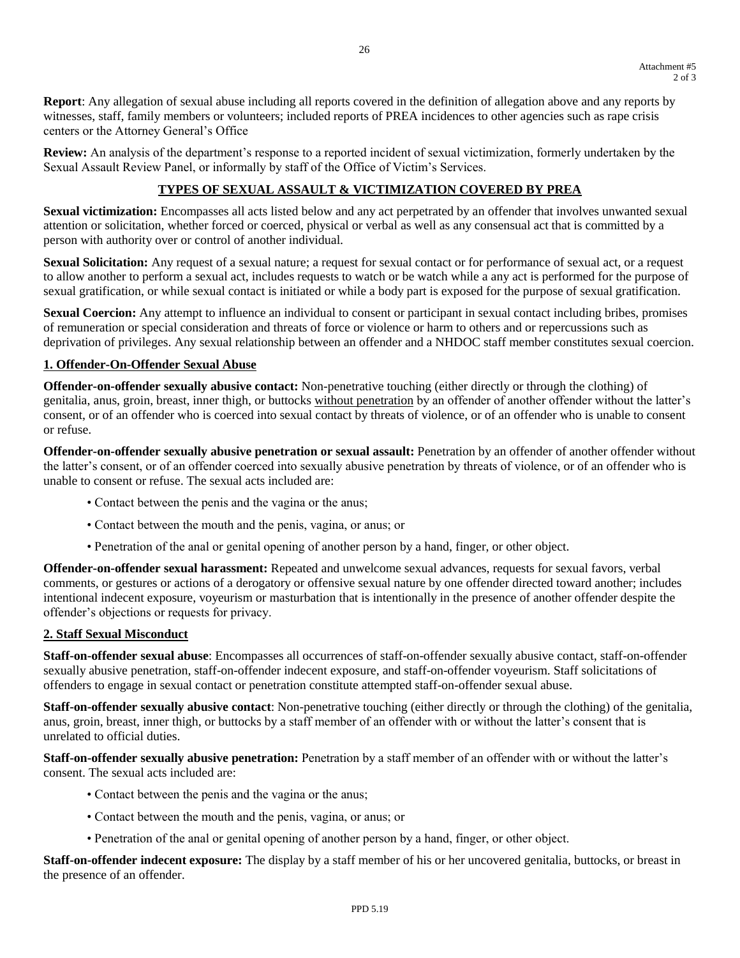**Report**: Any allegation of sexual abuse including all reports covered in the definition of allegation above and any reports by witnesses, staff, family members or volunteers; included reports of PREA incidences to other agencies such as rape crisis centers or the Attorney General's Office

**Review:** An analysis of the department's response to a reported incident of sexual victimization, formerly undertaken by the Sexual Assault Review Panel, or informally by staff of the Office of Victim's Services.

#### **TYPES OF SEXUAL ASSAULT & VICTIMIZATION COVERED BY PREA**

**Sexual victimization:** Encompasses all acts listed below and any act perpetrated by an offender that involves unwanted sexual attention or solicitation, whether forced or coerced, physical or verbal as well as any consensual act that is committed by a person with authority over or control of another individual.

**Sexual Solicitation:** Any request of a sexual nature; a request for sexual contact or for performance of sexual act, or a request to allow another to perform a sexual act, includes requests to watch or be watch while a any act is performed for the purpose of sexual gratification, or while sexual contact is initiated or while a body part is exposed for the purpose of sexual gratification.

**Sexual Coercion:** Any attempt to influence an individual to consent or participant in sexual contact including bribes, promises of remuneration or special consideration and threats of force or violence or harm to others and or repercussions such as deprivation of privileges. Any sexual relationship between an offender and a NHDOC staff member constitutes sexual coercion.

#### **1. Offender-On-Offender Sexual Abuse**

**Offender-on-offender sexually abusive contact:** Non-penetrative touching (either directly or through the clothing) of genitalia, anus, groin, breast, inner thigh, or buttocks without penetration by an offender of another offender without the latter's consent, or of an offender who is coerced into sexual contact by threats of violence, or of an offender who is unable to consent or refuse.

**Offender-on-offender sexually abusive penetration or sexual assault:** Penetration by an offender of another offender without the latter's consent, or of an offender coerced into sexually abusive penetration by threats of violence, or of an offender who is unable to consent or refuse. The sexual acts included are:

- Contact between the penis and the vagina or the anus;
- Contact between the mouth and the penis, vagina, or anus; or
- Penetration of the anal or genital opening of another person by a hand, finger, or other object.

**Offender-on-offender sexual harassment:** Repeated and unwelcome sexual advances, requests for sexual favors, verbal comments, or gestures or actions of a derogatory or offensive sexual nature by one offender directed toward another; includes intentional indecent exposure, voyeurism or masturbation that is intentionally in the presence of another offender despite the offender's objections or requests for privacy.

#### **2. Staff Sexual Misconduct**

**Staff-on-offender sexual abuse**: Encompasses all occurrences of staff-on-offender sexually abusive contact, staff-on-offender sexually abusive penetration, staff-on-offender indecent exposure, and staff-on-offender voyeurism. Staff solicitations of offenders to engage in sexual contact or penetration constitute attempted staff-on-offender sexual abuse.

**Staff-on-offender sexually abusive contact**: Non-penetrative touching (either directly or through the clothing) of the genitalia, anus, groin, breast, inner thigh, or buttocks by a staff member of an offender with or without the latter's consent that is unrelated to official duties.

**Staff-on-offender sexually abusive penetration:** Penetration by a staff member of an offender with or without the latter's consent. The sexual acts included are:

- Contact between the penis and the vagina or the anus;
- Contact between the mouth and the penis, vagina, or anus; or
- Penetration of the anal or genital opening of another person by a hand, finger, or other object.

**Staff-on-offender indecent exposure:** The display by a staff member of his or her uncovered genitalia, buttocks, or breast in the presence of an offender.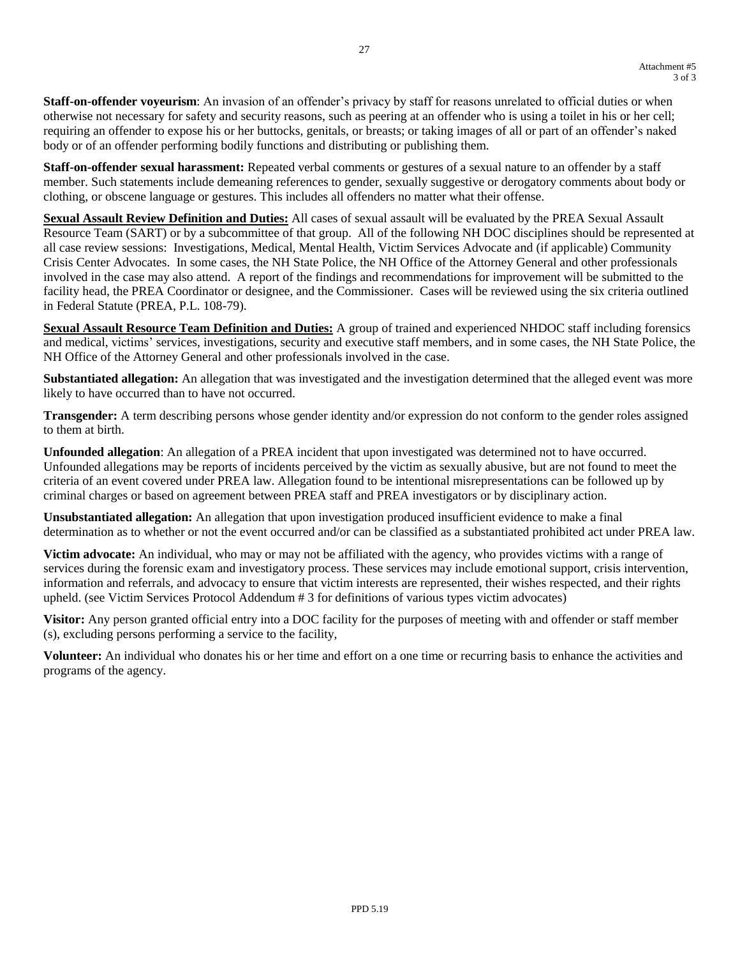**Staff-on-offender voyeurism**: An invasion of an offender's privacy by staff for reasons unrelated to official duties or when otherwise not necessary for safety and security reasons, such as peering at an offender who is using a toilet in his or her cell; requiring an offender to expose his or her buttocks, genitals, or breasts; or taking images of all or part of an offender's naked body or of an offender performing bodily functions and distributing or publishing them.

**Staff-on-offender sexual harassment:** Repeated verbal comments or gestures of a sexual nature to an offender by a staff member. Such statements include demeaning references to gender, sexually suggestive or derogatory comments about body or clothing, or obscene language or gestures. This includes all offenders no matter what their offense.

**Sexual Assault Review Definition and Duties:** All cases of sexual assault will be evaluated by the PREA Sexual Assault Resource Team (SART) or by a subcommittee of that group. All of the following NH DOC disciplines should be represented at all case review sessions: Investigations, Medical, Mental Health, Victim Services Advocate and (if applicable) Community Crisis Center Advocates. In some cases, the NH State Police, the NH Office of the Attorney General and other professionals involved in the case may also attend. A report of the findings and recommendations for improvement will be submitted to the facility head, the PREA Coordinator or designee, and the Commissioner. Cases will be reviewed using the six criteria outlined in Federal Statute (PREA, P.L. 108-79).

**Sexual Assault Resource Team Definition and Duties:** A group of trained and experienced NHDOC staff including forensics and medical, victims' services, investigations, security and executive staff members, and in some cases, the NH State Police, the NH Office of the Attorney General and other professionals involved in the case.

**Substantiated allegation:** An allegation that was investigated and the investigation determined that the alleged event was more likely to have occurred than to have not occurred.

**Transgender:** A term describing persons whose gender identity and/or expression do not conform to the gender roles assigned to them at birth.

**Unfounded allegation**: An allegation of a PREA incident that upon investigated was determined not to have occurred. Unfounded allegations may be reports of incidents perceived by the victim as sexually abusive, but are not found to meet the criteria of an event covered under PREA law. Allegation found to be intentional misrepresentations can be followed up by criminal charges or based on agreement between PREA staff and PREA investigators or by disciplinary action.

**Unsubstantiated allegation:** An allegation that upon investigation produced insufficient evidence to make a final determination as to whether or not the event occurred and/or can be classified as a substantiated prohibited act under PREA law.

**Victim advocate:** An individual, who may or may not be affiliated with the agency, who provides victims with a range of services during the forensic exam and investigatory process. These services may include emotional support, crisis intervention, information and referrals, and advocacy to ensure that victim interests are represented, their wishes respected, and their rights upheld. (see Victim Services Protocol Addendum # 3 for definitions of various types victim advocates)

**Visitor:** Any person granted official entry into a DOC facility for the purposes of meeting with and offender or staff member (s), excluding persons performing a service to the facility,

**Volunteer:** An individual who donates his or her time and effort on a one time or recurring basis to enhance the activities and programs of the agency.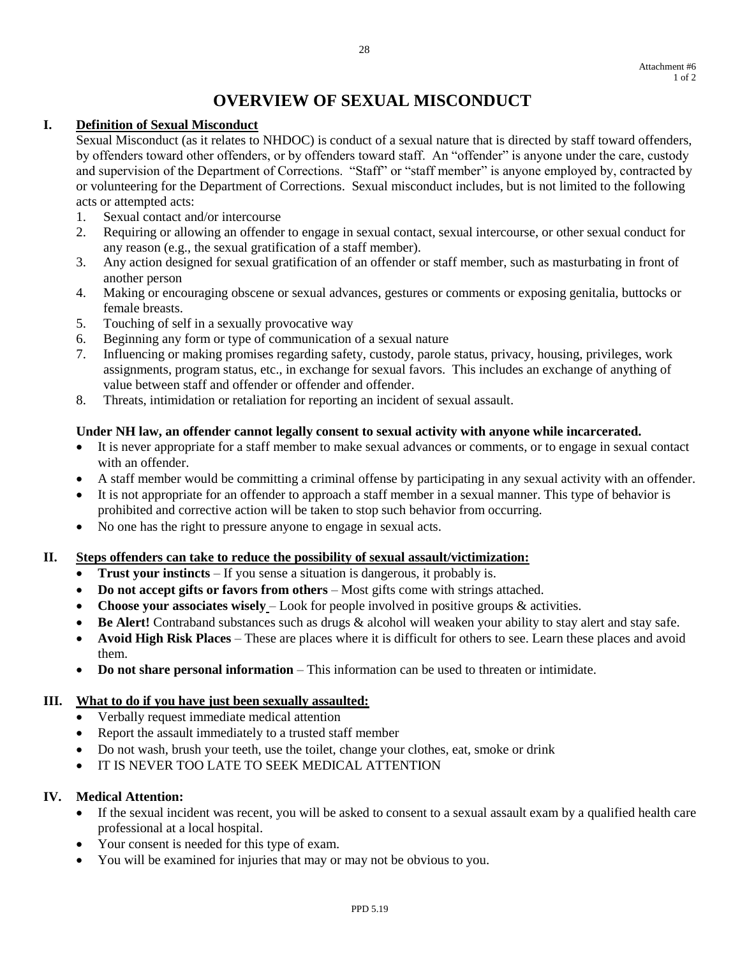## **OVERVIEW OF SEXUAL MISCONDUCT**

#### **I. Definition of Sexual Misconduct**

Sexual Misconduct (as it relates to NHDOC) is conduct of a sexual nature that is directed by staff toward offenders, by offenders toward other offenders, or by offenders toward staff. An "offender" is anyone under the care, custody and supervision of the Department of Corrections. "Staff" or "staff member" is anyone employed by, contracted by or volunteering for the Department of Corrections. Sexual misconduct includes, but is not limited to the following acts or attempted acts:

- 1. Sexual contact and/or intercourse
- 2. Requiring or allowing an offender to engage in sexual contact, sexual intercourse, or other sexual conduct for any reason (e.g., the sexual gratification of a staff member).
- 3. Any action designed for sexual gratification of an offender or staff member, such as masturbating in front of another person
- 4. Making or encouraging obscene or sexual advances, gestures or comments or exposing genitalia, buttocks or female breasts.
- 5. Touching of self in a sexually provocative way
- 6. Beginning any form or type of communication of a sexual nature
- 7. Influencing or making promises regarding safety, custody, parole status, privacy, housing, privileges, work assignments, program status, etc., in exchange for sexual favors. This includes an exchange of anything of value between staff and offender or offender and offender.
- 8. Threats, intimidation or retaliation for reporting an incident of sexual assault.

#### **Under NH law, an offender cannot legally consent to sexual activity with anyone while incarcerated.**

- It is never appropriate for a staff member to make sexual advances or comments, or to engage in sexual contact with an offender.
- A staff member would be committing a criminal offense by participating in any sexual activity with an offender.
- It is not appropriate for an offender to approach a staff member in a sexual manner. This type of behavior is prohibited and corrective action will be taken to stop such behavior from occurring.
- No one has the right to pressure anyone to engage in sexual acts.

#### **II. Steps offenders can take to reduce the possibility of sexual assault/victimization:**

- **Trust your instincts** If you sense a situation is dangerous, it probably is.
- **Do not accept gifts or favors from others** Most gifts come with strings attached.
- **Choose your associates wisely** Look for people involved in positive groups & activities.
- **Be Alert!** Contraband substances such as drugs & alcohol will weaken your ability to stay alert and stay safe.
- **Avoid High Risk Places** These are places where it is difficult for others to see. Learn these places and avoid them.
- **Do not share personal information** This information can be used to threaten or intimidate.

#### **III. What to do if you have just been sexually assaulted:**

- Verbally request immediate medical attention
- Report the assault immediately to a trusted staff member
- Do not wash, brush your teeth, use the toilet, change your clothes, eat, smoke or drink
- IT IS NEVER TOO LATE TO SEEK MEDICAL ATTENTION

#### **IV. Medical Attention:**

- If the sexual incident was recent, you will be asked to consent to a sexual assault exam by a qualified health care professional at a local hospital.
- Your consent is needed for this type of exam.
- You will be examined for injuries that may or may not be obvious to you.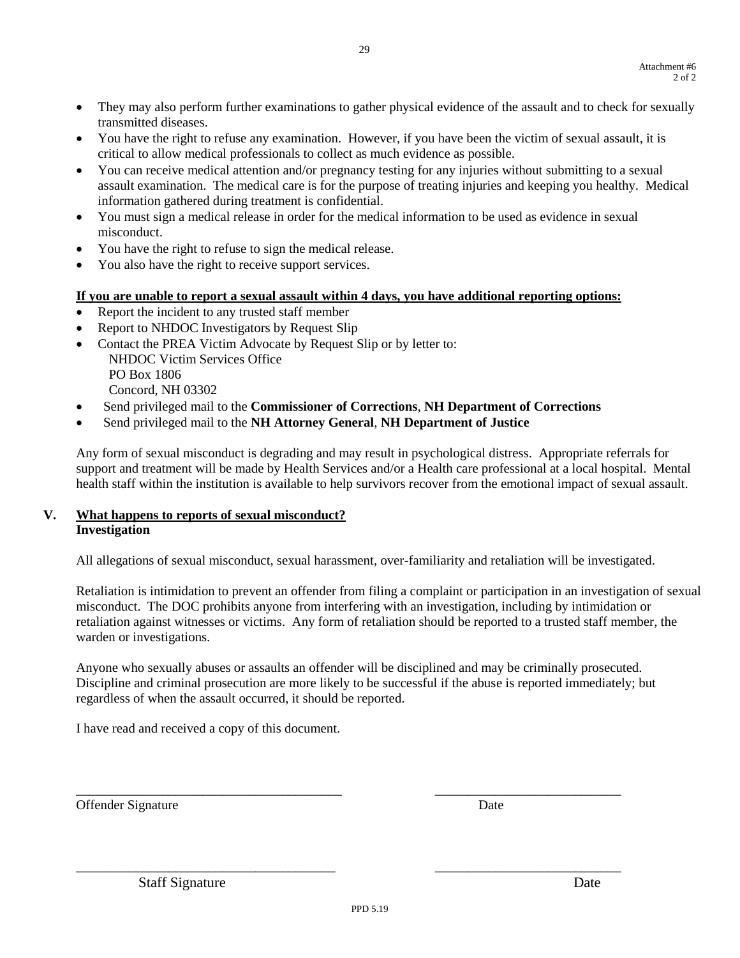- They may also perform further examinations to gather physical evidence of the assault and to check for sexually transmitted diseases.
- You have the right to refuse any examination. However, if you have been the victim of sexual assault, it is critical to allow medical professionals to collect as much evidence as possible.

29

- You can receive medical attention and/or pregnancy testing for any injuries without submitting to a sexual assault examination. The medical care is for the purpose of treating injuries and keeping you healthy. Medical information gathered during treatment is confidential.
- You must sign a medical release in order for the medical information to be used as evidence in sexual misconduct.
- You have the right to refuse to sign the medical release.
- You also have the right to receive support services.

#### **If you are unable to report a sexual assault within 4 days, you have additional reporting options:**

- Report the incident to any trusted staff member
- Report to NHDOC Investigators by Request Slip
- Contact the PREA Victim Advocate by Request Slip or by letter to: NHDOC Victim Services Office PO Box 1806 Concord, NH 03302
- Send privileged mail to the **Commissioner of Corrections**, **NH Department of Corrections**
- Send privileged mail to the **NH Attorney General**, **NH Department of Justice**

Any form of sexual misconduct is degrading and may result in psychological distress. Appropriate referrals for support and treatment will be made by Health Services and/or a Health care professional at a local hospital. Mental health staff within the institution is available to help survivors recover from the emotional impact of sexual assault.

#### **V. What happens to reports of sexual misconduct? Investigation**

All allegations of sexual misconduct, sexual harassment, over-familiarity and retaliation will be investigated.

Retaliation is intimidation to prevent an offender from filing a complaint or participation in an investigation of sexual misconduct. The DOC prohibits anyone from interfering with an investigation, including by intimidation or retaliation against witnesses or victims. Any form of retaliation should be reported to a trusted staff member, the warden or investigations.

Anyone who sexually abuses or assaults an offender will be disciplined and may be criminally prosecuted. Discipline and criminal prosecution are more likely to be successful if the abuse is reported immediately; but regardless of when the assault occurred, it should be reported.

I have read and received a copy of this document.

\_\_\_\_\_\_\_\_\_\_\_\_\_\_\_\_\_\_\_\_\_\_\_\_\_\_\_\_\_\_\_\_\_\_\_\_\_\_\_\_ \_\_\_\_\_\_\_\_\_\_\_\_\_\_\_\_\_\_\_\_\_\_\_\_\_\_\_\_ Offender Signature Date

Staff Signature Date Date Date Date

\_\_\_\_\_\_\_\_\_\_\_\_\_\_\_\_\_\_\_\_\_\_\_\_\_\_\_\_\_\_\_\_\_\_\_\_\_\_\_ \_\_\_\_\_\_\_\_\_\_\_\_\_\_\_\_\_\_\_\_\_\_\_\_\_\_\_\_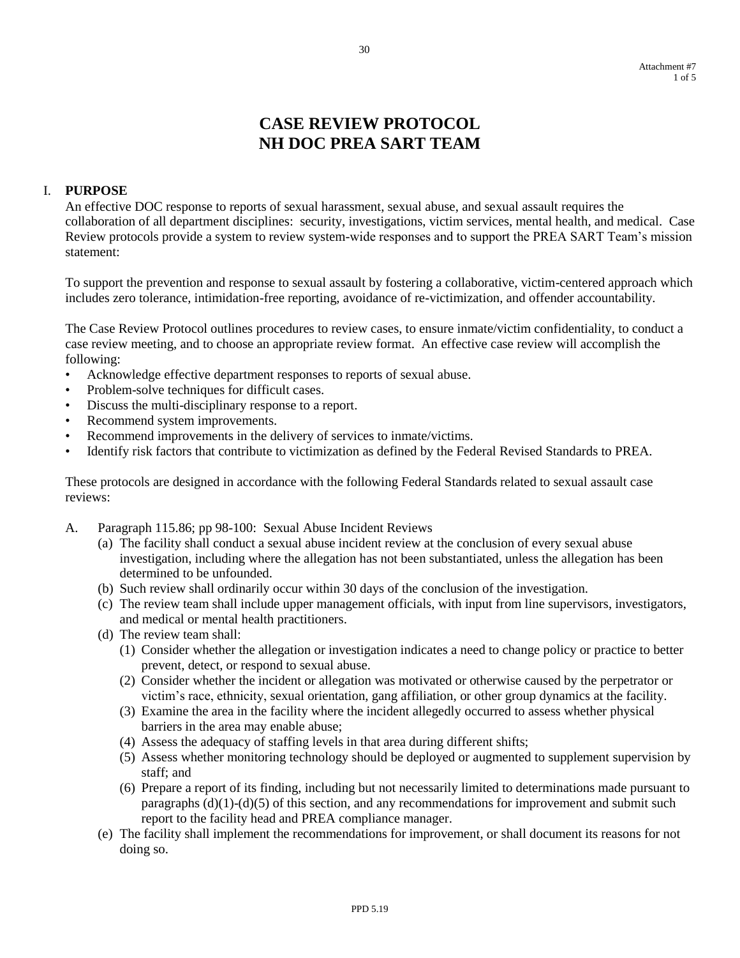## **CASE REVIEW PROTOCOL NH DOC PREA SART TEAM**

#### I. **PURPOSE**

An effective DOC response to reports of sexual harassment, sexual abuse, and sexual assault requires the collaboration of all department disciplines: security, investigations, victim services, mental health, and medical. Case Review protocols provide a system to review system-wide responses and to support the PREA SART Team's mission statement:

To support the prevention and response to sexual assault by fostering a collaborative, victim-centered approach which includes zero tolerance, intimidation-free reporting, avoidance of re-victimization, and offender accountability.

The Case Review Protocol outlines procedures to review cases, to ensure inmate/victim confidentiality, to conduct a case review meeting, and to choose an appropriate review format. An effective case review will accomplish the following:

- Acknowledge effective department responses to reports of sexual abuse.
- Problem-solve techniques for difficult cases.
- Discuss the multi-disciplinary response to a report.
- Recommend system improvements.
- Recommend improvements in the delivery of services to inmate/victims.
- Identify risk factors that contribute to victimization as defined by the Federal Revised Standards to PREA.

These protocols are designed in accordance with the following Federal Standards related to sexual assault case reviews:

- A. Paragraph 115.86; pp 98-100: Sexual Abuse Incident Reviews
	- (a) The facility shall conduct a sexual abuse incident review at the conclusion of every sexual abuse investigation, including where the allegation has not been substantiated, unless the allegation has been determined to be unfounded.
	- (b) Such review shall ordinarily occur within 30 days of the conclusion of the investigation.
	- (c) The review team shall include upper management officials, with input from line supervisors, investigators, and medical or mental health practitioners.
	- (d) The review team shall:
		- (1) Consider whether the allegation or investigation indicates a need to change policy or practice to better prevent, detect, or respond to sexual abuse.
		- (2) Consider whether the incident or allegation was motivated or otherwise caused by the perpetrator or victim's race, ethnicity, sexual orientation, gang affiliation, or other group dynamics at the facility.
		- (3) Examine the area in the facility where the incident allegedly occurred to assess whether physical barriers in the area may enable abuse;
		- (4) Assess the adequacy of staffing levels in that area during different shifts;
		- (5) Assess whether monitoring technology should be deployed or augmented to supplement supervision by staff; and
		- (6) Prepare a report of its finding, including but not necessarily limited to determinations made pursuant to paragraphs  $(d)(1)-(d)(5)$  of this section, and any recommendations for improvement and submit such report to the facility head and PREA compliance manager.
	- (e) The facility shall implement the recommendations for improvement, or shall document its reasons for not doing so.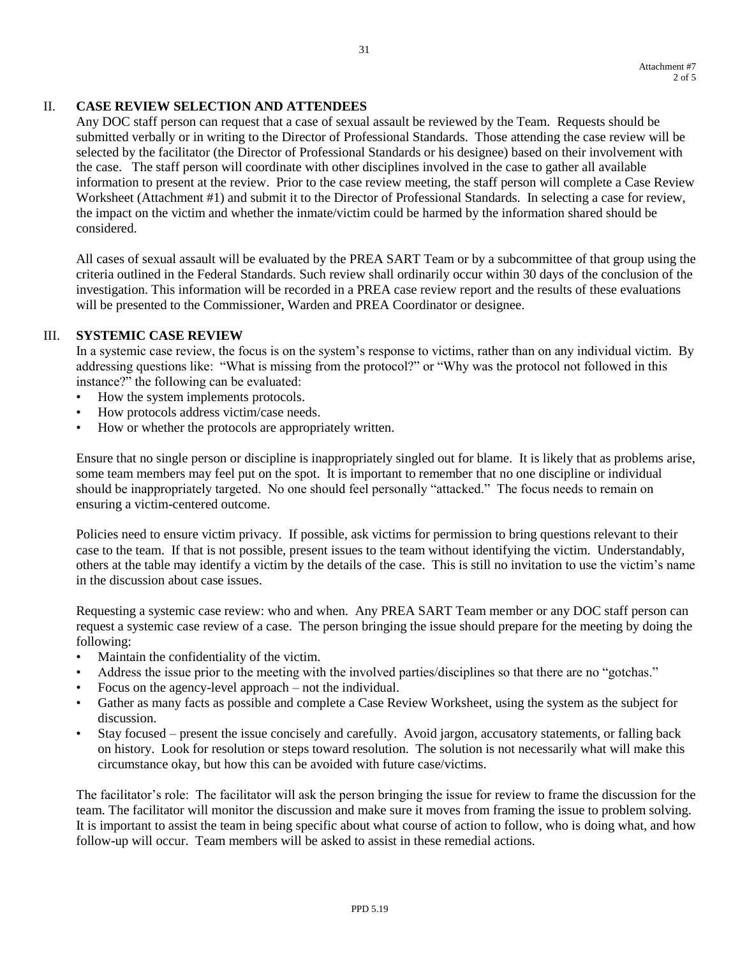#### II. **CASE REVIEW SELECTION AND ATTENDEES**

Any DOC staff person can request that a case of sexual assault be reviewed by the Team. Requests should be submitted verbally or in writing to the Director of Professional Standards. Those attending the case review will be selected by the facilitator (the Director of Professional Standards or his designee) based on their involvement with the case. The staff person will coordinate with other disciplines involved in the case to gather all available information to present at the review. Prior to the case review meeting, the staff person will complete a Case Review Worksheet (Attachment #1) and submit it to the Director of Professional Standards. In selecting a case for review, the impact on the victim and whether the inmate/victim could be harmed by the information shared should be considered.

All cases of sexual assault will be evaluated by the PREA SART Team or by a subcommittee of that group using the criteria outlined in the Federal Standards. Such review shall ordinarily occur within 30 days of the conclusion of the investigation. This information will be recorded in a PREA case review report and the results of these evaluations will be presented to the Commissioner, Warden and PREA Coordinator or designee.

#### III. **SYSTEMIC CASE REVIEW**

In a systemic case review, the focus is on the system's response to victims, rather than on any individual victim. By addressing questions like: "What is missing from the protocol?" or "Why was the protocol not followed in this instance?" the following can be evaluated:

- How the system implements protocols.
- How protocols address victim/case needs.
- How or whether the protocols are appropriately written.

Ensure that no single person or discipline is inappropriately singled out for blame. It is likely that as problems arise, some team members may feel put on the spot. It is important to remember that no one discipline or individual should be inappropriately targeted. No one should feel personally "attacked." The focus needs to remain on ensuring a victim-centered outcome.

Policies need to ensure victim privacy. If possible, ask victims for permission to bring questions relevant to their case to the team. If that is not possible, present issues to the team without identifying the victim. Understandably, others at the table may identify a victim by the details of the case. This is still no invitation to use the victim's name in the discussion about case issues.

Requesting a systemic case review: who and when. Any PREA SART Team member or any DOC staff person can request a systemic case review of a case. The person bringing the issue should prepare for the meeting by doing the following:

- Maintain the confidentiality of the victim.
- Address the issue prior to the meeting with the involved parties/disciplines so that there are no "gotchas."
- Focus on the agency-level approach not the individual.
- Gather as many facts as possible and complete a Case Review Worksheet, using the system as the subject for discussion.
- Stay focused present the issue concisely and carefully. Avoid jargon, accusatory statements, or falling back on history. Look for resolution or steps toward resolution. The solution is not necessarily what will make this circumstance okay, but how this can be avoided with future case/victims.

The facilitator's role: The facilitator will ask the person bringing the issue for review to frame the discussion for the team. The facilitator will monitor the discussion and make sure it moves from framing the issue to problem solving. It is important to assist the team in being specific about what course of action to follow, who is doing what, and how follow-up will occur. Team members will be asked to assist in these remedial actions.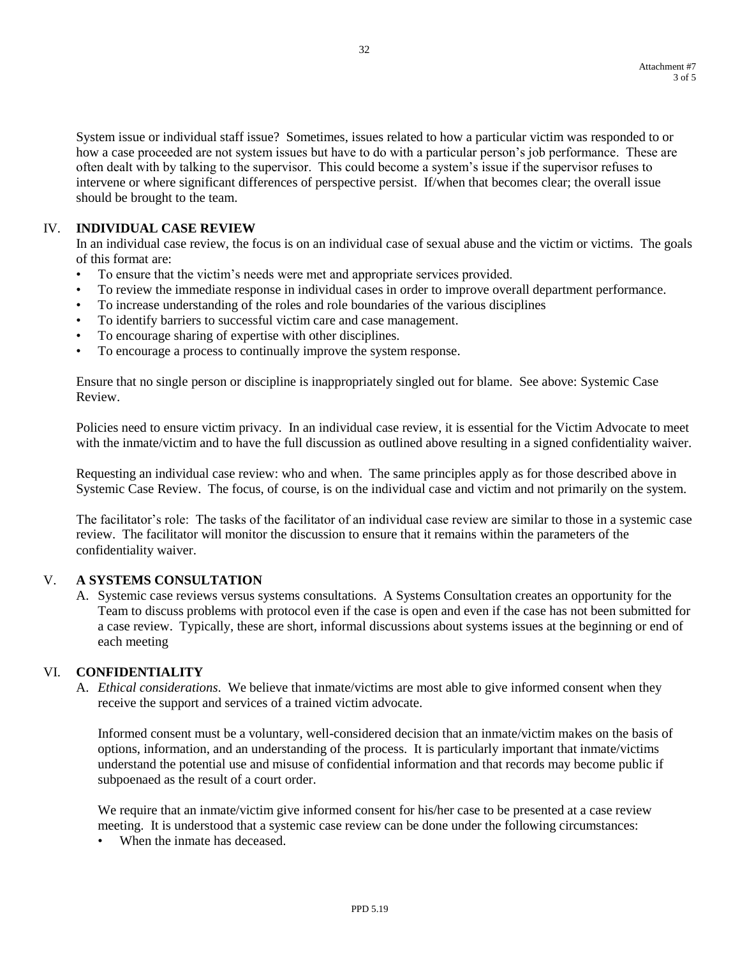System issue or individual staff issue? Sometimes, issues related to how a particular victim was responded to or how a case proceeded are not system issues but have to do with a particular person's job performance. These are often dealt with by talking to the supervisor. This could become a system's issue if the supervisor refuses to intervene or where significant differences of perspective persist. If/when that becomes clear; the overall issue should be brought to the team.

#### IV. **INDIVIDUAL CASE REVIEW**

In an individual case review, the focus is on an individual case of sexual abuse and the victim or victims. The goals of this format are:

- To ensure that the victim's needs were met and appropriate services provided.
- To review the immediate response in individual cases in order to improve overall department performance.
- To increase understanding of the roles and role boundaries of the various disciplines
- To identify barriers to successful victim care and case management.
- To encourage sharing of expertise with other disciplines.
- To encourage a process to continually improve the system response.

Ensure that no single person or discipline is inappropriately singled out for blame. See above: Systemic Case Review.

Policies need to ensure victim privacy. In an individual case review, it is essential for the Victim Advocate to meet with the inmate/victim and to have the full discussion as outlined above resulting in a signed confidentiality waiver.

Requesting an individual case review: who and when. The same principles apply as for those described above in Systemic Case Review. The focus, of course, is on the individual case and victim and not primarily on the system.

The facilitator's role: The tasks of the facilitator of an individual case review are similar to those in a systemic case review. The facilitator will monitor the discussion to ensure that it remains within the parameters of the confidentiality waiver.

#### V. **A SYSTEMS CONSULTATION**

A. Systemic case reviews versus systems consultations. A Systems Consultation creates an opportunity for the Team to discuss problems with protocol even if the case is open and even if the case has not been submitted for a case review. Typically, these are short, informal discussions about systems issues at the beginning or end of each meeting

#### VI. **CONFIDENTIALITY**

A. *Ethical considerations*. We believe that inmate/victims are most able to give informed consent when they receive the support and services of a trained victim advocate.

Informed consent must be a voluntary, well-considered decision that an inmate/victim makes on the basis of options, information, and an understanding of the process. It is particularly important that inmate/victims understand the potential use and misuse of confidential information and that records may become public if subpoenaed as the result of a court order.

We require that an inmate/victim give informed consent for his/her case to be presented at a case review meeting. It is understood that a systemic case review can be done under the following circumstances:

When the inmate has deceased.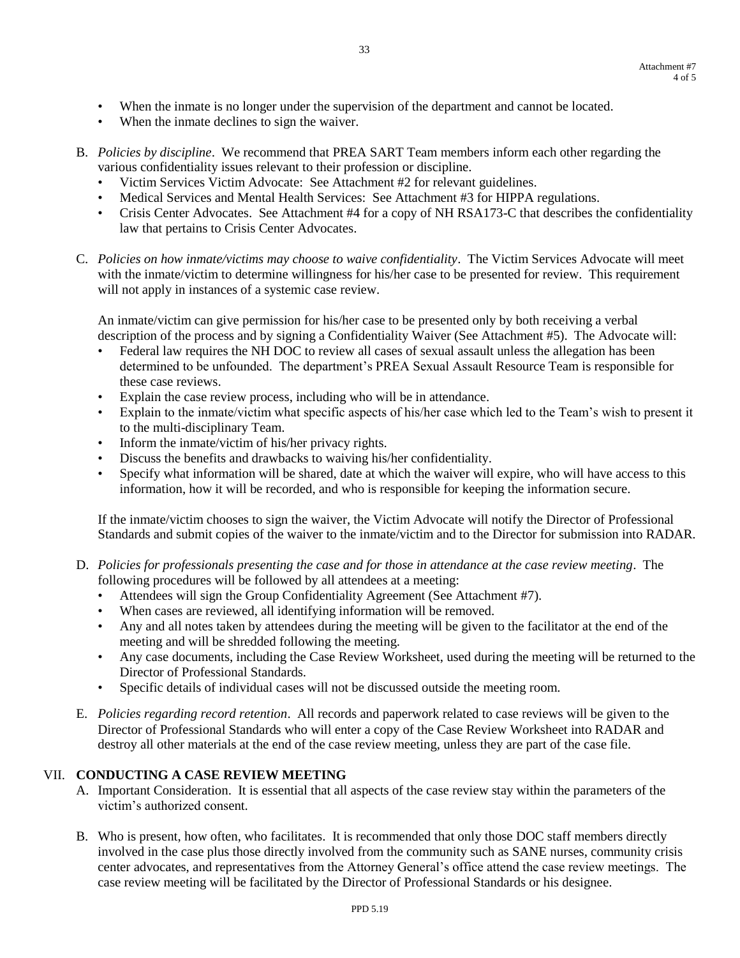- When the inmate is no longer under the supervision of the department and cannot be located.
- When the inmate declines to sign the waiver.
- B. *Policies by discipline*. We recommend that PREA SART Team members inform each other regarding the various confidentiality issues relevant to their profession or discipline.
	- Victim Services Victim Advocate: See Attachment #2 for relevant guidelines.
	- Medical Services and Mental Health Services: See Attachment #3 for HIPPA regulations.
	- Crisis Center Advocates. See Attachment #4 for a copy of NH RSA173-C that describes the confidentiality law that pertains to Crisis Center Advocates.
- C. *Policies on how inmate/victims may choose to waive confidentiality*. The Victim Services Advocate will meet with the inmate/victim to determine willingness for his/her case to be presented for review. This requirement will not apply in instances of a systemic case review.

An inmate/victim can give permission for his/her case to be presented only by both receiving a verbal description of the process and by signing a Confidentiality Waiver (See Attachment #5). The Advocate will:

- Federal law requires the NH DOC to review all cases of sexual assault unless the allegation has been determined to be unfounded. The department's PREA Sexual Assault Resource Team is responsible for these case reviews.
- Explain the case review process, including who will be in attendance.
- Explain to the inmate/victim what specific aspects of his/her case which led to the Team's wish to present it to the multi-disciplinary Team.
- Inform the inmate/victim of his/her privacy rights.
- Discuss the benefits and drawbacks to waiving his/her confidentiality.
- Specify what information will be shared, date at which the waiver will expire, who will have access to this information, how it will be recorded, and who is responsible for keeping the information secure.

If the inmate/victim chooses to sign the waiver, the Victim Advocate will notify the Director of Professional Standards and submit copies of the waiver to the inmate/victim and to the Director for submission into RADAR.

- D. *Policies for professionals presenting the case and for those in attendance at the case review meeting*. The following procedures will be followed by all attendees at a meeting:
	- Attendees will sign the Group Confidentiality Agreement (See Attachment #7).
	- When cases are reviewed, all identifying information will be removed.
	- Any and all notes taken by attendees during the meeting will be given to the facilitator at the end of the meeting and will be shredded following the meeting.
	- Any case documents, including the Case Review Worksheet, used during the meeting will be returned to the Director of Professional Standards.
	- Specific details of individual cases will not be discussed outside the meeting room.
- E. *Policies regarding record retention*. All records and paperwork related to case reviews will be given to the Director of Professional Standards who will enter a copy of the Case Review Worksheet into RADAR and destroy all other materials at the end of the case review meeting, unless they are part of the case file.

#### VII. **CONDUCTING A CASE REVIEW MEETING**

- A. Important Consideration. It is essential that all aspects of the case review stay within the parameters of the victim's authorized consent.
- B. Who is present, how often, who facilitates. It is recommended that only those DOC staff members directly involved in the case plus those directly involved from the community such as SANE nurses, community crisis center advocates, and representatives from the Attorney General's office attend the case review meetings. The case review meeting will be facilitated by the Director of Professional Standards or his designee.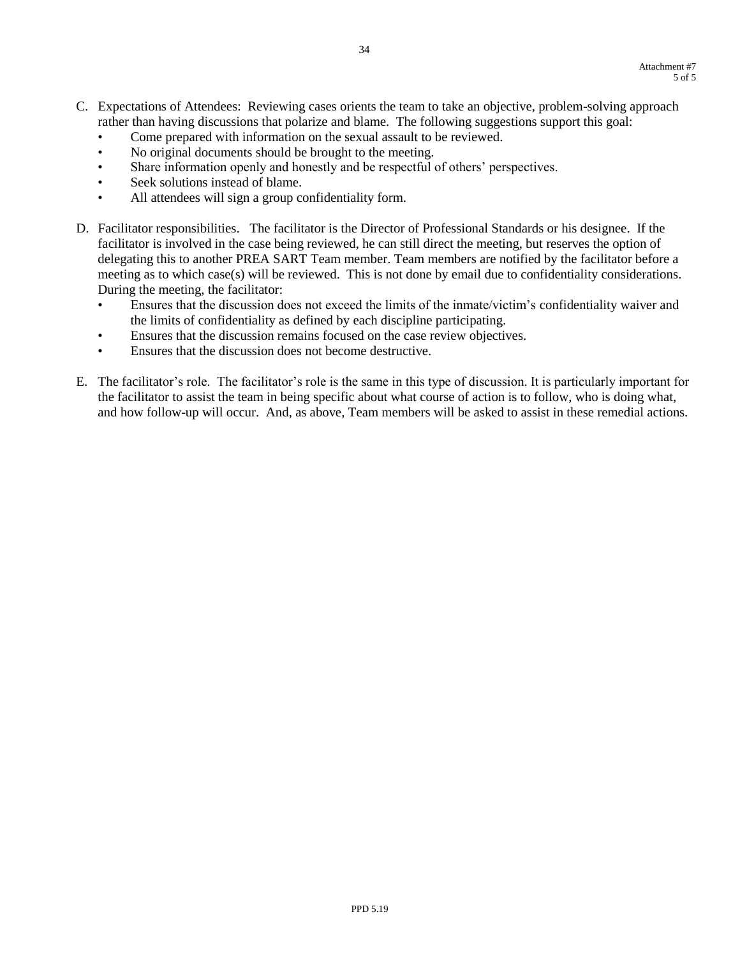C. Expectations of Attendees: Reviewing cases orients the team to take an objective, problem-solving approach rather than having discussions that polarize and blame. The following suggestions support this goal:

34

- Come prepared with information on the sexual assault to be reviewed.
- No original documents should be brought to the meeting.
- Share information openly and honestly and be respectful of others' perspectives.
- Seek solutions instead of blame.
- All attendees will sign a group confidentiality form.
- D. Facilitator responsibilities. The facilitator is the Director of Professional Standards or his designee. If the facilitator is involved in the case being reviewed, he can still direct the meeting, but reserves the option of delegating this to another PREA SART Team member. Team members are notified by the facilitator before a meeting as to which case(s) will be reviewed. This is not done by email due to confidentiality considerations. During the meeting, the facilitator:
	- Ensures that the discussion does not exceed the limits of the inmate/victim's confidentiality waiver and the limits of confidentiality as defined by each discipline participating.
	- Ensures that the discussion remains focused on the case review objectives.
	- Ensures that the discussion does not become destructive.
- E. The facilitator's role. The facilitator's role is the same in this type of discussion. It is particularly important for the facilitator to assist the team in being specific about what course of action is to follow, who is doing what, and how follow-up will occur. And, as above, Team members will be asked to assist in these remedial actions.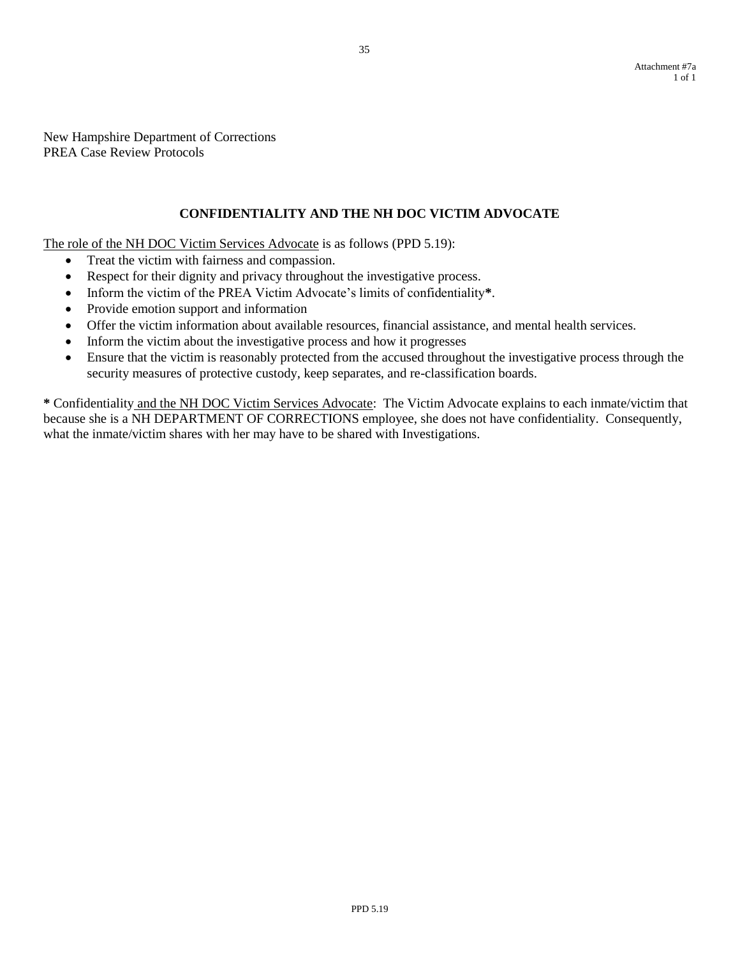New Hampshire Department of Corrections PREA Case Review Protocols

#### **CONFIDENTIALITY AND THE NH DOC VICTIM ADVOCATE**

35

The role of the NH DOC Victim Services Advocate is as follows (PPD 5.19):

- Treat the victim with fairness and compassion.
- Respect for their dignity and privacy throughout the investigative process.
- Inform the victim of the PREA Victim Advocate's limits of confidentiality**\***.
- Provide emotion support and information
- Offer the victim information about available resources, financial assistance, and mental health services.
- Inform the victim about the investigative process and how it progresses
- Ensure that the victim is reasonably protected from the accused throughout the investigative process through the security measures of protective custody, keep separates, and re-classification boards.

**\*** Confidentiality and the NH DOC Victim Services Advocate: The Victim Advocate explains to each inmate/victim that because she is a NH DEPARTMENT OF CORRECTIONS employee, she does not have confidentiality. Consequently, what the inmate/victim shares with her may have to be shared with Investigations.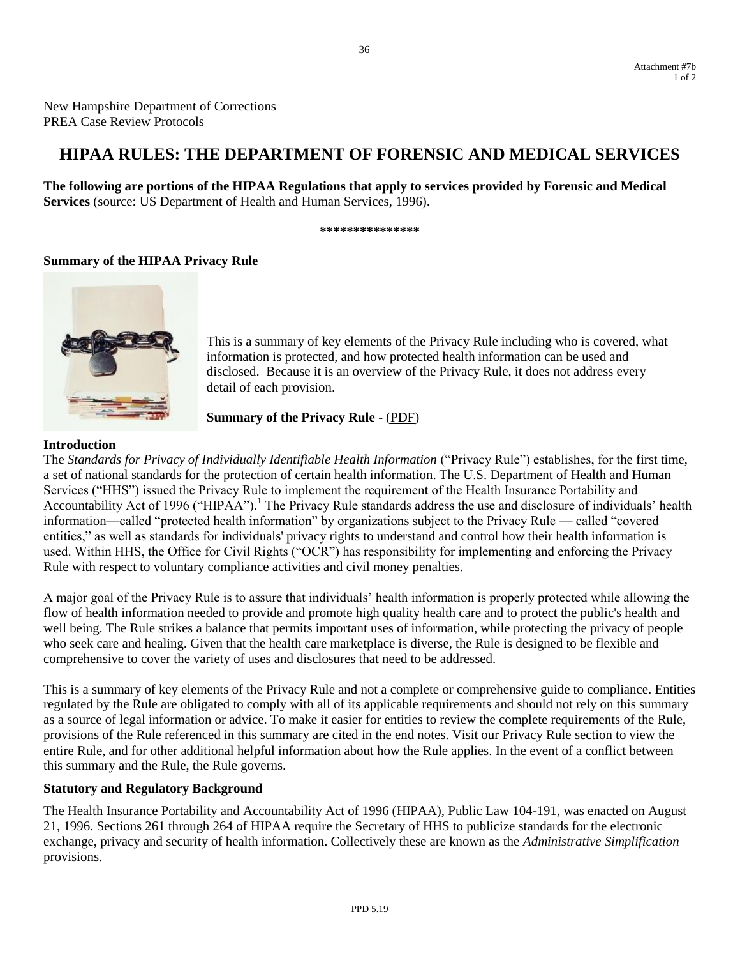New Hampshire Department of Corrections PREA Case Review Protocols

## **HIPAA RULES: THE DEPARTMENT OF FORENSIC AND MEDICAL SERVICES**

**The following are portions of the HIPAA Regulations that apply to services provided by Forensic and Medical Services** (source: US Department of Health and Human Services, 1996).

**\*\*\*\*\*\*\*\*\*\*\*\*\*\*\***

#### **Summary of the HIPAA Privacy Rule**



This is a summary of key elements of the Privacy Rule including who is covered, what information is protected, and how protected health information can be used and disclosed. Because it is an overview of the Privacy Rule, it does not address every detail of each provision.

**Summary of the Privacy Rule** - [\(PDF\)](http://www.hhs.gov/ocr/privacy/hipaa/understanding/summary/privacysummary.pdf)

#### **Introduction**

The *Standards for Privacy of Individually Identifiable Health Information* ("Privacy Rule") establishes, for the first time, a set of national standards for the protection of certain health information. The U.S. Department of Health and Human Services ("HHS") issued the Privacy Rule to implement the requirement of the Health Insurance Portability and Accountability Act of 1996 ("HIPAA").<sup>1</sup> The Privacy Rule standards address the use and disclosure of individuals' health information—called "protected health information" by organizations subject to the Privacy Rule — called "covered entities," as well as standards for individuals' privacy rights to understand and control how their health information is used. Within HHS, the Office for Civil Rights ("OCR") has responsibility for implementing and enforcing the Privacy Rule with respect to voluntary compliance activities and civil money penalties.

A major goal of the Privacy Rule is to assure that individuals' health information is properly protected while allowing the flow of health information needed to provide and promote high quality health care and to protect the public's health and well being. The Rule strikes a balance that permits important uses of information, while protecting the privacy of people who seek care and healing. Given that the health care marketplace is diverse, the Rule is designed to be flexible and comprehensive to cover the variety of uses and disclosures that need to be addressed.

This is a summary of key elements of the Privacy Rule and not a complete or comprehensive guide to compliance. Entities regulated by the Rule are obligated to comply with all of its applicable requirements and should not rely on this summary as a source of legal information or advice. To make it easier for entities to review the complete requirements of the Rule, provisions of the Rule referenced in this summary are cited in the [end notes.](http://www.hhs.gov/ocr/privacy/hipaa/understanding/summary/index.html#endnotes#endnotes) Visit ou[r Privacy Rule](http://www.hhs.gov/ocr/privacy/hipaa/administrative/privacyrule/index.html) section to view the entire Rule, and for other additional helpful information about how the Rule applies. In the event of a conflict between this summary and the Rule, the Rule governs.

#### **Statutory and Regulatory Background**

The Health Insurance Portability and Accountability Act of 1996 (HIPAA), Public Law 104-191, was enacted on August 21, 1996. Sections 261 through 264 of HIPAA require the Secretary of HHS to publicize standards for the electronic exchange, privacy and security of health information. Collectively these are known as the *Administrative Simplification* provisions.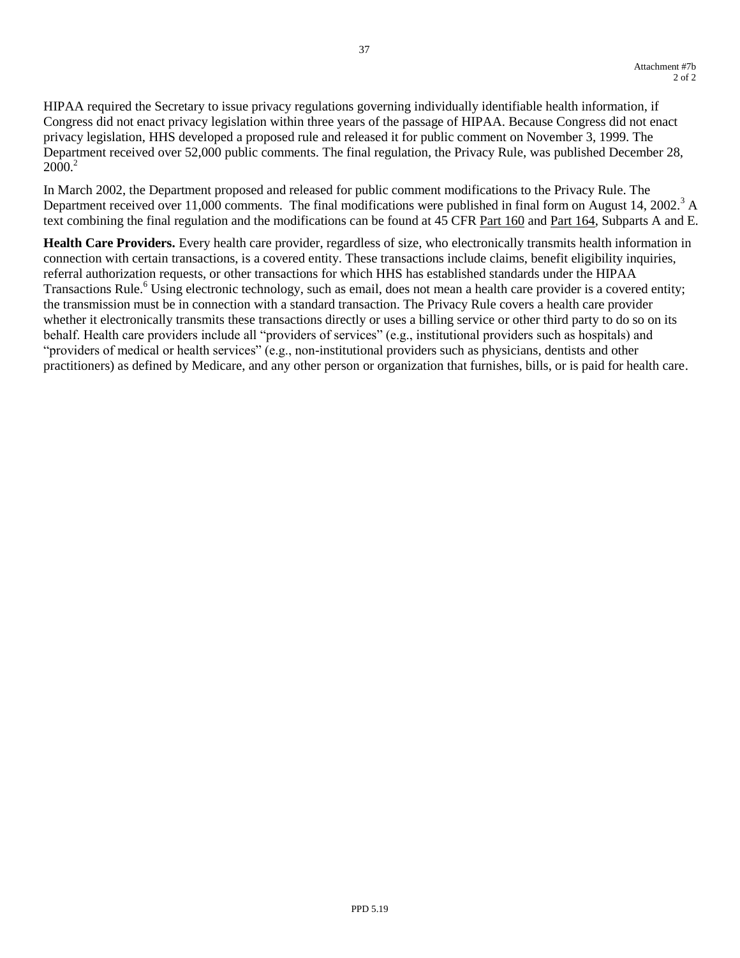HIPAA required the Secretary to issue privacy regulations governing individually identifiable health information, if Congress did not enact privacy legislation within three years of the passage of HIPAA. Because Congress did not enact privacy legislation, HHS developed a proposed rule and released it for public comment on November 3, 1999. The Department received over 52,000 public comments. The final regulation, the Privacy Rule, was published December 28,  $2000.<sup>2</sup>$ 

In March 2002, the Department proposed and released for public comment modifications to the Privacy Rule. The Department received over 11,000 comments. The final modifications were published in final form on August 14, 2002.<sup>3</sup> A text combining the final regulation and the modifications can be found at 45 CFR [Part 160](http://www.access.gpo.gov/nara/cfr/waisidx_07/45cfr160_07.html) and [Part 164,](http://www.access.gpo.gov/nara/cfr/waisidx_07/45cfr164_07.html) Subparts A and E.

**Health Care Providers.** Every health care provider, regardless of size, who electronically transmits health information in connection with certain transactions, is a covered entity. These transactions include claims, benefit eligibility inquiries, referral authorization requests, or other transactions for which HHS has established standards under the HIPAA Transactions Rule.<sup>6</sup> Using electronic technology, such as email, does not mean a health care provider is a covered entity; the transmission must be in connection with a standard transaction. The Privacy Rule covers a health care provider whether it electronically transmits these transactions directly or uses a billing service or other third party to do so on its behalf. Health care providers include all "providers of services" (e.g., institutional providers such as hospitals) and "providers of medical or health services" (e.g., non-institutional providers such as physicians, dentists and other practitioners) as defined by Medicare, and any other person or organization that furnishes, bills, or is paid for health care.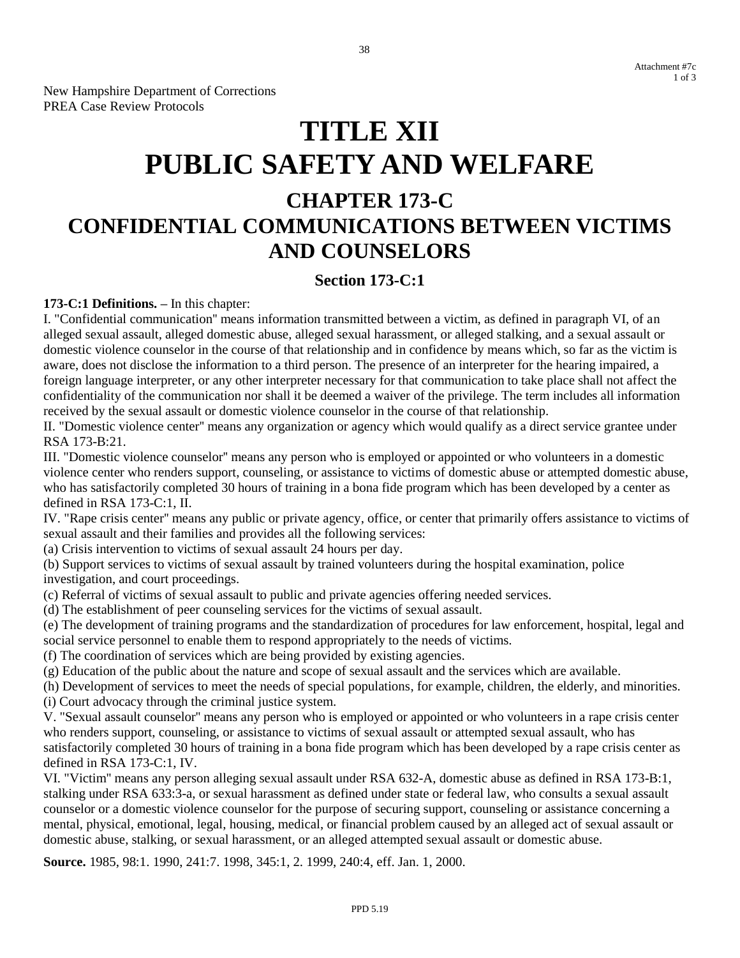New Hampshire Department of Corrections PREA Case Review Protocols

# **TITLE XII PUBLIC SAFETY AND WELFARE CHAPTER 173-C CONFIDENTIAL COMMUNICATIONS BETWEEN VICTIMS AND COUNSELORS**

## **Section 173-C:1**

#### **173-C:1 Definitions. –** In this chapter:

I. "Confidential communication'' means information transmitted between a victim, as defined in paragraph VI, of an alleged sexual assault, alleged domestic abuse, alleged sexual harassment, or alleged stalking, and a sexual assault or domestic violence counselor in the course of that relationship and in confidence by means which, so far as the victim is aware, does not disclose the information to a third person. The presence of an interpreter for the hearing impaired, a foreign language interpreter, or any other interpreter necessary for that communication to take place shall not affect the confidentiality of the communication nor shall it be deemed a waiver of the privilege. The term includes all information received by the sexual assault or domestic violence counselor in the course of that relationship.

II. "Domestic violence center'' means any organization or agency which would qualify as a direct service grantee under RSA 173-B:21.

III. "Domestic violence counselor'' means any person who is employed or appointed or who volunteers in a domestic violence center who renders support, counseling, or assistance to victims of domestic abuse or attempted domestic abuse, who has satisfactorily completed 30 hours of training in a bona fide program which has been developed by a center as defined in RSA 173-C:1, II.

IV. "Rape crisis center'' means any public or private agency, office, or center that primarily offers assistance to victims of sexual assault and their families and provides all the following services:

(a) Crisis intervention to victims of sexual assault 24 hours per day.

(b) Support services to victims of sexual assault by trained volunteers during the hospital examination, police investigation, and court proceedings.

(c) Referral of victims of sexual assault to public and private agencies offering needed services.

(d) The establishment of peer counseling services for the victims of sexual assault.

(e) The development of training programs and the standardization of procedures for law enforcement, hospital, legal and social service personnel to enable them to respond appropriately to the needs of victims.

(f) The coordination of services which are being provided by existing agencies.

(g) Education of the public about the nature and scope of sexual assault and the services which are available.

(h) Development of services to meet the needs of special populations, for example, children, the elderly, and minorities.

(i) Court advocacy through the criminal justice system.

V. "Sexual assault counselor'' means any person who is employed or appointed or who volunteers in a rape crisis center who renders support, counseling, or assistance to victims of sexual assault or attempted sexual assault, who has satisfactorily completed 30 hours of training in a bona fide program which has been developed by a rape crisis center as

defined in RSA 173-C:1, IV.

VI. "Victim'' means any person alleging sexual assault under RSA 632-A, domestic abuse as defined in RSA 173-B:1, stalking under RSA 633:3-a, or sexual harassment as defined under state or federal law, who consults a sexual assault counselor or a domestic violence counselor for the purpose of securing support, counseling or assistance concerning a mental, physical, emotional, legal, housing, medical, or financial problem caused by an alleged act of sexual assault or domestic abuse, stalking, or sexual harassment, or an alleged attempted sexual assault or domestic abuse.

**Source.** 1985, 98:1. 1990, 241:7. 1998, 345:1, 2. 1999, 240:4, eff. Jan. 1, 2000.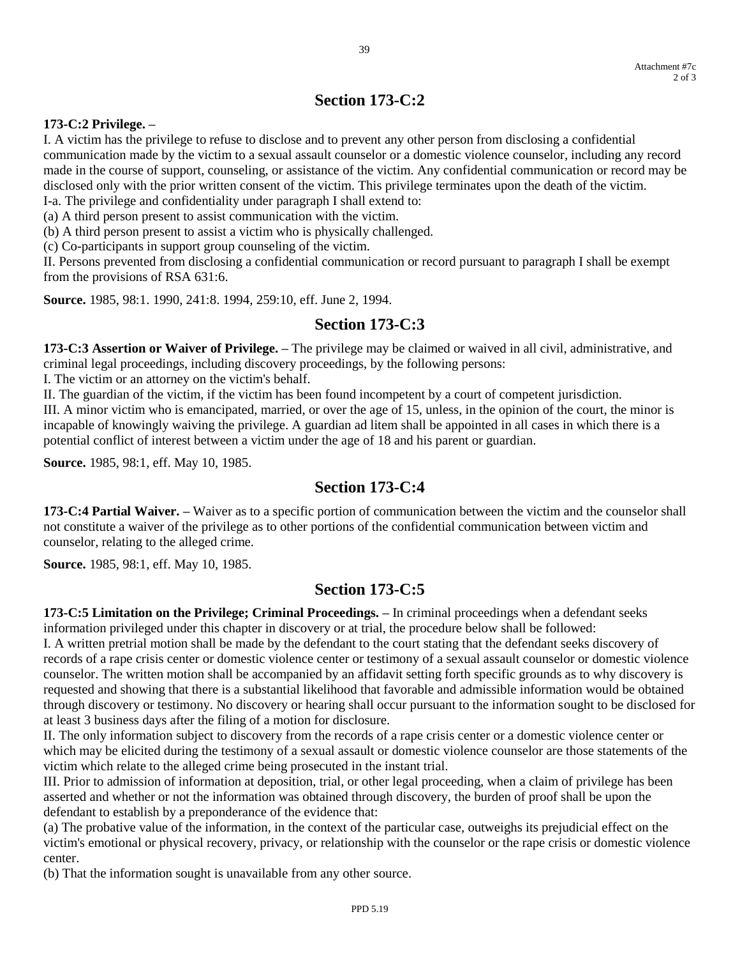## **Section 173-C:2**

#### **173-C:2 Privilege. –**

I. A victim has the privilege to refuse to disclose and to prevent any other person from disclosing a confidential communication made by the victim to a sexual assault counselor or a domestic violence counselor, including any record made in the course of support, counseling, or assistance of the victim. Any confidential communication or record may be disclosed only with the prior written consent of the victim. This privilege terminates upon the death of the victim.

I-a. The privilege and confidentiality under paragraph I shall extend to:

(a) A third person present to assist communication with the victim.

(b) A third person present to assist a victim who is physically challenged.

(c) Co-participants in support group counseling of the victim.

II. Persons prevented from disclosing a confidential communication or record pursuant to paragraph I shall be exempt from the provisions of RSA 631:6.

**Source.** 1985, 98:1. 1990, 241:8. 1994, 259:10, eff. June 2, 1994.

## **Section 173-C:3**

**173-C:3 Assertion or Waiver of Privilege. –** The privilege may be claimed or waived in all civil, administrative, and criminal legal proceedings, including discovery proceedings, by the following persons:

I. The victim or an attorney on the victim's behalf.

II. The guardian of the victim, if the victim has been found incompetent by a court of competent jurisdiction. III. A minor victim who is emancipated, married, or over the age of 15, unless, in the opinion of the court, the minor is incapable of knowingly waiving the privilege. A guardian ad litem shall be appointed in all cases in which there is a potential conflict of interest between a victim under the age of 18 and his parent or guardian.

**Source.** 1985, 98:1, eff. May 10, 1985.

## **Section 173-C:4**

**173-C:4 Partial Waiver. –** Waiver as to a specific portion of communication between the victim and the counselor shall not constitute a waiver of the privilege as to other portions of the confidential communication between victim and counselor, relating to the alleged crime.

**Source.** 1985, 98:1, eff. May 10, 1985.

### **Section 173-C:5**

**173-C:5 Limitation on the Privilege; Criminal Proceedings. –** In criminal proceedings when a defendant seeks information privileged under this chapter in discovery or at trial, the procedure below shall be followed:

I. A written pretrial motion shall be made by the defendant to the court stating that the defendant seeks discovery of records of a rape crisis center or domestic violence center or testimony of a sexual assault counselor or domestic violence counselor. The written motion shall be accompanied by an affidavit setting forth specific grounds as to why discovery is requested and showing that there is a substantial likelihood that favorable and admissible information would be obtained through discovery or testimony. No discovery or hearing shall occur pursuant to the information sought to be disclosed for at least 3 business days after the filing of a motion for disclosure.

II. The only information subject to discovery from the records of a rape crisis center or a domestic violence center or which may be elicited during the testimony of a sexual assault or domestic violence counselor are those statements of the victim which relate to the alleged crime being prosecuted in the instant trial.

III. Prior to admission of information at deposition, trial, or other legal proceeding, when a claim of privilege has been asserted and whether or not the information was obtained through discovery, the burden of proof shall be upon the defendant to establish by a preponderance of the evidence that:

(a) The probative value of the information, in the context of the particular case, outweighs its prejudicial effect on the victim's emotional or physical recovery, privacy, or relationship with the counselor or the rape crisis or domestic violence center.

(b) That the information sought is unavailable from any other source.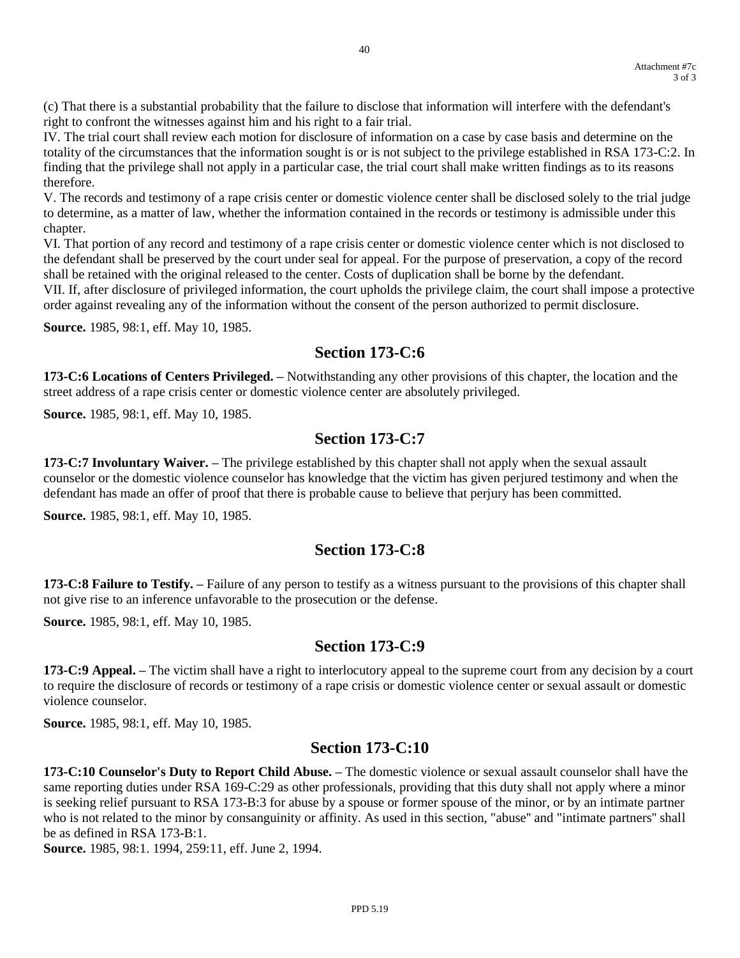(c) That there is a substantial probability that the failure to disclose that information will interfere with the defendant's right to confront the witnesses against him and his right to a fair trial.

IV. The trial court shall review each motion for disclosure of information on a case by case basis and determine on the totality of the circumstances that the information sought is or is not subject to the privilege established in RSA 173-C:2. In finding that the privilege shall not apply in a particular case, the trial court shall make written findings as to its reasons therefore.

V. The records and testimony of a rape crisis center or domestic violence center shall be disclosed solely to the trial judge to determine, as a matter of law, whether the information contained in the records or testimony is admissible under this chapter.

VI. That portion of any record and testimony of a rape crisis center or domestic violence center which is not disclosed to the defendant shall be preserved by the court under seal for appeal. For the purpose of preservation, a copy of the record shall be retained with the original released to the center. Costs of duplication shall be borne by the defendant.

VII. If, after disclosure of privileged information, the court upholds the privilege claim, the court shall impose a protective order against revealing any of the information without the consent of the person authorized to permit disclosure.

**Source.** 1985, 98:1, eff. May 10, 1985.

#### **Section 173-C:6**

**173-C:6 Locations of Centers Privileged. –** Notwithstanding any other provisions of this chapter, the location and the street address of a rape crisis center or domestic violence center are absolutely privileged.

**Source.** 1985, 98:1, eff. May 10, 1985.

#### **Section 173-C:7**

**173-C:7 Involuntary Waiver. –** The privilege established by this chapter shall not apply when the sexual assault counselor or the domestic violence counselor has knowledge that the victim has given perjured testimony and when the defendant has made an offer of proof that there is probable cause to believe that perjury has been committed.

**Source.** 1985, 98:1, eff. May 10, 1985.

#### **Section 173-C:8**

**173-C:8 Failure to Testify. –** Failure of any person to testify as a witness pursuant to the provisions of this chapter shall not give rise to an inference unfavorable to the prosecution or the defense.

**Source.** 1985, 98:1, eff. May 10, 1985.

#### **Section 173-C:9**

**173-C:9 Appeal.** – The victim shall have a right to interlocutory appeal to the supreme court from any decision by a court to require the disclosure of records or testimony of a rape crisis or domestic violence center or sexual assault or domestic violence counselor.

**Source.** 1985, 98:1, eff. May 10, 1985.

#### **Section 173-C:10**

**173-C:10 Counselor's Duty to Report Child Abuse. –** The domestic violence or sexual assault counselor shall have the same reporting duties under RSA 169-C:29 as other professionals, providing that this duty shall not apply where a minor is seeking relief pursuant to RSA 173-B:3 for abuse by a spouse or former spouse of the minor, or by an intimate partner who is not related to the minor by consanguinity or affinity. As used in this section, "abuse'' and "intimate partners'' shall be as defined in RSA 173-B:1.

**Source.** 1985, 98:1. 1994, 259:11, eff. June 2, 1994.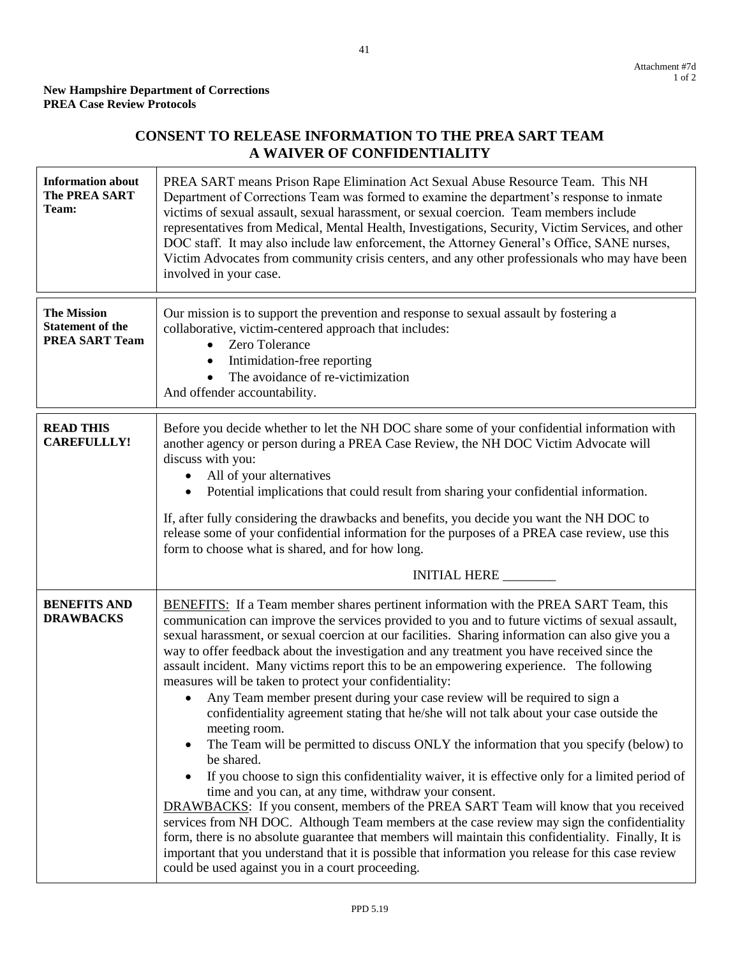## **CONSENT TO RELEASE INFORMATION TO THE PREA SART TEAM A WAIVER OF CONFIDENTIALITY**

| <b>Information about</b><br>The PREA SART<br>Team:                     | PREA SART means Prison Rape Elimination Act Sexual Abuse Resource Team. This NH<br>Department of Corrections Team was formed to examine the department's response to inmate<br>victims of sexual assault, sexual harassment, or sexual coercion. Team members include<br>representatives from Medical, Mental Health, Investigations, Security, Victim Services, and other<br>DOC staff. It may also include law enforcement, the Attorney General's Office, SANE nurses,<br>Victim Advocates from community crisis centers, and any other professionals who may have been<br>involved in your case.                                                                                                                                                                                                                                                                                                                                                                                                                                                                                                                                                                                                                                                                                                                                                                                                                                                                                           |
|------------------------------------------------------------------------|------------------------------------------------------------------------------------------------------------------------------------------------------------------------------------------------------------------------------------------------------------------------------------------------------------------------------------------------------------------------------------------------------------------------------------------------------------------------------------------------------------------------------------------------------------------------------------------------------------------------------------------------------------------------------------------------------------------------------------------------------------------------------------------------------------------------------------------------------------------------------------------------------------------------------------------------------------------------------------------------------------------------------------------------------------------------------------------------------------------------------------------------------------------------------------------------------------------------------------------------------------------------------------------------------------------------------------------------------------------------------------------------------------------------------------------------------------------------------------------------|
| <b>The Mission</b><br><b>Statement of the</b><br><b>PREA SART Team</b> | Our mission is to support the prevention and response to sexual assault by fostering a<br>collaborative, victim-centered approach that includes:<br>Zero Tolerance<br>Intimidation-free reporting<br>$\bullet$<br>The avoidance of re-victimization<br>$\bullet$<br>And offender accountability.                                                                                                                                                                                                                                                                                                                                                                                                                                                                                                                                                                                                                                                                                                                                                                                                                                                                                                                                                                                                                                                                                                                                                                                               |
| <b>READ THIS</b><br><b>CAREFULLLY!</b>                                 | Before you decide whether to let the NH DOC share some of your confidential information with<br>another agency or person during a PREA Case Review, the NH DOC Victim Advocate will<br>discuss with you:<br>All of your alternatives<br>Potential implications that could result from sharing your confidential information.<br>$\bullet$<br>If, after fully considering the drawbacks and benefits, you decide you want the NH DOC to<br>release some of your confidential information for the purposes of a PREA case review, use this<br>form to choose what is shared, and for how long.<br>INITIAL HERE                                                                                                                                                                                                                                                                                                                                                                                                                                                                                                                                                                                                                                                                                                                                                                                                                                                                                   |
| <b>BENEFITS AND</b><br><b>DRAWBACKS</b>                                | <b>BENEFITS:</b> If a Team member shares pertinent information with the PREA SART Team, this<br>communication can improve the services provided to you and to future victims of sexual assault,<br>sexual harassment, or sexual coercion at our facilities. Sharing information can also give you a<br>way to offer feedback about the investigation and any treatment you have received since the<br>assault incident. Many victims report this to be an empowering experience. The following<br>measures will be taken to protect your confidentiality:<br>Any Team member present during your case review will be required to sign a<br>$\bullet$<br>confidentiality agreement stating that he/she will not talk about your case outside the<br>meeting room.<br>The Team will be permitted to discuss ONLY the information that you specify (below) to<br>be shared.<br>If you choose to sign this confidentiality waiver, it is effective only for a limited period of<br>time and you can, at any time, withdraw your consent.<br>DRAWBACKS: If you consent, members of the PREA SART Team will know that you received<br>services from NH DOC. Although Team members at the case review may sign the confidentiality<br>form, there is no absolute guarantee that members will maintain this confidentiality. Finally, It is<br>important that you understand that it is possible that information you release for this case review<br>could be used against you in a court proceeding. |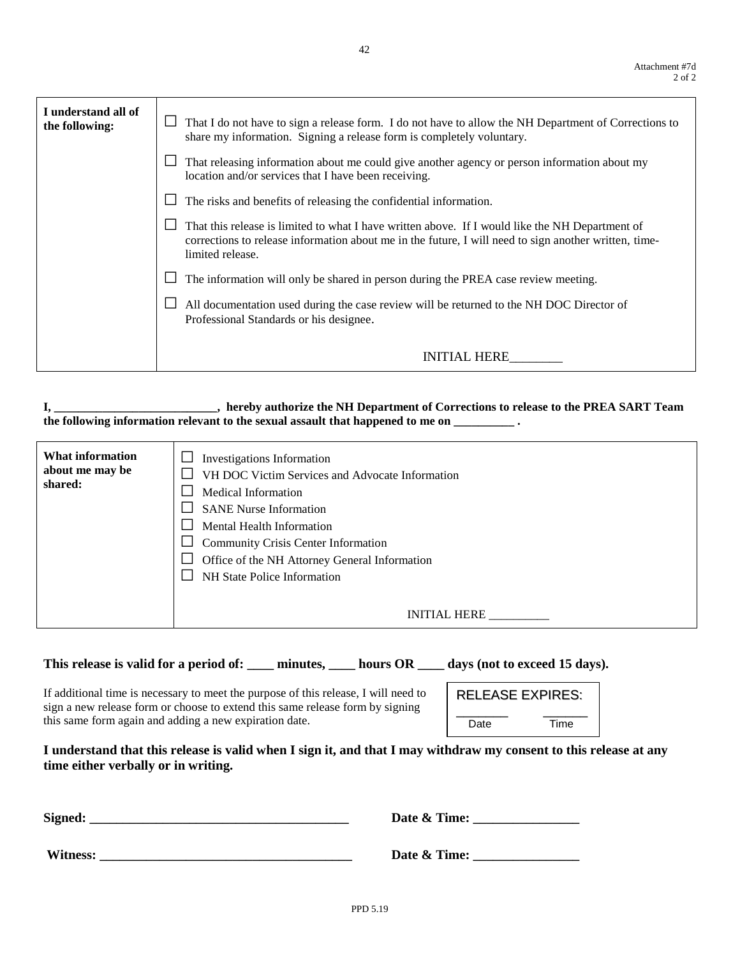| I understand all of<br>the following: | That I do not have to sign a release form. I do not have to allow the NH Department of Corrections to<br>share my information. Signing a release form is completely voluntary.                                               |
|---------------------------------------|------------------------------------------------------------------------------------------------------------------------------------------------------------------------------------------------------------------------------|
|                                       | That releasing information about me could give another agency or person information about my<br>location and/or services that I have been receiving.                                                                         |
|                                       | The risks and benefits of releasing the confidential information.                                                                                                                                                            |
|                                       | That this release is limited to what I have written above. If I would like the NH Department of<br>corrections to release information about me in the future, I will need to sign another written, time-<br>limited release. |
|                                       | The information will only be shared in person during the PREA case review meeting.                                                                                                                                           |
|                                       | All documentation used during the case review will be returned to the NH DOC Director of<br>Professional Standards or his designee.                                                                                          |
|                                       | <b>INITIAL HERE</b>                                                                                                                                                                                                          |

| , hereby authorize the NH Department of Corrections to release to the PREA SART Team |
|--------------------------------------------------------------------------------------|
| the following information relevant to the sexual assault that happened to me on      |

| What information<br>about me may be<br>shared: | <b>Investigations Information</b><br>VH DOC Victim Services and Advocate Information<br>Medical Information<br><b>SANE Nurse Information</b><br>Mental Health Information<br>Community Crisis Center Information<br>Office of the NH Attorney General Information<br>NH State Police Information |
|------------------------------------------------|--------------------------------------------------------------------------------------------------------------------------------------------------------------------------------------------------------------------------------------------------------------------------------------------------|
|                                                | <b>INITIAL HERE</b>                                                                                                                                                                                                                                                                              |

**This release is valid for a period of: \_\_\_\_ minutes, \_\_\_\_ hours OR \_\_\_\_ days (not to exceed 15 days).**

If additional time is necessary to meet the purpose of this release, I will need to sign a new release form or choose to extend this same release form by signing this same form again and adding a new expiration date.

**I understand that this release is valid when I sign it, and that I may withdraw my consent to this release at any time either verbally or in writing.** 

| Signed: |  |  |  |
|---------|--|--|--|
|         |  |  |  |

| Date & Time: |  |
|--------------|--|
|              |  |

**Witness: \_\_\_\_\_\_\_\_\_\_\_\_\_\_\_\_\_\_\_\_\_\_\_\_\_\_\_\_\_\_\_\_\_\_\_\_\_\_ Date & Time: \_\_\_\_\_\_\_\_\_\_\_\_\_\_\_\_** 

\_\_\_\_\_\_\_ \_\_\_\_\_\_ Date Time

RELEASE EXPIRES: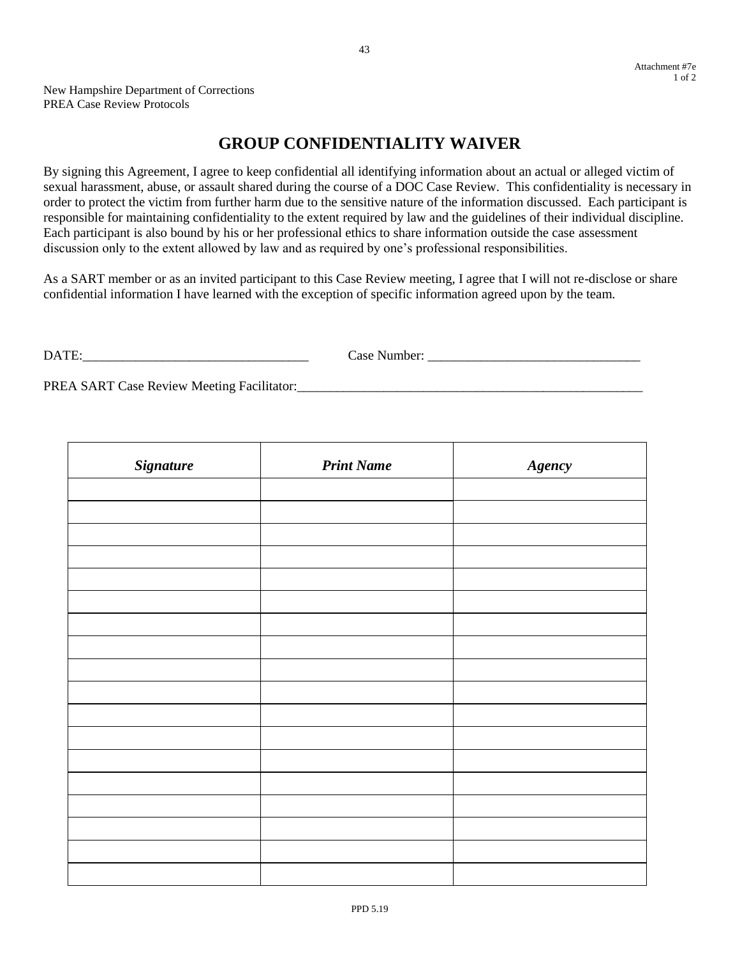New Hampshire Department of Corrections PREA Case Review Protocols

## **GROUP CONFIDENTIALITY WAIVER**

By signing this Agreement, I agree to keep confidential all identifying information about an actual or alleged victim of sexual harassment, abuse, or assault shared during the course of a DOC Case Review. This confidentiality is necessary in order to protect the victim from further harm due to the sensitive nature of the information discussed. Each participant is responsible for maintaining confidentiality to the extent required by law and the guidelines of their individual discipline. Each participant is also bound by his or her professional ethics to share information outside the case assessment discussion only to the extent allowed by law and as required by one's professional responsibilities.

As a SART member or as an invited participant to this Case Review meeting, I agree that I will not re-disclose or share confidential information I have learned with the exception of specific information agreed upon by the team.

DATE:\_\_\_\_\_\_\_\_\_\_\_\_\_\_\_\_\_\_\_\_\_\_\_\_\_\_\_\_\_\_\_\_\_\_ Case Number: \_\_\_\_\_\_\_\_\_\_\_\_\_\_\_\_\_\_\_\_\_\_\_\_\_\_\_\_\_\_\_\_

PREA SART Case Review Meeting Facilitator:\_\_\_\_\_\_\_\_\_\_\_\_\_\_\_\_\_\_\_\_\_\_\_\_\_\_\_\_\_\_\_\_\_\_\_\_\_\_\_\_\_\_\_\_\_\_\_\_\_\_\_\_

| <b>Signature</b> | <b>Print Name</b> | Agency |
|------------------|-------------------|--------|
|                  |                   |        |
|                  |                   |        |
|                  |                   |        |
|                  |                   |        |
|                  |                   |        |
|                  |                   |        |
|                  |                   |        |
|                  |                   |        |
|                  |                   |        |
|                  |                   |        |
|                  |                   |        |
|                  |                   |        |
|                  |                   |        |
|                  |                   |        |
|                  |                   |        |
|                  |                   |        |
|                  |                   |        |
|                  |                   |        |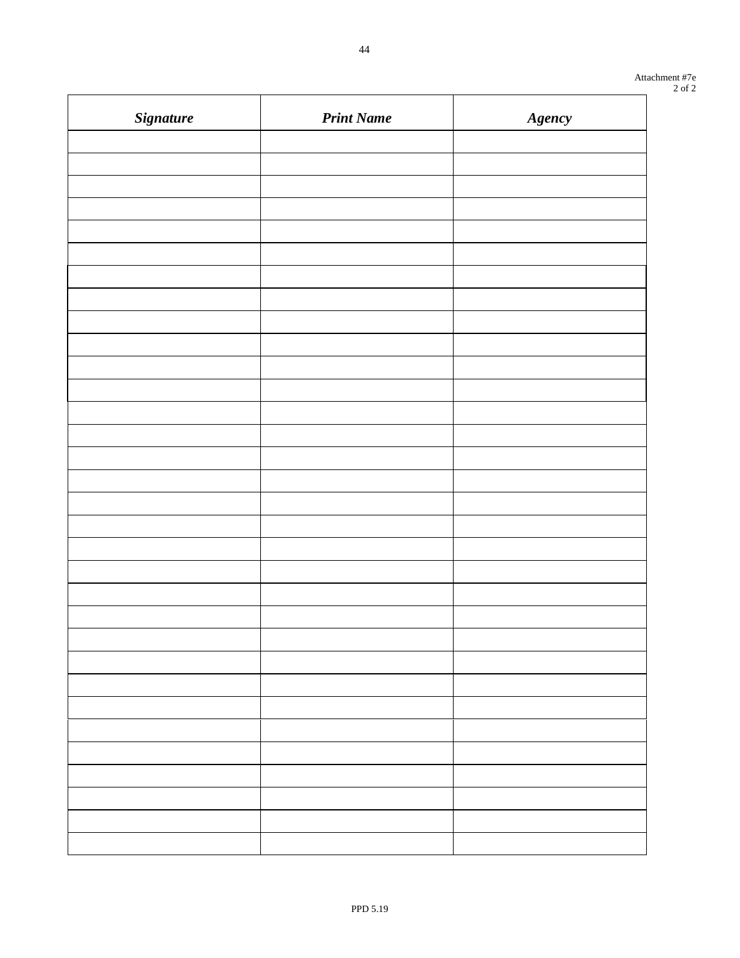Attachment #7e

| a. |   |  |
|----|---|--|
|    | ٧ |  |

| <b>Signature</b> | <b>Print Name</b> | Agency |
|------------------|-------------------|--------|
|                  |                   |        |
|                  |                   |        |
|                  |                   |        |
|                  |                   |        |
|                  |                   |        |
|                  |                   |        |
|                  |                   |        |
|                  |                   |        |
|                  |                   |        |
|                  |                   |        |
|                  |                   |        |
|                  |                   |        |
|                  |                   |        |
|                  |                   |        |
|                  |                   |        |
|                  |                   |        |
|                  |                   |        |
|                  |                   |        |
|                  |                   |        |
|                  |                   |        |
|                  |                   |        |
|                  |                   |        |
|                  |                   |        |
|                  |                   |        |
|                  |                   |        |
|                  |                   |        |
|                  |                   |        |
|                  |                   |        |
|                  |                   |        |
|                  |                   |        |
|                  |                   |        |
|                  |                   |        |
|                  |                   |        |